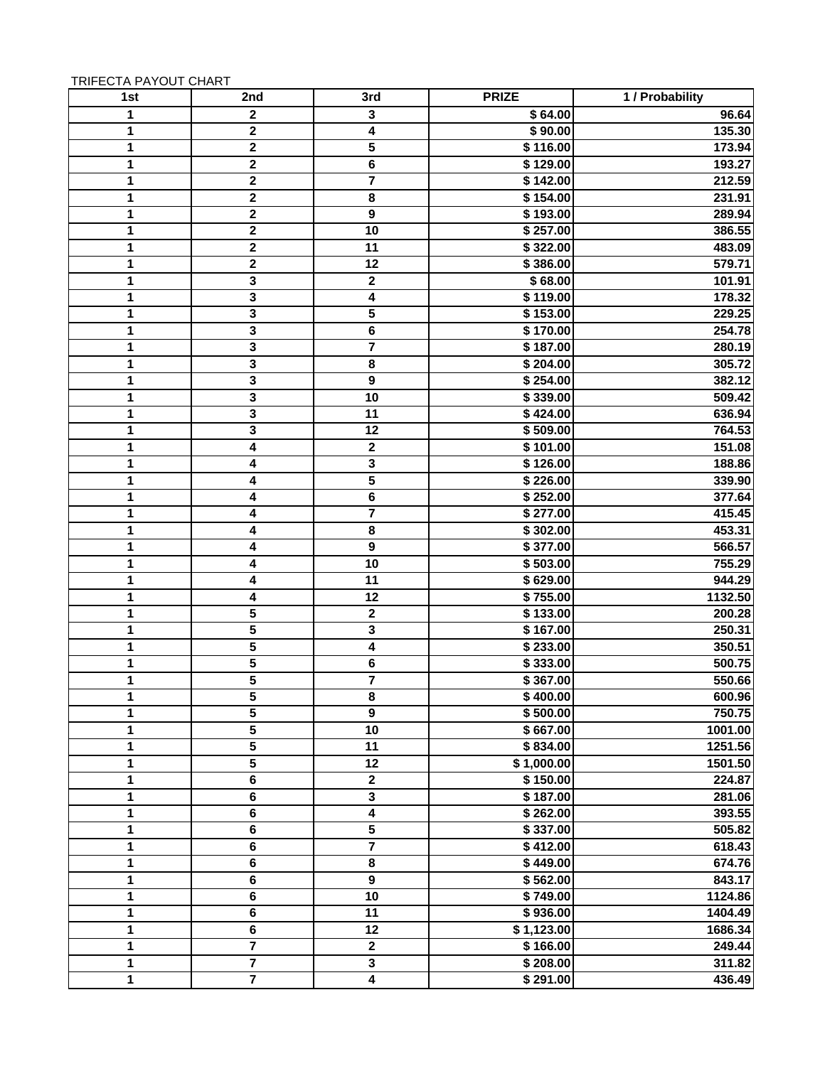## TRIFECTA PAYOUT CHART

| 1st                     | 2nd                     | 3rd                     | <b>PRIZE</b> | 1 / Probability |
|-------------------------|-------------------------|-------------------------|--------------|-----------------|
| 1                       | $\boldsymbol{2}$        | ${\bf 3}$               | \$64.00      | 96.64           |
| 1                       | $\mathbf 2$             | 4                       | \$90.00      | 135.30          |
| 1                       | $\overline{2}$          | 5                       | \$116.00     | 173.94          |
| 1                       | $\overline{\mathbf{2}}$ | $\bf 6$                 | \$129.00     | 193.27          |
| $\mathbf{1}$            | $\overline{\mathbf{2}}$ | $\overline{\mathbf{7}}$ | \$142.00     | 212.59          |
| 1                       | $\mathbf 2$             | 8                       | \$154.00     | 231.91          |
| 1                       | $\mathbf 2$             | $\boldsymbol{9}$        | \$193.00     | 289.94          |
| 1                       | $\mathbf 2$             | 10                      | \$257.00     | 386.55          |
| 1                       | $\mathbf 2$             | 11                      | \$322.00     | 483.09          |
| 1                       | $\overline{\mathbf{2}}$ | 12                      | \$386.00     | 579.71          |
| 1                       | 3                       | $\mathbf 2$             | \$68.00      | 101.91          |
| 1                       | 3                       | 4                       | \$119.00     | 178.32          |
| 1                       | $\overline{\mathbf{3}}$ | 5                       | \$153.00     | 229.25          |
| 1                       | $\overline{\mathbf{3}}$ | 6                       | \$170.00     | 254.78          |
| 1                       | $\overline{\mathbf{3}}$ | $\overline{\mathbf{r}}$ | \$187.00     | 280.19          |
| $\mathbf{1}$            | $\overline{\mathbf{3}}$ | 8                       | \$204.00     | 305.72          |
| $\mathbf{1}$            | $\overline{\mathbf{3}}$ | 9                       | \$254.00     | 382.12          |
| 1                       | $\overline{\mathbf{3}}$ | 10                      | \$339.00     | 509.42          |
| $\mathbf{1}$            | $\overline{\mathbf{3}}$ | 11                      | \$424.00     | 636.94          |
| $\mathbf{1}$            | $\overline{\mathbf{3}}$ | 12                      | \$509.00     | 764.53          |
| $\mathbf{1}$            | 4                       | $\overline{\mathbf{2}}$ | \$101.00     | 151.08          |
| 1                       | 4                       | 3                       | \$126.00     | 188.86          |
| 1                       | 4                       | $\overline{5}$          | \$226.00     | 339.90          |
| 1                       | 4                       | $\overline{6}$          | \$252.00     | 377.64          |
| $\overline{1}$          | 4                       | $\overline{\mathbf{7}}$ | \$277.00     | 415.45          |
| 1                       | 4                       | 8                       | \$302.00     | 453.31          |
| 1                       | 4                       | $\overline{9}$          | \$377.00     | 566.57          |
| 1                       | 4                       | $\overline{10}$         | \$503.00     | 755.29          |
| $\overline{\mathbf{1}}$ | 4                       | $\overline{11}$         | \$629.00     | 944.29          |
| 1                       | 4                       | 12                      | \$755.00     | 1132.50         |
| 1                       | 5                       | $\overline{2}$          | \$133.00     | 200.28          |
| 1                       | $\overline{\mathbf{5}}$ | $\overline{\mathbf{3}}$ | \$167.00     | 250.31          |
| $\mathbf{1}$            | 5                       | $\overline{\mathbf{4}}$ | \$233.00     | 350.51          |
| $\mathbf{1}$            | $\overline{\mathbf{5}}$ | 6                       | \$333.00     | 500.75          |
| $\mathbf{1}$            | $\overline{\mathbf{5}}$ | $\overline{\mathbf{7}}$ | \$367.00     | 550.66          |
| 1                       | 5                       | 8                       | \$400.00     | 600.96          |
| $\mathbf{1}$            | 5                       | $\overline{9}$          | \$500.00     | 750.75          |
| 1                       | 5                       | 10                      | \$667.00     | 1001.00         |
| 1                       | 5                       | 11                      | \$834.00     | 1251.56         |
| 1                       | 5                       | 12                      | \$1,000.00   | 1501.50         |
| 1                       | $\overline{\mathbf{6}}$ | $\overline{\mathbf{2}}$ | \$150.00     | 224.87          |
| 1                       | $\overline{\mathbf{6}}$ | $\overline{\mathbf{3}}$ | \$187.00     | 281.06          |
| 1                       | $\overline{\mathbf{6}}$ | $\overline{\mathbf{4}}$ | \$262.00     | 393.55          |
| $\mathbf{1}$            | 6                       | 5                       | \$337.00     | 505.82          |
| 1                       | 6                       | $\overline{\mathbf{7}}$ | \$412.00     | 618.43          |
| 1                       | $\overline{\mathbf{6}}$ | $\overline{\mathbf{8}}$ | \$449.00     | 674.76          |
| 1                       | $\overline{\mathbf{6}}$ | $\overline{9}$          | \$562.00     | 843.17          |
| 1                       | $\overline{\mathbf{6}}$ | 10                      | \$749.00     | 1124.86         |
| $\mathbf{1}$            | $\overline{\mathbf{6}}$ | 11                      | \$936.00     | 1404.49         |
| $\mathbf{1}$            | $\overline{\mathbf{6}}$ | $\overline{12}$         | \$1,123.00   | 1686.34         |
| $\mathbf{1}$            | $\overline{7}$          | $\overline{\mathbf{2}}$ | \$166.00     | 249.44          |
| $\overline{1}$          | $\overline{7}$          | $\overline{\mathbf{3}}$ | \$208.00     | 311.82          |
| $\overline{1}$          | $\overline{\mathbf{7}}$ | $\overline{\mathbf{4}}$ | \$291.00     | 436.49          |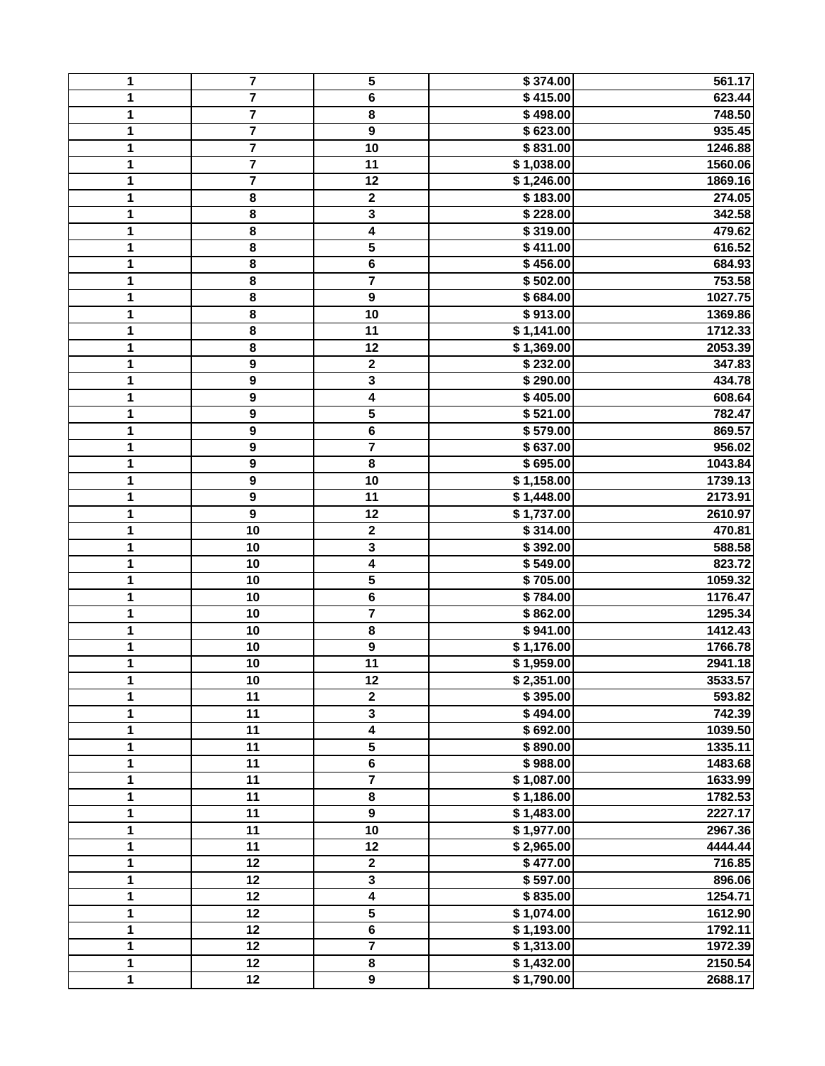| 1                       | $\overline{\mathbf{7}}$ | $\overline{\mathbf{5}}$ | \$374.00         | 561.17  |
|-------------------------|-------------------------|-------------------------|------------------|---------|
| 1                       | $\overline{\mathbf{7}}$ | $\overline{\mathbf{6}}$ | \$415.00         | 623.44  |
| 1                       | $\overline{\mathbf{7}}$ | 8                       | \$498.00         | 748.50  |
| 1                       | 7                       | $\overline{9}$          | \$623.00         | 935.45  |
| 1                       | $\overline{\mathbf{7}}$ | $\overline{10}$         | \$831.00         | 1246.88 |
| 1                       | 7                       | $\overline{11}$         | \$1,038.00       | 1560.06 |
| 1                       | 7                       | $\overline{12}$         | \$1,246.00       | 1869.16 |
| 1                       | 8                       | $\overline{\mathbf{2}}$ | \$183.00         | 274.05  |
| 1                       | 8                       | 3                       | \$228.00         | 342.58  |
| $\overline{1}$          | 8                       | 4                       | \$319.00         | 479.62  |
| 1                       | 8                       | 5                       | \$411.00         | 616.52  |
| 1                       | 8                       | 6                       | \$456.00         | 684.93  |
| 1                       | $\overline{\mathbf{8}}$ | $\overline{\mathbf{7}}$ | \$502.00         | 753.58  |
| 1                       | 8                       | $\boldsymbol{9}$        | \$684.00         | 1027.75 |
| 1                       | $\overline{\mathbf{8}}$ | 10                      | \$913.00         | 1369.86 |
| 1                       | 8                       | 11                      | \$1,141.00       | 1712.33 |
| 1                       | $\overline{\mathbf{8}}$ | 12                      | \$1,369.00       | 2053.39 |
| 1                       | 9                       | $\overline{\mathbf{2}}$ | \$232.00         | 347.83  |
| 1                       | $\overline{9}$          | $\overline{\mathbf{3}}$ | \$290.00         | 434.78  |
| 1                       | 9                       | 4                       | \$405.00         | 608.64  |
| 1                       | 9                       | 5                       | \$521.00         | 782.47  |
| 1                       | 9                       | $\bf 6$                 | $\sqrt{$}579.00$ | 869.57  |
| 1                       | $\overline{9}$          | $\overline{\mathbf{z}}$ | \$637.00         | 956.02  |
| 1                       | 9                       | 8                       | \$695.00         | 1043.84 |
| 1                       | 9                       | 10                      | \$1,158.00       | 1739.13 |
| 1                       | 9                       | 11                      | \$1,448.00       | 2173.91 |
| 1                       | $\overline{9}$          | $\overline{12}$         | \$1,737.00       | 2610.97 |
| 1                       | $\overline{10}$         | $\overline{2}$          | \$314.00         | 470.81  |
| 1                       | $\overline{10}$         | 3                       | \$392.00         | 588.58  |
| 1                       | 10                      | 4                       | \$549.00         | 823.72  |
| 1                       | $\overline{10}$         | $\overline{\mathbf{5}}$ | \$705.00         | 1059.32 |
| 1                       | 10                      | $\overline{\mathbf{6}}$ | \$784.00         | 1176.47 |
| 1                       | 10                      | $\overline{\mathbf{7}}$ | \$862.00         | 1295.34 |
| $\overline{\mathbf{1}}$ | $\overline{10}$         | $\overline{\mathbf{8}}$ | \$941.00         | 1412.43 |
| $\overline{\mathbf{1}}$ | 10                      | $\overline{9}$          | \$1,176.00       | 1766.78 |
| $\overline{1}$          | 10                      | 11                      | \$1,959.00       | 2941.18 |
| 1                       | 10                      | 12                      | \$2,351.00       | 3533.57 |
| 1                       | $\overline{11}$         | $\overline{2}$          | \$395.00         | 593.82  |
| 1                       | $\overline{11}$         | 3                       | \$494.00         | 742.39  |
| 1                       | $\overline{11}$         | 4                       | \$692.00         | 1039.50 |
| 1                       | $\overline{11}$         | $\overline{5}$          | \$890.00         | 1335.11 |
| 1                       | $\overline{11}$         | $\overline{6}$          | \$988.00         | 1483.68 |
| $\overline{1}$          | $\overline{11}$         | $\overline{\mathbf{7}}$ | \$1,087.00       | 1633.99 |
| 1                       | $\overline{11}$         | $\overline{\mathbf{8}}$ | \$1,186.00       | 1782.53 |
| 1                       | $\overline{11}$         | $\overline{9}$          | \$1,483.00       | 2227.17 |
| 1                       | $\overline{11}$         | $\overline{10}$         | \$1,977.00       | 2967.36 |
| 1                       | $\overline{11}$         | $\overline{12}$         | \$2,965.00       | 4444.44 |
| 1                       | 12                      | $\overline{2}$          | \$477.00         | 716.85  |
| 1                       | $\overline{12}$         | $\overline{\mathbf{3}}$ | \$597.00         | 896.06  |
| 1                       | $\overline{12}$         | $\overline{\mathbf{4}}$ | \$835.00         | 1254.71 |
| 1                       | 12                      | $\overline{\mathbf{5}}$ | \$1,074.00       | 1612.90 |
| 1                       | 12                      | $\overline{\mathbf{6}}$ | \$1,193.00       | 1792.11 |
| 1                       | 12                      | $\overline{\mathbf{7}}$ | \$1,313.00       | 1972.39 |
| 1                       | 12                      | $\overline{\mathbf{8}}$ | \$1,432.00       | 2150.54 |
| 1                       | 12                      | $\overline{9}$          | \$1,790.00       | 2688.17 |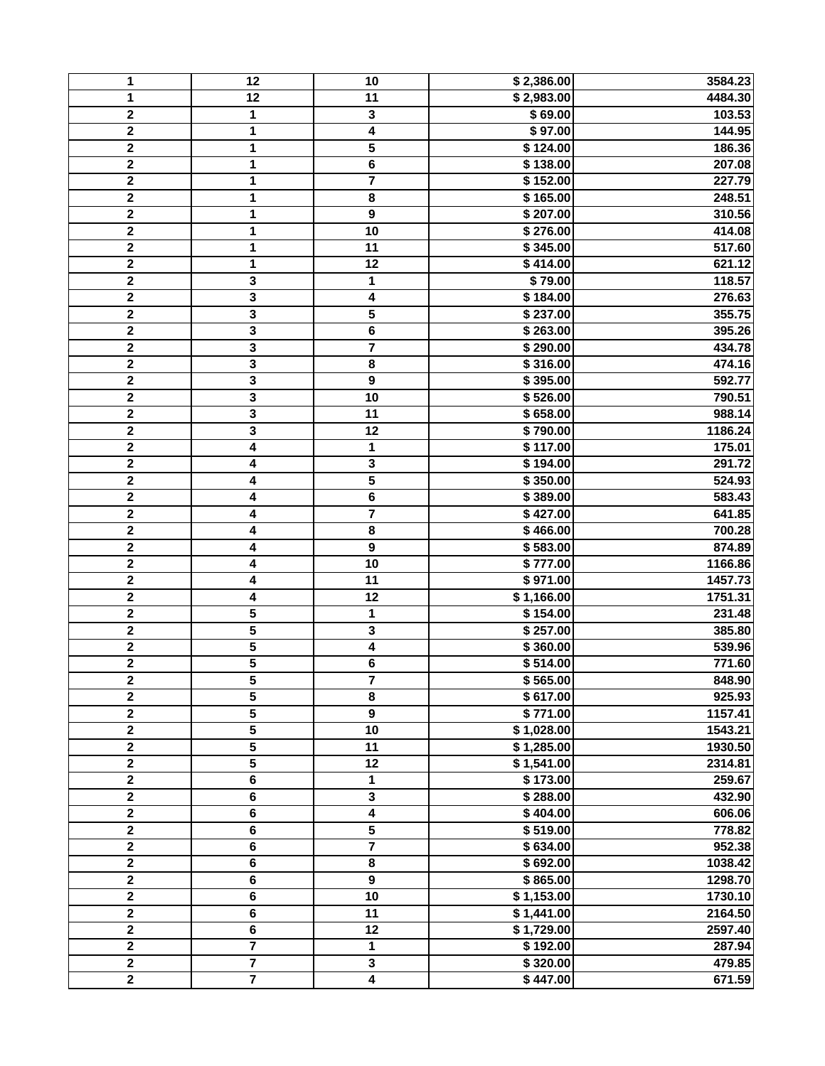| $\mathbf{1}$            | 12                      | 10                      | \$2,386.00      | 3584.23 |
|-------------------------|-------------------------|-------------------------|-----------------|---------|
| $\mathbf{1}$            | 12                      | 11                      | \$2,983.00      | 4484.30 |
| $\overline{\mathbf{2}}$ | 1                       | ${\bf 3}$               | $\sqrt{$}69.00$ | 103.53  |
| $\overline{2}$          | 1                       | $\overline{\mathbf{4}}$ | \$97.00         | 144.95  |
| $\overline{\mathbf{2}}$ | 1                       | 5                       | \$124.00        | 186.36  |
| $\overline{\mathbf{2}}$ | $\overline{\mathbf{1}}$ | $\overline{\mathbf{6}}$ | \$138.00        | 207.08  |
| $\overline{\mathbf{2}}$ | 1                       | $\overline{\mathbf{7}}$ | \$152.00        | 227.79  |
| $\overline{\mathbf{2}}$ | 1                       | $\overline{\mathbf{8}}$ | \$165.00        | 248.51  |
| $\overline{\mathbf{2}}$ | 1                       | $\overline{9}$          | \$207.00        | 310.56  |
| $\overline{2}$          | $\overline{\mathbf{1}}$ | $\overline{10}$         | \$276.00        | 414.08  |
| $\overline{2}$          | 1                       | $\overline{11}$         | \$345.00        | 517.60  |
| $\overline{2}$          | 1                       | $\overline{12}$         | \$414.00        | 621.12  |
| $\overline{2}$          | 3                       | 1                       | \$79.00         | 118.57  |
| $\mathbf 2$             | 3                       | 4                       | \$184.00        | 276.63  |
| $\overline{\mathbf{2}}$ | $\overline{\mathbf{3}}$ | 5                       | \$237.00        | 355.75  |
| 2                       | 3                       | 6                       | \$263.00        | 395.26  |
| $\overline{\mathbf{2}}$ | 3                       | $\overline{\mathbf{r}}$ | \$290.00        | 434.78  |
| $\overline{\mathbf{2}}$ | 3                       | 8                       | \$316.00        | 474.16  |
| $\overline{2}$          | $\overline{\mathbf{3}}$ | $\overline{9}$          | \$395.00        | 592.77  |
| $\overline{\mathbf{2}}$ | 3                       | 10                      | \$526.00        | 790.51  |
| $\overline{\mathbf{2}}$ | 3                       | 11                      | \$658.00        | 988.14  |
| $\mathbf 2$             | 3                       | 12                      | \$790.00        | 1186.24 |
| $\overline{\mathbf{2}}$ | 4                       | 1                       | \$117.00        | 175.01  |
| $\mathbf 2$             | 4                       | $\mathbf 3$             | \$194.00        | 291.72  |
| $\overline{\mathbf{2}}$ | 4                       | $\overline{\mathbf{5}}$ | \$350.00        | 524.93  |
| $\overline{\mathbf{2}}$ | 4                       | 6                       | \$389.00        | 583.43  |
| $\overline{2}$          | 4                       | $\overline{\mathbf{7}}$ | \$427.00        | 641.85  |
| $\overline{\mathbf{2}}$ | 4                       | $\overline{\mathbf{8}}$ | \$466.00        | 700.28  |
| $\overline{\mathbf{2}}$ | 4                       | $\overline{9}$          | \$583.00        | 874.89  |
| $\mathbf 2$             | 4                       | 10                      | \$777.00        | 1166.86 |
| $\overline{\mathbf{2}}$ | 4                       | $\overline{11}$         | \$971.00        | 1457.73 |
| $\overline{\mathbf{2}}$ | 4                       | $\overline{12}$         | \$1,166.00      | 1751.31 |
| $\overline{\mathbf{2}}$ | 5                       | 1                       | \$154.00        | 231.48  |
| $\overline{2}$          | 5                       | $\overline{\mathbf{3}}$ | \$257.00        | 385.80  |
| $\overline{2}$          | 5                       | $\overline{4}$          | \$360.00        | 539.96  |
| $\overline{2}$          | 5                       | $\overline{\mathbf{6}}$ | \$514.00        | 771.60  |
| 2                       | 5                       | 7                       | \$565.00        | 848.90  |
| $\overline{2}$          | 5                       | $\overline{\mathbf{8}}$ | \$617.00        | 925.93  |
| $\overline{\mathbf{2}}$ | 5                       | $\overline{9}$          | \$771.00        | 1157.41 |
| $\overline{\mathbf{2}}$ | 5                       | 10                      | \$1,028.00      | 1543.21 |
| $\overline{2}$          | 5                       | $\overline{11}$         | \$1,285.00      | 1930.50 |
| $\overline{2}$          | 5                       | $\overline{12}$         | \$1,541.00      | 2314.81 |
| $\overline{2}$          | $\overline{\mathbf{6}}$ | $\overline{\mathbf{1}}$ | \$173.00        | 259.67  |
| $\overline{2}$          | $\overline{\mathbf{6}}$ | $\overline{\mathbf{3}}$ | \$288.00        | 432.90  |
| $\overline{\mathbf{2}}$ | 6                       | 4                       | \$404.00        | 606.06  |
| $\overline{2}$          | 6                       | $\overline{\mathbf{5}}$ | \$519.00        | 778.82  |
| $\overline{\mathbf{2}}$ | 6                       | $\overline{\mathbf{7}}$ | \$634.00        | 952.38  |
| $\overline{2}$          | $\overline{\mathbf{6}}$ | $\overline{\mathbf{8}}$ | \$692.00        | 1038.42 |
| $\overline{\mathbf{2}}$ | $\overline{\mathbf{6}}$ | $\overline{9}$          | \$865.00        | 1298.70 |
| $\overline{2}$          | $\overline{\mathbf{6}}$ | 10                      | \$1,153.00      | 1730.10 |
| $\overline{\mathbf{2}}$ | $\overline{\mathbf{6}}$ | 11                      | \$1,441.00      | 2164.50 |
| $\overline{2}$          | $\overline{\mathbf{6}}$ | $\overline{12}$         | \$1,729.00      | 2597.40 |
| $\overline{\mathbf{2}}$ | $\overline{\mathbf{7}}$ | $\mathbf{1}$            | \$192.00        | 287.94  |
| $\overline{2}$          | $\overline{\mathbf{7}}$ | $\overline{\mathbf{3}}$ | \$320.00        | 479.85  |
| $\overline{2}$          | $\overline{7}$          | $\overline{4}$          | \$447.00        | 671.59  |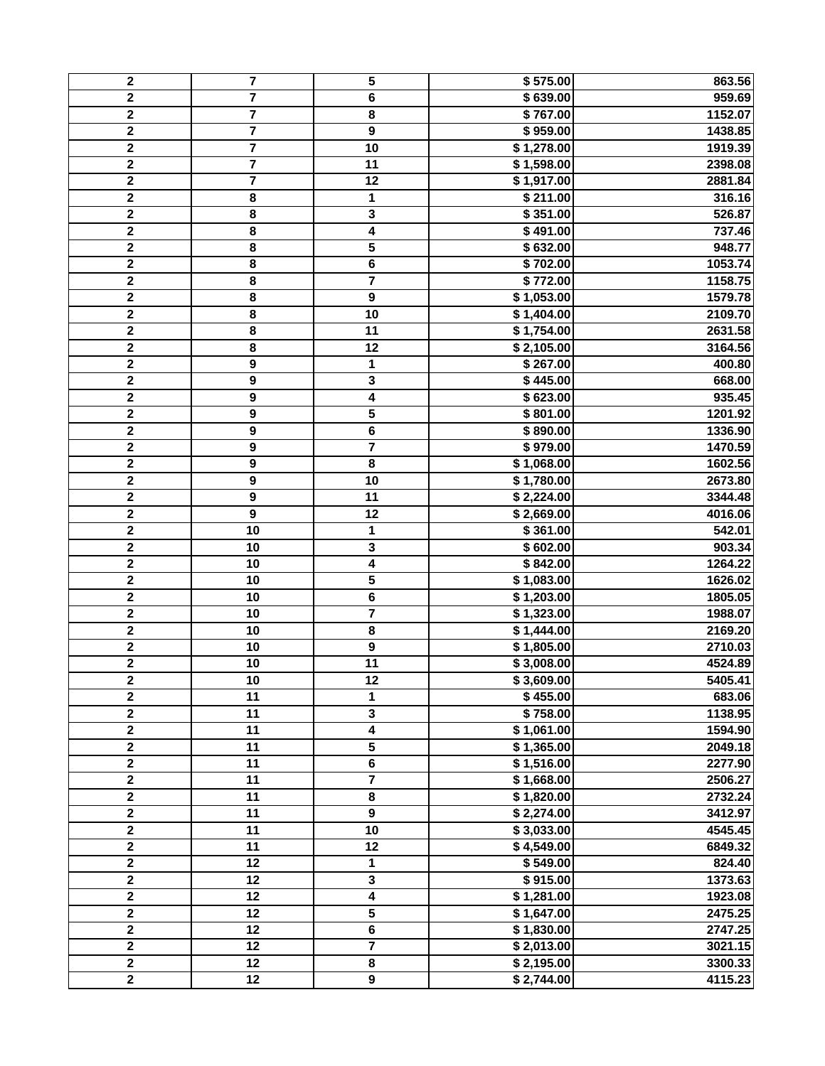| $\mathbf 2$             | $\overline{\mathbf{7}}$ | 5                       | \$575.00   | 863.56  |
|-------------------------|-------------------------|-------------------------|------------|---------|
| $\overline{\mathbf{2}}$ | $\overline{\mathbf{7}}$ | 6                       | \$639.00   | 959.69  |
| $\mathbf 2$             | $\overline{\mathbf{7}}$ | 8                       | \$767.00   | 1152.07 |
| $\overline{\mathbf{2}}$ | $\overline{\mathbf{7}}$ | 9                       | \$959.00   | 1438.85 |
| $\overline{\mathbf{2}}$ | $\overline{\mathbf{7}}$ | 10                      | \$1,278.00 | 1919.39 |
| $\overline{\mathbf{2}}$ | $\overline{\mathbf{7}}$ | 11                      | \$1,598.00 | 2398.08 |
| $\overline{\mathbf{2}}$ | 7                       | $\overline{12}$         | \$1,917.00 | 2881.84 |
| $\overline{\mathbf{2}}$ | $\overline{\mathbf{8}}$ | 1                       | \$211.00   | 316.16  |
| $\overline{2}$          | 8                       | 3                       | \$351.00   | 526.87  |
| $\overline{\mathbf{2}}$ | 8                       | 4                       | \$491.00   | 737.46  |
| $\overline{\mathbf{2}}$ | 8                       | 5                       | \$632.00   | 948.77  |
| $\overline{\mathbf{2}}$ | 8                       | 6                       | \$702.00   | 1053.74 |
| $\overline{2}$          | $\overline{\mathbf{8}}$ | $\overline{\mathbf{7}}$ | \$772.00   | 1158.75 |
| $\overline{\mathbf{2}}$ | $\overline{\mathbf{8}}$ | 9                       | \$1,053.00 | 1579.78 |
| $\mathbf 2$             | $\overline{\mathbf{8}}$ | 10                      | \$1,404.00 | 2109.70 |
| $\overline{\mathbf{2}}$ | 8                       | 11                      | \$1,754.00 | 2631.58 |
| $\overline{\mathbf{2}}$ | 8                       | 12                      | \$2,105.00 | 3164.56 |
| $\overline{\mathbf{2}}$ | $\overline{9}$          | $\mathbf{1}$            | \$267.00   | 400.80  |
| $\overline{\mathbf{2}}$ | $\boldsymbol{9}$        | 3                       | \$445.00   | 668.00  |
| $\mathbf 2$             | $\boldsymbol{9}$        | 4                       | \$623.00   | 935.45  |
| $\mathbf 2$             | $\boldsymbol{9}$        | $\overline{\mathbf{5}}$ | \$801.00   | 1201.92 |
| $\overline{\mathbf{2}}$ | $\overline{9}$          | $\overline{\mathbf{6}}$ | \$890.00   | 1336.90 |
| $\mathbf 2$             | 9                       | 7                       | \$979.00   | 1470.59 |
| $\overline{\mathbf{2}}$ | 9                       | 8                       | \$1,068.00 | 1602.56 |
| $\overline{\mathbf{2}}$ | 9                       | 10                      | \$1,780.00 | 2673.80 |
| $\overline{\mathbf{2}}$ | $\overline{9}$          | $\overline{11}$         | \$2,224.00 | 3344.48 |
| $\overline{\mathbf{2}}$ | 9                       | $\overline{12}$         | \$2,669.00 | 4016.06 |
| $\overline{\mathbf{2}}$ | $\overline{10}$         | 1                       | \$361.00   | 542.01  |
| $\overline{\mathbf{2}}$ | 10                      | 3                       | \$602.00   | 903.34  |
| $\overline{2}$          | 10                      | $\overline{\mathbf{4}}$ | \$842.00   | 1264.22 |
| $\overline{\mathbf{2}}$ | 10                      | 5                       | \$1,083.00 | 1626.02 |
| $\overline{\mathbf{2}}$ | 10                      | 6                       | \$1,203.00 | 1805.05 |
| $\overline{\mathbf{2}}$ | 10                      | $\overline{7}$          | \$1,323.00 | 1988.07 |
| $\overline{2}$          | 10                      | $\overline{\mathbf{8}}$ | \$1,444.00 | 2169.20 |
| $\overline{2}$          | $\overline{10}$         | $\overline{9}$          | \$1,805.00 | 2710.03 |
| $\overline{2}$          | 10                      | $\overline{11}$         | \$3,008.00 | 4524.89 |
| 2                       | 10                      | 12                      | \$3,609.00 | 5405.41 |
| $\overline{2}$          | $\overline{11}$         | $\overline{1}$          | \$455.00   | 683.06  |
| $\overline{2}$          | $\overline{11}$         | $\overline{\mathbf{3}}$ | \$758.00   | 1138.95 |
| $\overline{2}$          | $\overline{11}$         | $\overline{\mathbf{4}}$ | \$1,061.00 | 1594.90 |
| $\overline{2}$          | 11                      | 5                       | \$1,365.00 | 2049.18 |
| $\overline{2}$          | $\overline{11}$         | $\overline{\mathbf{6}}$ | \$1,516.00 | 2277.90 |
| $\overline{2}$          | $\overline{11}$         | 7                       | \$1,668.00 | 2506.27 |
| $\overline{2}$          | $\overline{11}$         | $\overline{\mathbf{8}}$ | \$1,820.00 | 2732.24 |
| $\overline{\mathbf{2}}$ | $\overline{11}$         | $\overline{9}$          | \$2,274.00 | 3412.97 |
| $\overline{\mathbf{2}}$ | $\overline{11}$         | 10                      | \$3,033.00 | 4545.45 |
| $\overline{\mathbf{2}}$ | $\overline{11}$         | 12                      | \$4,549.00 | 6849.32 |
| $\overline{2}$          | $\overline{12}$         | 1                       | \$549.00   | 824.40  |
| $\overline{\mathbf{2}}$ | 12                      | 3                       | \$915.00   | 1373.63 |
| $\overline{2}$          | 12                      | $\overline{4}$          | \$1,281.00 | 1923.08 |
| $\overline{2}$          | 12                      | $\overline{\mathbf{5}}$ | \$1,647.00 | 2475.25 |
| $\overline{2}$          | 12                      | $\overline{\mathbf{6}}$ | \$1,830.00 | 2747.25 |
| $\overline{2}$          | 12                      | $\overline{\mathbf{7}}$ | \$2,013.00 | 3021.15 |
| $\mathbf{2}$            | 12                      | 8                       | \$2,195.00 | 3300.33 |
| $\overline{2}$          | $\overline{12}$         | $\overline{9}$          | \$2,744.00 | 4115.23 |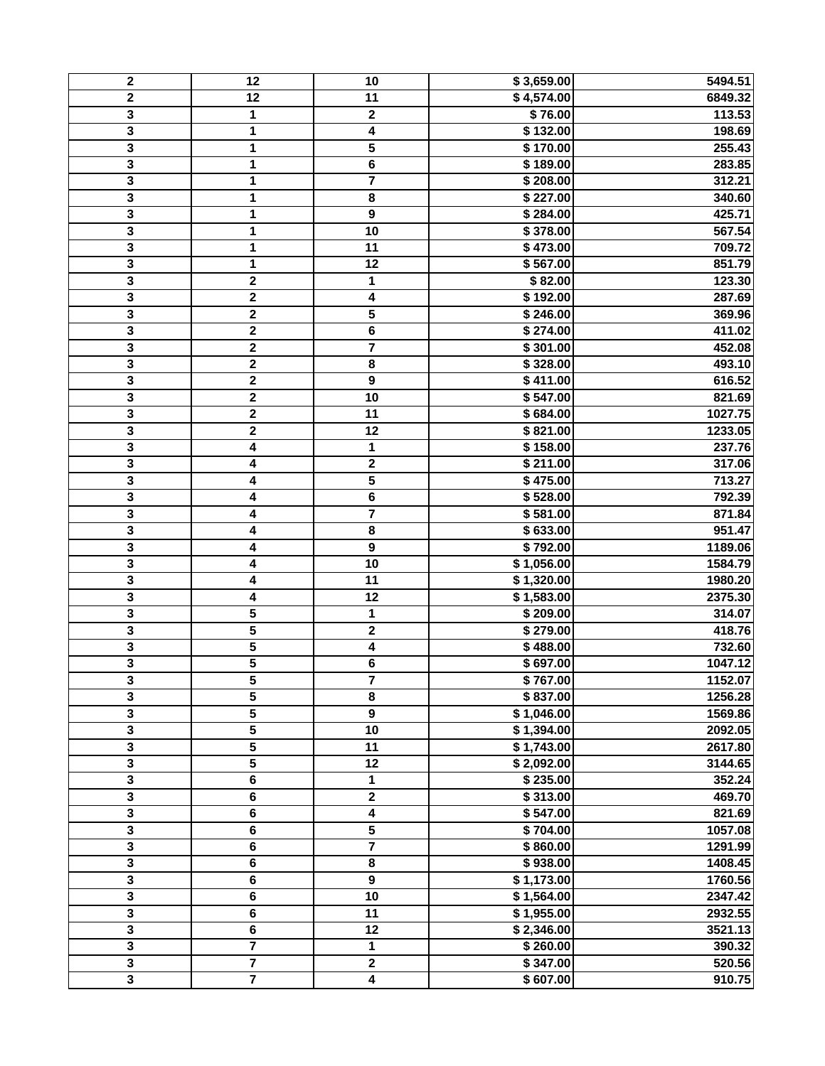| $\mathbf 2$             | 12                      | 10                      | \$3,659.00 | 5494.51 |
|-------------------------|-------------------------|-------------------------|------------|---------|
| $\overline{\mathbf{2}}$ | 12                      | 11                      | \$4,574.00 | 6849.32 |
| $\overline{\mathbf{3}}$ | 1                       | $\overline{\mathbf{2}}$ | \$76.00    | 113.53  |
| $\overline{\mathbf{3}}$ | 1                       | 4                       | \$132.00   | 198.69  |
| $\overline{\mathbf{3}}$ | $\overline{\mathbf{1}}$ | $\overline{\mathbf{5}}$ | \$170.00   | 255.43  |
| 3                       | 1                       | $\overline{\mathbf{6}}$ | \$189.00   | 283.85  |
| $\overline{\mathbf{3}}$ | 1                       | $\overline{\mathbf{7}}$ | \$208.00   | 312.21  |
| $\overline{\mathbf{3}}$ | 1                       | 8                       | \$227.00   | 340.60  |
| $\overline{\mathbf{3}}$ | $\overline{\mathbf{1}}$ | $\overline{9}$          | \$284.00   | 425.71  |
| $\overline{\mathbf{3}}$ | 1                       | $\overline{10}$         | \$378.00   | 567.54  |
| 3                       | 1                       | $\overline{11}$         | \$473.00   | 709.72  |
| 3                       | 1                       | $\overline{12}$         | \$567.00   | 851.79  |
| 3                       | 2                       | 1                       | \$82.00    | 123.30  |
| 3                       | $\overline{\mathbf{2}}$ | 4                       | \$192.00   | 287.69  |
| $\overline{\mathbf{3}}$ | $\overline{\mathbf{2}}$ | 5                       | \$246.00   | 369.96  |
| $\overline{\mathbf{3}}$ | $\overline{\mathbf{2}}$ | 6                       | \$274.00   | 411.02  |
| $\overline{\mathbf{3}}$ | 2                       | $\overline{\mathbf{7}}$ | \$301.00   | 452.08  |
| $\overline{\mathbf{3}}$ | $\overline{\mathbf{2}}$ | 8                       | \$328.00   | 493.10  |
| $\overline{\mathbf{3}}$ | $\overline{\mathbf{2}}$ | 9                       | \$411.00   | 616.52  |
| $\mathbf 3$             | $\overline{\mathbf{2}}$ | 10                      | \$547.00   | 821.69  |
| $\mathbf 3$             | $\overline{\mathbf{2}}$ | 11                      | \$684.00   | 1027.75 |
| 3                       | $\overline{2}$          | $\overline{12}$         | \$821.00   | 1233.05 |
| $\mathbf 3$             | 4                       | 1                       | \$158.00   | 237.76  |
| 3                       | 4                       | $\overline{\mathbf{2}}$ | \$211.00   | 317.06  |
| $\overline{\mathbf{3}}$ | 4                       | 5                       | \$475.00   | 713.27  |
| $\overline{\mathbf{3}}$ | 4                       | 6                       | \$528.00   | 792.39  |
| $\overline{\mathbf{3}}$ | 4                       | $\overline{\mathbf{7}}$ | \$581.00   | 871.84  |
| 3                       | 4                       | 8                       | \$633.00   | 951.47  |
| 3                       | 4                       | 9                       | \$792.00   | 1189.06 |
| $\overline{\mathbf{3}}$ | 4                       | 10                      | \$1,056.00 | 1584.79 |
| $\overline{\mathbf{3}}$ | 4                       | 11                      | \$1,320.00 | 1980.20 |
| $\overline{\mathbf{3}}$ | 4                       | 12                      | \$1,583.00 | 2375.30 |
| $\overline{\mathbf{3}}$ | 5                       | $\mathbf{1}$            | \$209.00   | 314.07  |
| $\overline{\mathbf{3}}$ | 5                       | $\overline{2}$          | \$279.00   | 418.76  |
| $\overline{\mathbf{3}}$ | 5                       | $\overline{\mathbf{4}}$ | \$488.00   | 732.60  |
| $\overline{\mathbf{3}}$ | 5                       | $\overline{\mathbf{6}}$ | \$697.00   | 1047.12 |
| 3                       | 5                       | 7                       | \$767.00   | 1152.07 |
| 3                       | 5                       | $\overline{\mathbf{8}}$ | \$837.00   | 1256.28 |
| $\overline{\mathbf{3}}$ | 5                       | $\overline{9}$          | \$1,046.00 | 1569.86 |
| $\overline{\mathbf{3}}$ | 5                       | 10                      | \$1,394.00 | 2092.05 |
| $\overline{\mathbf{3}}$ | 5                       | $\overline{11}$         | \$1,743.00 | 2617.80 |
| $\overline{\mathbf{3}}$ | 5                       | 12                      | \$2,092.00 | 3144.65 |
| 3                       | $\overline{\mathbf{6}}$ | $\overline{\mathbf{1}}$ | \$235.00   | 352.24  |
| $\overline{\mathbf{3}}$ | 6                       | $\overline{2}$          | \$313.00   | 469.70  |
| $\overline{\mathbf{3}}$ | 6                       | 4                       | \$547.00   | 821.69  |
| $\overline{\mathbf{3}}$ | 6                       | $\overline{\mathbf{5}}$ | \$704.00   | 1057.08 |
| $\overline{\mathbf{3}}$ | $\overline{\mathbf{6}}$ | 7                       | \$860.00   | 1291.99 |
| $\overline{\mathbf{3}}$ | $\overline{\mathbf{6}}$ | $\overline{\mathbf{8}}$ | \$938.00   | 1408.45 |
| $\overline{\mathbf{3}}$ | $\overline{\mathbf{6}}$ | $\overline{9}$          | \$1,173.00 | 1760.56 |
| $\overline{\mathbf{3}}$ | $\overline{\mathbf{6}}$ | 10                      | \$1,564.00 | 2347.42 |
| $\overline{\mathbf{3}}$ | $\overline{\mathbf{6}}$ | $\overline{11}$         | \$1,955.00 | 2932.55 |
| $\overline{\mathbf{3}}$ | $\overline{\mathbf{6}}$ | $\overline{12}$         | \$2,346.00 | 3521.13 |
| $\overline{3}$          | $\overline{\mathbf{7}}$ | $\mathbf{1}$            | \$260.00   | 390.32  |
| $\mathbf 3$             | $\overline{\mathbf{7}}$ | $\overline{2}$          | \$347.00   | 520.56  |
| $\overline{\mathbf{3}}$ | $\overline{\mathbf{7}}$ | $\overline{4}$          | \$607.00   | 910.75  |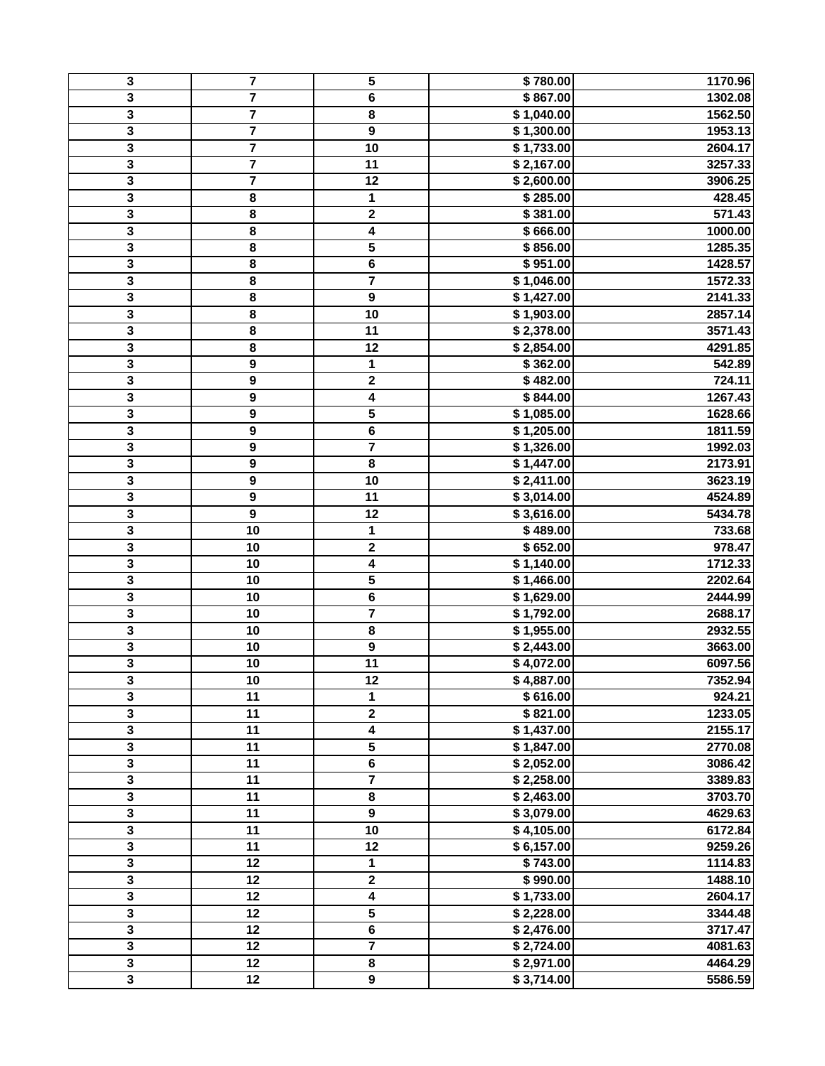| ${\bf 3}$               | $\overline{\mathbf{7}}$ | 5                                                  | \$780.00   | 1170.96 |
|-------------------------|-------------------------|----------------------------------------------------|------------|---------|
| $\overline{\mathbf{3}}$ | $\overline{\mathbf{7}}$ | $\overline{\mathbf{6}}$                            | \$867.00   | 1302.08 |
| $\overline{\mathbf{3}}$ | $\overline{7}$          | $\bf8$                                             | \$1,040.00 | 1562.50 |
| $\overline{\mathbf{3}}$ | $\overline{\mathbf{7}}$ | $\overline{9}$                                     | \$1,300.00 | 1953.13 |
| $\overline{\mathbf{3}}$ | 7                       | $\overline{10}$                                    | \$1,733.00 | 2604.17 |
| $\overline{\mathbf{3}}$ | 7                       | $\overline{11}$                                    | \$2,167.00 | 3257.33 |
| 3                       | 7                       | $\overline{12}$                                    | \$2,600.00 | 3906.25 |
| $\overline{\mathbf{3}}$ | 8                       | $\mathbf{1}$                                       | \$285.00   | 428.45  |
| $\overline{\mathbf{3}}$ | 8                       | $\overline{\mathbf{2}}$                            | \$381.00   | 571.43  |
| $\overline{\mathbf{3}}$ | 8                       | $\overline{\mathbf{4}}$                            | \$666.00   | 1000.00 |
| $\overline{\mathbf{3}}$ | 8                       | 5                                                  | \$856.00   | 1285.35 |
| 3                       | 8                       | $\overline{\mathbf{6}}$                            | \$951.00   | 1428.57 |
| 3                       | 8                       | 7                                                  | \$1,046.00 | 1572.33 |
| 3                       | 8                       | $\boldsymbol{9}$                                   | \$1,427.00 | 2141.33 |
| 3                       | $\overline{\mathbf{8}}$ | $\overline{10}$                                    | \$1,903.00 | 2857.14 |
| $\overline{\mathbf{3}}$ | $\overline{\mathbf{8}}$ | 11                                                 | \$2,378.00 | 3571.43 |
| $\overline{\mathbf{3}}$ | $\overline{\mathbf{8}}$ | 12                                                 | \$2,854.00 | 4291.85 |
| $\overline{\mathbf{3}}$ | $\overline{9}$          | 1                                                  | \$362.00   | 542.89  |
| $\overline{\mathbf{3}}$ | $\overline{9}$          | $\overline{\mathbf{2}}$                            | \$482.00   | 724.11  |
| $\overline{\mathbf{3}}$ | $\overline{9}$          | $\overline{\mathbf{4}}$                            | \$844.00   | 1267.43 |
| $\overline{\mathbf{3}}$ | $\overline{9}$          | $\overline{\mathbf{5}}$                            | \$1,085.00 | 1628.66 |
| $\mathbf 3$             | 9                       | $\bf 6$                                            | \$1,205.00 | 1811.59 |
| 3                       | $\overline{9}$          | 7                                                  | \$1,326.00 | 1992.03 |
| $\overline{\mathbf{3}}$ | $\overline{9}$          | $\overline{\mathbf{8}}$                            | \$1,447.00 | 2173.91 |
| 3                       | 9                       | 10                                                 | \$2,411.00 | 3623.19 |
| $\overline{\mathbf{3}}$ | 9                       | 11                                                 | \$3,014.00 | 4524.89 |
| $\overline{\mathbf{3}}$ | $\overline{9}$          | $\overline{12}$                                    | \$3,616.00 | 5434.78 |
| $\overline{\mathbf{3}}$ | $\overline{10}$         | $\overline{\mathbf{1}}$                            | \$489.00   | 733.68  |
| 3                       | 10                      | $\overline{\mathbf{2}}$                            | \$652.00   | 978.47  |
| 3                       | 10                      | 4                                                  | \$1,140.00 | 1712.33 |
| $\overline{\mathbf{3}}$ | 10                      | 5                                                  | \$1,466.00 | 2202.64 |
| $\overline{\mathbf{3}}$ | 10                      | $\overline{\mathbf{6}}$                            | \$1,629.00 | 2444.99 |
| $\overline{\mathbf{3}}$ | 10                      | $\overline{\mathbf{7}}$                            | \$1,792.00 | 2688.17 |
| $\overline{\mathbf{3}}$ | 10                      | $\overline{\mathbf{8}}$                            | \$1,955.00 | 2932.55 |
| $\overline{\mathbf{3}}$ | 10                      | $\overline{9}$                                     | \$2,443.00 | 3663.00 |
| $\overline{\mathbf{3}}$ | $\overline{10}$         | $\overline{11}$                                    | \$4,072.00 | 6097.56 |
| 3                       | 10                      | 12                                                 | \$4,887.00 | 7352.94 |
| 3                       | $\overline{11}$         | 1                                                  | \$616.00   | 924.21  |
| 3                       | $\overline{11}$         | $\overline{2}$                                     | \$821.00   | 1233.05 |
| $\overline{\mathbf{3}}$ | $\overline{11}$         | $\overline{\mathbf{4}}$                            | \$1,437.00 | 2155.17 |
| $\overline{\mathbf{3}}$ | $\overline{11}$         | 5                                                  | \$1,847.00 | 2770.08 |
| $\overline{\mathbf{3}}$ | $\overline{11}$         | $\overline{\mathbf{6}}$                            | \$2,052.00 | 3086.42 |
| $\overline{\mathbf{3}}$ | $\overline{11}$         | $\overline{\mathbf{7}}$                            | \$2,258.00 | 3389.83 |
| $\overline{\mathbf{3}}$ | $\overline{11}$         | $\overline{\mathbf{8}}$                            | \$2,463.00 | 3703.70 |
| $\overline{\mathbf{3}}$ | $\overline{11}$         | $\overline{9}$                                     | \$3,079.00 | 4629.63 |
| $\overline{\mathbf{3}}$ | $\overline{11}$         | $\overline{10}$                                    | \$4,105.00 | 6172.84 |
| $\overline{\mathbf{3}}$ | 11                      | $\overline{12}$                                    | \$6,157.00 | 9259.26 |
| $\overline{\mathbf{3}}$ | $\overline{12}$         | $\overline{1}$                                     | \$743.00   | 1114.83 |
| $\overline{\mathbf{3}}$ | $\overline{12}$         | $\overline{2}$                                     | \$990.00   | 1488.10 |
| $\overline{\mathbf{3}}$ | 12                      | $\overline{\mathbf{4}}$                            | \$1,733.00 | 2604.17 |
| $\overline{\mathbf{3}}$ | 12                      | $\overline{\mathbf{5}}$                            | \$2,228.00 | 3344.48 |
| $\overline{\mathbf{3}}$ | 12                      | $\overline{6}$                                     | \$2,476.00 | 3717.47 |
| $\overline{\mathbf{3}}$ | 12<br>12                | $\overline{\mathbf{7}}$<br>$\overline{\mathbf{8}}$ | \$2,724.00 | 4081.63 |
| $\mathbf 3$             |                         |                                                    | \$2,971.00 | 4464.29 |
| $\overline{\mathbf{3}}$ | $\overline{12}$         | $\overline{9}$                                     | \$3,714.00 | 5586.59 |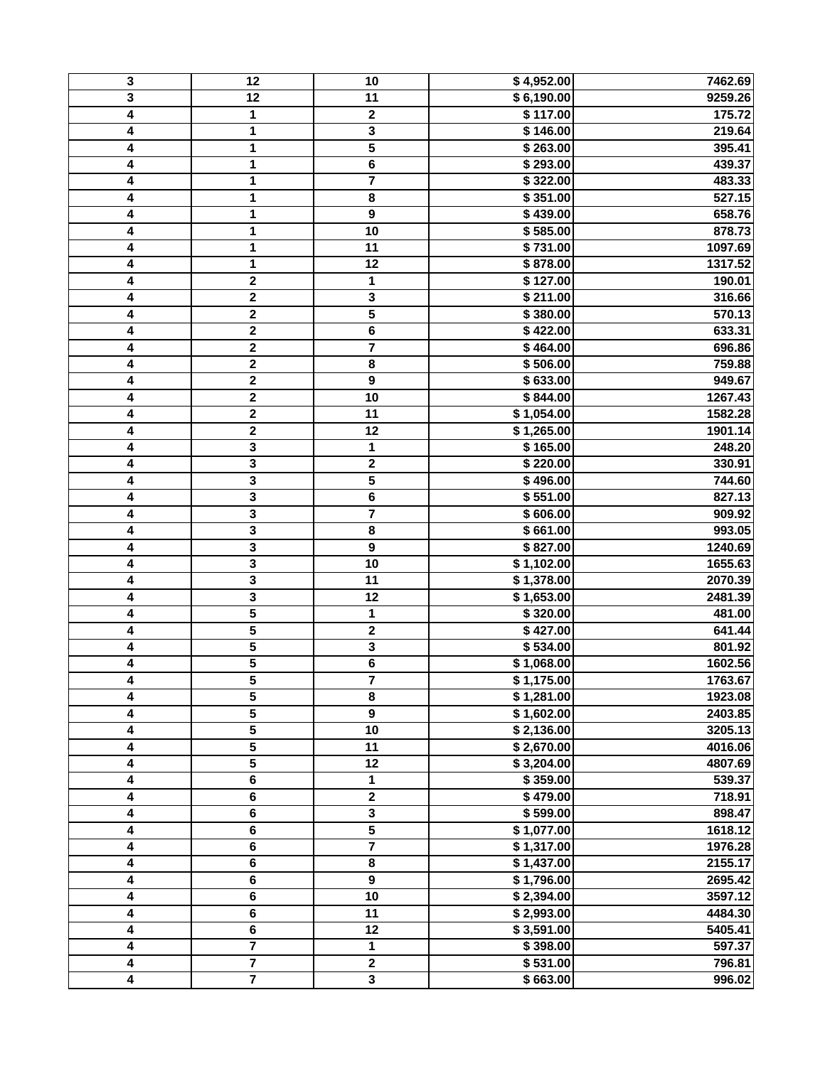| $\mathbf 3$             | 12                      | 10                      | \$4,952.00 | 7462.69 |
|-------------------------|-------------------------|-------------------------|------------|---------|
| $\overline{\mathbf{3}}$ | 12                      | 11                      | \$6,190.00 | 9259.26 |
| $\overline{\mathbf{4}}$ | 1                       | $\mathbf 2$             | \$117.00   | 175.72  |
| 4                       | 1                       | $\overline{\mathbf{3}}$ | \$146.00   | 219.64  |
| 4                       | $\overline{\mathbf{1}}$ | $\overline{\mathbf{5}}$ | \$263.00   | 395.41  |
| 4                       | 1                       | 6                       | \$293.00   | 439.37  |
| 4                       | 1                       | $\overline{\mathbf{7}}$ | \$322.00   | 483.33  |
| 4                       | 1                       | 8                       | \$351.00   | 527.15  |
| $\overline{\mathbf{4}}$ | $\overline{\mathbf{1}}$ | $\overline{9}$          | \$439.00   | 658.76  |
| 4                       | 1                       | $\overline{10}$         | \$585.00   | 878.73  |
| 4                       | 1                       | $\overline{11}$         | \$731.00   | 1097.69 |
| 4                       | 1                       | $\overline{12}$         | \$878.00   | 1317.52 |
| 4                       | 2                       | 1                       | \$127.00   | 190.01  |
| 4                       | $\overline{\mathbf{2}}$ | 3                       | \$211.00   | 316.66  |
| 4                       | $\overline{\mathbf{2}}$ | 5                       | \$380.00   | 570.13  |
| 4                       | $\overline{\mathbf{2}}$ | 6                       | \$422.00   | 633.31  |
| 4                       | 2                       | $\overline{\mathbf{r}}$ | \$464.00   | 696.86  |
| $\overline{\mathbf{4}}$ | $\overline{2}$          | 8                       | \$506.00   | 759.88  |
| 4                       | $\overline{\mathbf{2}}$ | 9                       | \$633.00   | 949.67  |
| $\overline{\mathbf{4}}$ | $\overline{\mathbf{2}}$ | 10                      | \$844.00   | 1267.43 |
| 4                       | $\overline{\mathbf{2}}$ | 11                      | \$1,054.00 | 1582.28 |
| 4                       | $\overline{2}$          | $\overline{12}$         | \$1,265.00 | 1901.14 |
| 4                       | 3                       | 1                       | \$165.00   | 248.20  |
| 4                       | $\overline{\mathbf{3}}$ | $\overline{2}$          | \$220.00   | 330.91  |
| 4                       | 3                       | 5                       | \$496.00   | 744.60  |
| 4                       | $\overline{\mathbf{3}}$ | 6                       | \$551.00   | 827.13  |
| 4                       | 3                       | $\overline{\mathbf{7}}$ | \$606.00   | 909.92  |
| 4                       | $\overline{\mathbf{3}}$ | 8                       | \$661.00   | 993.05  |
| 4                       | 3                       | 9                       | \$827.00   | 1240.69 |
| 4                       | $\overline{\mathbf{3}}$ | 10                      | \$1,102.00 | 1655.63 |
| 4                       | $\overline{\mathbf{3}}$ | 11                      | \$1,378.00 | 2070.39 |
| 4                       | $\overline{\mathbf{3}}$ | 12                      | \$1,653.00 | 2481.39 |
| $\overline{\mathbf{4}}$ | 5                       | $\mathbf{1}$            | \$320.00   | 481.00  |
| $\overline{4}$          | 5                       | $\overline{2}$          | \$427.00   | 641.44  |
| 4                       | 5                       | $\overline{\mathbf{3}}$ | \$534.00   | 801.92  |
| $\overline{\mathbf{4}}$ | 5                       | $\overline{\mathbf{6}}$ | \$1,068.00 | 1602.56 |
| 4                       | 5                       | 7                       | \$1,175.00 | 1763.67 |
| $\overline{\mathbf{4}}$ | 5                       | $\overline{\mathbf{8}}$ | \$1,281.00 | 1923.08 |
| $\overline{\mathbf{4}}$ | 5                       | $\overline{9}$          | \$1,602.00 | 2403.85 |
| 4                       | 5                       | 10                      | \$2,136.00 | 3205.13 |
| $\overline{\mathbf{4}}$ | 5                       | $\overline{11}$         | \$2,670.00 | 4016.06 |
| $\overline{\mathbf{4}}$ | 5                       | 12                      | \$3,204.00 | 4807.69 |
| 4                       | $\overline{\mathbf{6}}$ | $\overline{\mathbf{1}}$ | \$359.00   | 539.37  |
| 4                       | 6                       | $\overline{2}$          | \$479.00   | 718.91  |
| 4                       | 6                       | $\overline{\mathbf{3}}$ | \$599.00   | 898.47  |
| 4                       | 6                       | $\overline{\mathbf{5}}$ | \$1,077.00 | 1618.12 |
| 4                       | $\overline{\mathbf{6}}$ | 7                       | \$1,317.00 | 1976.28 |
| 4                       | $\overline{\mathbf{6}}$ | $\overline{\mathbf{8}}$ | \$1,437.00 | 2155.17 |
| 4                       | $\overline{\mathbf{6}}$ | $\overline{9}$          | \$1,796.00 | 2695.42 |
| $\overline{\mathbf{4}}$ | $\overline{\mathbf{6}}$ | 10                      | \$2,394.00 | 3597.12 |
| $\overline{\mathbf{4}}$ | $\overline{\mathbf{6}}$ | $\overline{11}$         | \$2,993.00 | 4484.30 |
| 4                       | $\overline{\mathbf{6}}$ | $\overline{12}$         | \$3,591.00 | 5405.41 |
| $\overline{\mathbf{4}}$ | $\overline{\mathbf{7}}$ | $\mathbf{1}$            | \$398.00   | 597.37  |
| $\overline{\mathbf{4}}$ | $\overline{\mathbf{7}}$ | $\mathbf 2$             | \$531.00   | 796.81  |
| $\overline{\mathbf{4}}$ | $\overline{\mathbf{7}}$ | $\overline{\mathbf{3}}$ | \$663.00   | 996.02  |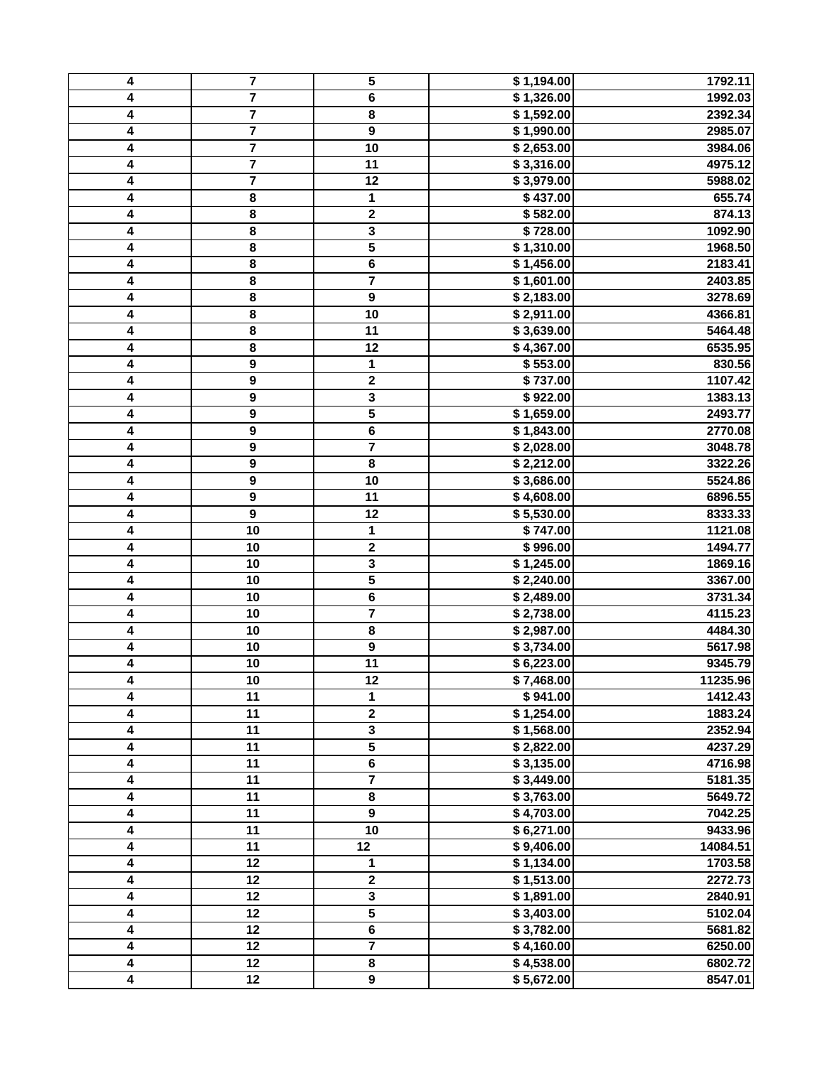| 4                       | $\overline{\mathbf{7}}$ | $\overline{\mathbf{5}}$ | \$1,194.00        | 1792.11  |
|-------------------------|-------------------------|-------------------------|-------------------|----------|
| $\overline{\mathbf{4}}$ | $\overline{\mathbf{7}}$ | $\overline{\mathbf{6}}$ | \$1,326.00        | 1992.03  |
| $\overline{\mathbf{4}}$ | $\overline{\mathbf{7}}$ | 8                       | \$1,592.00        | 2392.34  |
| 4                       | $\overline{\mathbf{7}}$ | 9                       | \$1,990.00        | 2985.07  |
| $\overline{\mathbf{4}}$ | $\overline{\mathbf{7}}$ | 10                      | \$2,653.00        | 3984.06  |
| $\overline{\mathbf{4}}$ | $\overline{\mathbf{7}}$ | $\overline{11}$         | \$3,316.00        | 4975.12  |
| 4                       | $\overline{\mathbf{7}}$ | $\overline{12}$         | \$3,979.00        | 5988.02  |
| 4                       | $\overline{\mathbf{8}}$ | 1                       | \$437.00          | 655.74   |
| 4                       | $\overline{\mathbf{8}}$ | $\overline{\mathbf{2}}$ | \$582.00          | 874.13   |
| 4                       | $\overline{\mathbf{8}}$ | $\overline{\mathbf{3}}$ | \$728.00          | 1092.90  |
| 4                       | 8                       | 5                       | \$1,310.00        | 1968.50  |
| 4                       | 8                       | 6                       | \$1,456.00        | 2183.41  |
| $\overline{\mathbf{4}}$ | 8                       | $\overline{\mathbf{7}}$ | \$1,601.00        | 2403.85  |
| 4                       | $\bf8$                  | $\boldsymbol{9}$        | \$2,183.00        | 3278.69  |
| 4                       | $\overline{\mathbf{8}}$ | 10                      | $\sqrt{2,911.00}$ | 4366.81  |
| 4                       | $\overline{\mathbf{8}}$ | 11                      | \$3,639.00        | 5464.48  |
| $\overline{\mathbf{4}}$ | 8                       | 12                      | \$4,367.00        | 6535.95  |
| $\overline{\mathbf{4}}$ | 9                       | $\mathbf 1$             | \$553.00          | 830.56   |
| $\overline{\mathbf{4}}$ | $\overline{9}$          | $\overline{2}$          | \$737.00          | 1107.42  |
| 4                       | $\boldsymbol{9}$        | 3                       | \$922.00          | 1383.13  |
| 4                       | $\boldsymbol{9}$        | $\overline{\mathbf{5}}$ | \$1,659.00        | 2493.77  |
| 4                       | $\boldsymbol{9}$        | $\bf 6$                 | \$1,843.00        | 2770.08  |
| 4                       | $\overline{9}$          | $\overline{\mathbf{z}}$ | \$2,028.00        | 3048.78  |
| 4                       | 9                       | 8                       | \$2,212.00        | 3322.26  |
| 4                       | $\boldsymbol{9}$        | 10                      | \$3,686.00        | 5524.86  |
| 4                       | $\boldsymbol{9}$        | 11                      | \$4,608.00        | 6896.55  |
| 4                       | $\overline{9}$          | $\overline{12}$         | \$5,530.00        | 8333.33  |
| 4                       | 10                      | 1                       | \$747.00          | 1121.08  |
| $\overline{\mathbf{4}}$ | 10                      | $\overline{\mathbf{2}}$ | \$996.00          | 1494.77  |
| $\overline{\mathbf{4}}$ | 10                      | 3                       | \$1,245.00        | 1869.16  |
| $\overline{\mathbf{4}}$ | 10                      | 5                       | \$2,240.00        | 3367.00  |
| 4                       | 10                      | 6                       | \$2,489.00        | 3731.34  |
| $\overline{\mathbf{4}}$ | 10                      | $\overline{\mathbf{r}}$ | \$2,738.00        | 4115.23  |
| $\overline{\mathbf{4}}$ | 10                      | $\overline{\mathbf{8}}$ | \$2,987.00        | 4484.30  |
| $\overline{4}$          | 10                      | $\overline{9}$          | \$3,734.00        | 5617.98  |
| $\overline{\mathbf{4}}$ | 10                      | 11                      | \$6,223.00        | 9345.79  |
| 4                       | 10                      | 12                      | \$7,468.00        | 11235.96 |
| 4                       | $\overline{11}$         | 1                       | \$941.00          | 1412.43  |
| 4                       | $\overline{11}$         | $\overline{2}$          | \$1,254.00        | 1883.24  |
| 4                       | $\overline{11}$         | 3                       | \$1,568.00        | 2352.94  |
| 4                       | $\overline{11}$         | 5                       | \$2,822.00        | 4237.29  |
| $\overline{\mathbf{4}}$ | $\overline{11}$         | $\overline{\mathbf{6}}$ | \$3,135.00        | 4716.98  |
| $\overline{\mathbf{4}}$ | $\overline{11}$         | 7                       | \$3,449.00        | 5181.35  |
| 4                       | $\overline{11}$         | $\overline{\mathbf{8}}$ | \$3,763.00        | 5649.72  |
| 4                       | $\overline{11}$         | $\overline{9}$          | \$4,703.00        | 7042.25  |
| 4                       | $\overline{11}$         | $\overline{10}$         | \$6,271.00        | 9433.96  |
| 4                       | $\overline{11}$         | $\overline{12}$         | \$9,406.00        | 14084.51 |
| 4                       | $\overline{12}$         | 1                       | \$1,134.00        | 1703.58  |
| 4                       | 12                      | $\overline{\mathbf{2}}$ | \$1,513.00        | 2272.73  |
| $\overline{\mathbf{4}}$ | 12                      | $\overline{\mathbf{3}}$ | \$1,891.00        | 2840.91  |
| $\overline{\mathbf{4}}$ | 12                      | $\overline{\mathbf{5}}$ | \$3,403.00        | 5102.04  |
| $\overline{\mathbf{4}}$ | 12                      | $\overline{6}$          | \$3,782.00        | 5681.82  |
| 4                       | 12                      | $\overline{\mathbf{7}}$ | \$4,160.00        | 6250.00  |
| $\overline{\mathbf{4}}$ | 12                      | $\overline{\mathbf{8}}$ | \$4,538.00        | 6802.72  |
| $\overline{\mathbf{4}}$ | 12                      | $\overline{9}$          | \$5,672.00        | 8547.01  |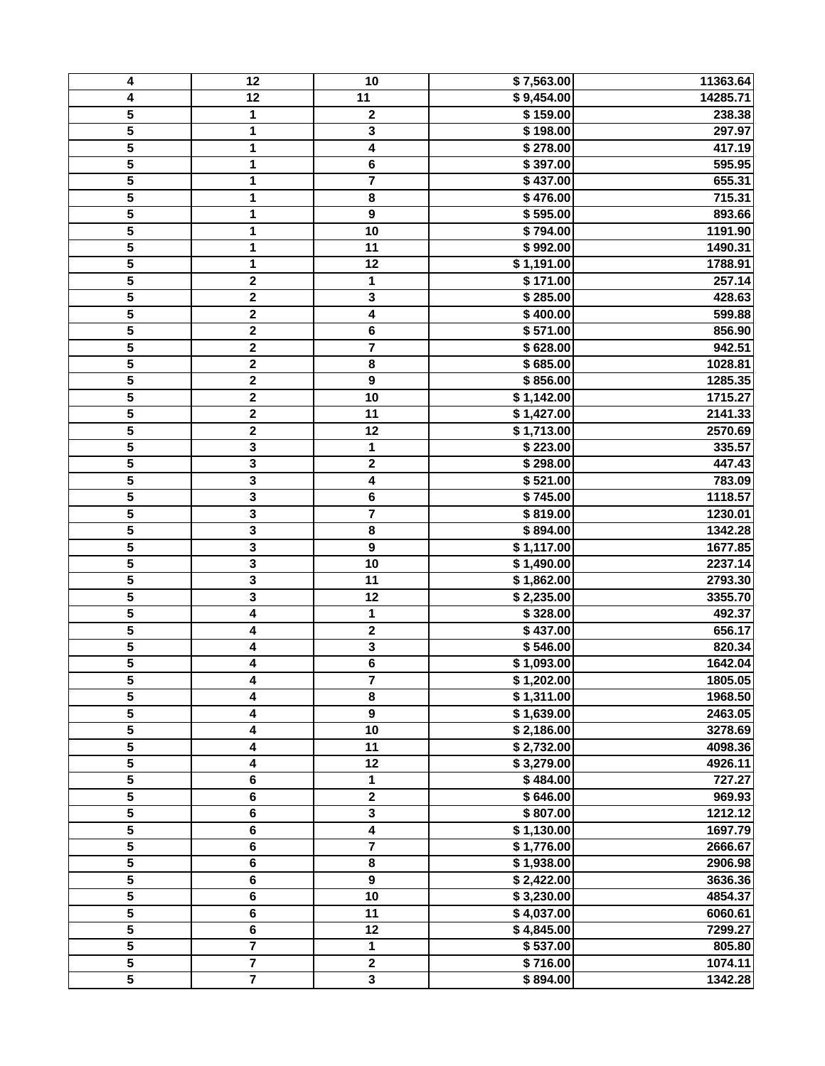| $\overline{\mathbf{4}}$ | 12                      | 10                      | \$7,563.00 | 11363.64 |
|-------------------------|-------------------------|-------------------------|------------|----------|
| 4                       | 12                      | 11                      | \$9,454.00 | 14285.71 |
| $\overline{\mathbf{5}}$ | 1                       | $\overline{\mathbf{2}}$ | \$159.00   | 238.38   |
| $\overline{\mathbf{5}}$ | 1                       | $\overline{\mathbf{3}}$ | \$198.00   | 297.97   |
| $\overline{\mathbf{5}}$ | 1                       | 4                       | \$278.00   | 417.19   |
| $\overline{\mathbf{5}}$ | $\overline{\mathbf{1}}$ | $\overline{\mathbf{6}}$ | \$397.00   | 595.95   |
| $\overline{\mathbf{5}}$ | 1                       | $\overline{\mathbf{7}}$ | \$437.00   | 655.31   |
| $\overline{\mathbf{5}}$ | 1                       | $\overline{\mathbf{8}}$ | \$476.00   | 715.31   |
| $\overline{\mathbf{5}}$ | 1                       | $\overline{9}$          | \$595.00   | 893.66   |
| $\overline{5}$          | $\overline{\mathbf{1}}$ | $\overline{10}$         | \$794.00   | 1191.90  |
| 5                       | $\overline{\mathbf{1}}$ | $\overline{11}$         | \$992.00   | 1490.31  |
| 5                       | 1                       | $\overline{12}$         | \$1,191.00 | 1788.91  |
| 5                       | 2                       | 1                       | \$171.00   | 257.14   |
| $\overline{\mathbf{5}}$ | 2                       | 3                       | \$285.00   | 428.63   |
| $\overline{\mathbf{5}}$ | $\overline{\mathbf{2}}$ | $\overline{\mathbf{4}}$ | \$400.00   | 599.88   |
| 5                       | 2                       | 6                       | \$571.00   | 856.90   |
| $\overline{\mathbf{5}}$ | $\overline{\mathbf{2}}$ | $\overline{\mathbf{r}}$ | \$628.00   | 942.51   |
| $\overline{\mathbf{5}}$ | $\overline{\mathbf{c}}$ | 8                       | \$685.00   | 1028.81  |
| $\overline{\mathbf{5}}$ | $\overline{\mathbf{2}}$ | $\overline{9}$          | \$856.00   | 1285.35  |
| $\overline{\mathbf{5}}$ | $\overline{\mathbf{2}}$ | 10                      | \$1,142.00 | 1715.27  |
| $\overline{\mathbf{5}}$ | $\overline{2}$          | 11                      | \$1,427.00 | 2141.33  |
| ${\bf 5}$               | $\overline{\mathbf{2}}$ | 12                      | \$1,713.00 | 2570.69  |
| $\overline{\mathbf{5}}$ | $\overline{\mathbf{3}}$ | 1                       | \$223.00   | 335.57   |
| 5                       | 3                       | $\overline{\mathbf{2}}$ | \$298.00   | 447.43   |
| 5                       | $\overline{\mathbf{3}}$ | 4                       | \$521.00   | 783.09   |
| $\overline{\mathbf{5}}$ | 3                       | 6                       | \$745.00   | 1118.57  |
| 5                       | $\overline{\mathbf{3}}$ | $\overline{\mathbf{7}}$ | \$819.00   | 1230.01  |
| 5                       | 3                       | $\overline{\mathbf{8}}$ | \$894.00   | 1342.28  |
| 5                       | $\overline{\mathbf{3}}$ | $\overline{9}$          | \$1,117.00 | 1677.85  |
| $\overline{\mathbf{5}}$ | 3                       | $\overline{10}$         | \$1,490.00 | 2237.14  |
| $\overline{\mathbf{5}}$ | $\overline{\mathbf{3}}$ | $\overline{11}$         | \$1,862.00 | 2793.30  |
| 5                       | $\overline{\mathbf{3}}$ | $\overline{12}$         | \$2,235.00 | 3355.70  |
| $\overline{\mathbf{5}}$ | 4                       | $\mathbf{1}$            | \$328.00   | 492.37   |
| $\overline{5}$          | 4                       | $\overline{2}$          | \$437.00   | 656.17   |
| $\overline{\mathbf{5}}$ | 4                       | $\overline{\mathbf{3}}$ | \$546.00   | 820.34   |
| $\overline{5}$          | 4                       | $\overline{\mathbf{6}}$ | \$1,093.00 | 1642.04  |
| 5                       | 4                       | 7                       | \$1,202.00 | 1805.05  |
| $\overline{5}$          | 4                       | $\overline{\mathbf{8}}$ | \$1,311.00 | 1968.50  |
| 5                       | 4                       | $\overline{9}$          | \$1,639.00 | 2463.05  |
| 5                       | 4                       | 10                      | \$2,186.00 | 3278.69  |
| 5                       | 4                       | $\overline{11}$         | \$2,732.00 | 4098.36  |
| 5                       | 4                       | $\overline{12}$         | \$3,279.00 | 4926.11  |
| 5                       | $\overline{\mathbf{6}}$ | $\overline{\mathbf{1}}$ | \$484.00   | 727.27   |
| 5                       | $\overline{\mathbf{6}}$ | $\overline{2}$          | \$646.00   | 969.93   |
| 5                       | 6                       | 3                       | \$807.00   | 1212.12  |
| 5                       | $\overline{\mathbf{6}}$ | 4                       | \$1,130.00 | 1697.79  |
| 5                       | 6                       | $\overline{\mathbf{r}}$ | \$1,776.00 | 2666.67  |
| 5                       | $\overline{\mathbf{6}}$ | $\overline{\mathbf{8}}$ | \$1,938.00 | 2906.98  |
| 5                       | $\overline{\mathbf{6}}$ | $\overline{9}$          | \$2,422.00 | 3636.36  |
| 5                       | $\overline{\mathbf{6}}$ | 10                      | \$3,230.00 | 4854.37  |
| $\overline{\mathbf{5}}$ | $\overline{\mathbf{6}}$ | 11                      | \$4,037.00 | 6060.61  |
| $\overline{\mathbf{5}}$ | $\overline{\mathbf{6}}$ | $\overline{12}$         | \$4,845.00 | 7299.27  |
| $\overline{\mathbf{5}}$ | $\overline{7}$          | $\mathbf{1}$            | \$537.00   | 805.80   |
| $\overline{\mathbf{5}}$ | $\overline{\mathbf{7}}$ | $\overline{2}$          | \$716.00   | 1074.11  |
| $\overline{\mathbf{5}}$ | $\overline{\mathbf{7}}$ | $\overline{\mathbf{3}}$ | \$894.00   | 1342.28  |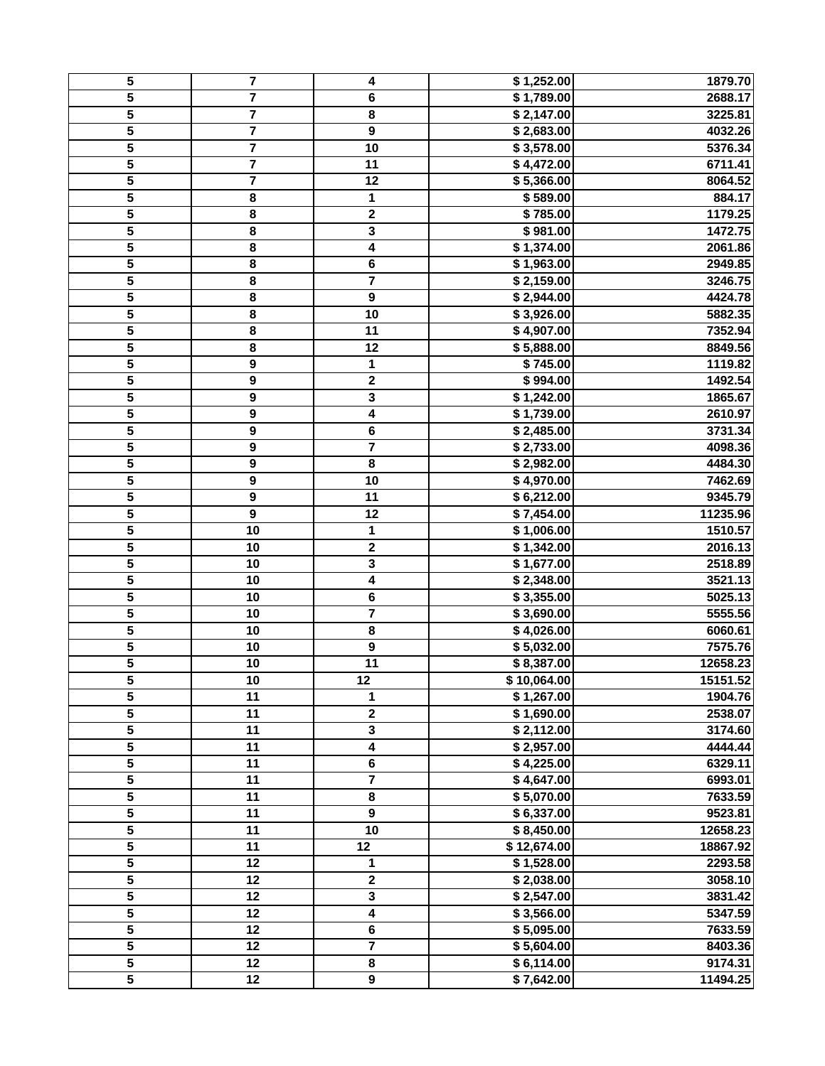| $\overline{\mathbf{5}}$ | $\overline{\mathbf{7}}$ | 4                       | \$1,252.00        | 1879.70  |
|-------------------------|-------------------------|-------------------------|-------------------|----------|
| $\overline{\mathbf{5}}$ | $\overline{\mathbf{7}}$ | $\bf 6$                 | \$1,789.00        | 2688.17  |
| $\overline{\mathbf{5}}$ | $\overline{\mathbf{7}}$ | 8                       | \$2,147.00        | 3225.81  |
| $\overline{\mathbf{5}}$ | $\overline{\mathbf{7}}$ | 9                       | \$2,683.00        | 4032.26  |
| $\overline{\mathbf{5}}$ | $\overline{\mathbf{7}}$ | 10                      | \$3,578.00        | 5376.34  |
| $\overline{\mathbf{5}}$ | $\overline{\mathbf{7}}$ | $\overline{11}$         | \$4,472.00        | 6711.41  |
| $\overline{\mathbf{5}}$ | $\overline{\mathbf{7}}$ | $\overline{12}$         | \$5,366.00        | 8064.52  |
| 5                       | $\overline{\mathbf{8}}$ | 1                       | \$589.00          | 884.17   |
| 5                       | $\overline{\mathbf{8}}$ | $\overline{\mathbf{2}}$ | \$785.00          | 1179.25  |
| $\overline{5}$          | $\overline{\mathbf{8}}$ | 3                       | \$981.00          | 1472.75  |
| 5                       | 8                       | 4                       | \$1,374.00        | 2061.86  |
| 5                       | $\overline{\mathbf{8}}$ | 6                       | \$1,963.00        | 2949.85  |
| 5                       | 8                       | 7                       | \$2,159.00        | 3246.75  |
| $\overline{\mathbf{5}}$ | $\bf8$                  | $\boldsymbol{9}$        | \$2,944.00        | 4424.78  |
| $\overline{\mathbf{5}}$ | $\overline{\mathbf{8}}$ | $\overline{10}$         | \$3,926.00        | 5882.35  |
| 5                       | $\overline{\mathbf{8}}$ | 11                      | \$4,907.00        | 7352.94  |
| 5                       | $\overline{\mathbf{8}}$ | 12                      | \$5,888.00        | 8849.56  |
| 5                       | 9                       | 1                       | \$745.00          | 1119.82  |
| $\overline{\mathbf{5}}$ | $\overline{9}$          | $\overline{2}$          | \$994.00          | 1492.54  |
| $\overline{\mathbf{5}}$ | $\boldsymbol{9}$        | 3                       | \$1,242.00        | 1865.67  |
| $\overline{\mathbf{5}}$ | $\boldsymbol{9}$        | 4                       | \$1,739.00        | 2610.97  |
| $\overline{\mathbf{5}}$ | $\overline{9}$          | $\bf 6$                 | \$2,485.00        | 3731.34  |
| 5                       | $\overline{9}$          | $\overline{\mathbf{z}}$ | \$2,733.00        | 4098.36  |
| 5                       | 9                       | 8                       | \$2,982.00        | 4484.30  |
| 5                       | 9                       | 10                      | \$4,970.00        | 7462.69  |
| 5                       | $\boldsymbol{9}$        | 11                      | \$6,212.00        | 9345.79  |
| $\overline{\mathbf{5}}$ | $\overline{9}$          | $\overline{12}$         | \$7,454.00        | 11235.96 |
| 5                       | 10                      | 1                       | \$1,006.00        | 1510.57  |
| 5                       | 10                      | $\overline{\mathbf{2}}$ | \$1,342.00        | 2016.13  |
| $\overline{\mathbf{5}}$ | 10                      | 3                       | \$1,677.00        | 2518.89  |
| $\overline{\mathbf{5}}$ | 10                      | $\overline{\mathbf{4}}$ | $\sqrt{2,348.00}$ | 3521.13  |
| 5                       | 10                      | 6                       | \$3,355.00        | 5025.13  |
| $\overline{\mathbf{5}}$ | 10                      | $\overline{\mathbf{z}}$ | \$3,690.00        | 5555.56  |
| $\overline{\mathbf{5}}$ | 10                      | $\overline{\mathbf{8}}$ | \$4,026.00        | 6060.61  |
| $\overline{5}$          | 10                      | $\overline{9}$          | \$5,032.00        | 7575.76  |
| $\overline{5}$          | 10                      | 11                      | \$8,387.00        | 12658.23 |
| 5                       | 10                      | 12                      | \$10,064.00       | 15151.52 |
| $\overline{5}$          | 11                      | 1                       | \$1,267.00        | 1904.76  |
| $\overline{5}$          | $\overline{11}$         | $\overline{2}$          | \$1,690.00        | 2538.07  |
| 5                       | $\overline{11}$         | $\overline{\mathbf{3}}$ | \$2,112.00        | 3174.60  |
| 5                       | $\overline{11}$         | $\overline{\mathbf{4}}$ | \$2,957.00        | 4444.44  |
| 5                       | $\overline{11}$         | $\overline{6}$          | \$4,225.00        | 6329.11  |
| 5                       | $\overline{11}$         | 7                       | \$4,647.00        | 6993.01  |
| 5                       | $\overline{11}$         | $\overline{\mathbf{8}}$ | \$5,070.00        | 7633.59  |
| 5                       | $\overline{11}$         | $\overline{9}$          | \$6,337.00        | 9523.81  |
| 5                       | $\overline{11}$         | $\overline{10}$         | \$8,450.00        | 12658.23 |
| 5                       | 11                      | $\overline{12}$         | \$12,674.00       | 18867.92 |
| 5                       | $\overline{12}$         | 1                       | \$1,528.00        | 2293.58  |
| 5                       | 12                      | $\overline{\mathbf{2}}$ | \$2,038.00        | 3058.10  |
| 5                       | 12                      | $\overline{\mathbf{3}}$ | \$2,547.00        | 3831.42  |
| $\overline{\mathbf{5}}$ | 12                      | $\overline{\bf{4}}$     | \$3,566.00        | 5347.59  |
| $\overline{\mathbf{5}}$ | 12                      | $\overline{\mathbf{6}}$ | \$5,095.00        | 7633.59  |
| $\overline{\mathbf{5}}$ | 12                      | $\overline{\mathbf{7}}$ | \$5,604.00        | 8403.36  |
| $\overline{\mathbf{5}}$ | 12                      | $\overline{\mathbf{8}}$ | \$6,114.00        | 9174.31  |
| $\overline{\mathbf{5}}$ | 12                      | $\overline{9}$          | \$7,642.00        | 11494.25 |
|                         |                         |                         |                   |          |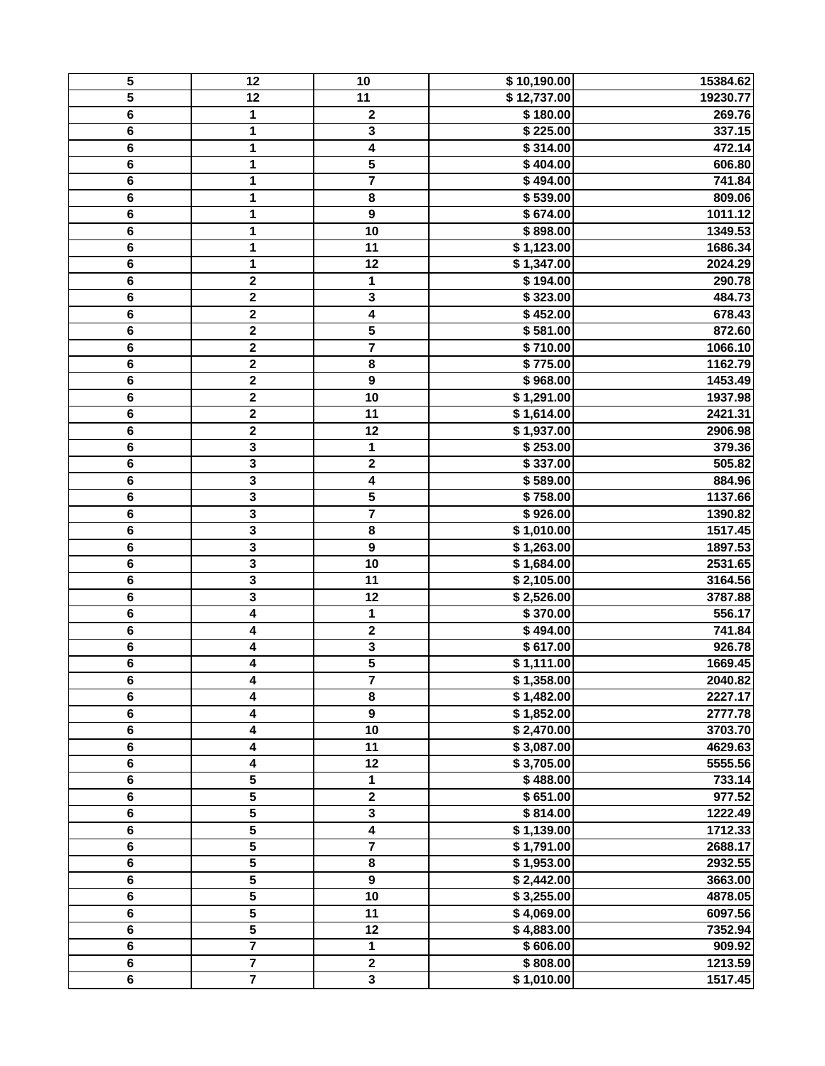| $\overline{\mathbf{5}}$ | 12                      | 10                      | \$10,190.00 | 15384.62 |
|-------------------------|-------------------------|-------------------------|-------------|----------|
| 5                       | 12                      | 11                      | \$12,737.00 | 19230.77 |
| $\bf 6$                 | 1                       | $\mathbf 2$             | \$180.00    | 269.76   |
| $\bf 6$                 | 1                       | 3                       | \$225.00    | 337.15   |
| $\overline{\mathbf{6}}$ | $\overline{\mathbf{1}}$ | $\overline{\mathbf{4}}$ | \$314.00    | 472.14   |
| $\bf 6$                 | 1                       | 5                       | \$404.00    | 606.80   |
| 6                       | 1                       | 7                       | \$494.00    | 741.84   |
| 6                       | 1                       | $\overline{\mathbf{8}}$ | \$539.00    | 809.06   |
| 6                       | $\overline{\mathbf{1}}$ | $\overline{9}$          | \$674.00    | 1011.12  |
| 6                       | 1                       | $\overline{10}$         | \$898.00    | 1349.53  |
| $\overline{\mathbf{6}}$ | 1                       | $\overline{11}$         | \$1,123.00  | 1686.34  |
| $\overline{\mathbf{6}}$ | 1                       | $\overline{12}$         | \$1,347.00  | 2024.29  |
| $\overline{\mathbf{6}}$ | $\overline{2}$          | $\overline{\mathbf{1}}$ | \$194.00    | 290.78   |
| $\overline{\mathbf{6}}$ | $\overline{2}$          | 3                       | \$323.00    | 484.73   |
| 6                       | $\overline{\mathbf{2}}$ | $\overline{\mathbf{4}}$ | \$452.00    | 678.43   |
| 6                       | $\overline{2}$          | 5                       | \$581.00    | 872.60   |
| 6                       | $\overline{\mathbf{2}}$ | $\overline{\mathbf{7}}$ | \$710.00    | 1066.10  |
| 6                       | $\overline{\mathbf{2}}$ | $\overline{\mathbf{8}}$ | \$775.00    | 1162.79  |
| $\overline{\mathbf{6}}$ | $\overline{\mathbf{2}}$ | $\overline{9}$          | \$968.00    | 1453.49  |
| $\overline{\mathbf{6}}$ | $\overline{\mathbf{2}}$ | $\overline{10}$         | \$1,291.00  | 1937.98  |
| $\bf 6$                 | $\overline{2}$          | 11                      | \$1,614.00  | 2421.31  |
| $\bf 6$                 | $\overline{\mathbf{2}}$ | $\overline{12}$         | \$1,937.00  | 2906.98  |
| 6                       | 3                       | $\mathbf{1}$            | \$253.00    | 379.36   |
| 6                       | $\overline{\mathbf{3}}$ | $\overline{2}$          | \$337.00    | 505.82   |
| 6                       | 3                       | 4                       | \$589.00    | 884.96   |
| 6                       | $\overline{\mathbf{3}}$ | 5                       | \$758.00    | 1137.66  |
| $\overline{\mathbf{6}}$ | $\overline{\mathbf{3}}$ | $\overline{\mathbf{7}}$ | \$926.00    | 1390.82  |
| $\overline{\mathbf{6}}$ | $\overline{\mathbf{3}}$ | $\overline{\mathbf{8}}$ | \$1,010.00  | 1517.45  |
| $\bf 6$                 | 3                       | $\overline{9}$          | \$1,263.00  | 1897.53  |
| $\overline{\mathbf{6}}$ | $\overline{\mathbf{3}}$ | 10                      | \$1,684.00  | 2531.65  |
| 6                       | $\overline{\mathbf{3}}$ | $\overline{11}$         | \$2,105.00  | 3164.56  |
| 6                       | $\overline{\mathbf{3}}$ | 12                      | \$2,526.00  | 3787.88  |
| 6                       | 4                       | $\overline{1}$          | \$370.00    | 556.17   |
| $\overline{\mathbf{6}}$ | 4                       | $\overline{2}$          | \$494.00    | 741.84   |
| $\overline{\mathbf{6}}$ | 4                       | $\overline{\mathbf{3}}$ | \$617.00    | 926.78   |
| $\overline{\mathbf{6}}$ | 4                       | 5                       | \$1,111.00  | 1669.45  |
| 6                       | 4                       | 7                       | \$1,358.00  | 2040.82  |
| $\overline{6}$          | 4                       | $\overline{\mathbf{8}}$ | \$1,482.00  | 2227.17  |
| $\overline{\mathbf{6}}$ | 4                       | $\overline{9}$          | \$1,852.00  | 2777.78  |
| $\overline{\mathbf{6}}$ | 4                       | 10                      | \$2,470.00  | 3703.70  |
| $\overline{\mathbf{6}}$ | 4                       | $\overline{11}$         | \$3,087.00  | 4629.63  |
| $\overline{\mathbf{6}}$ | 4                       | 12                      | \$3,705.00  | 5555.56  |
| 6                       | 5                       | $\overline{\mathbf{1}}$ | \$488.00    | 733.14   |
| 6                       | 5                       | $\overline{\mathbf{2}}$ | \$651.00    | 977.52   |
| $\overline{\mathbf{6}}$ | 5                       | $\overline{3}$          | \$814.00    | 1222.49  |
| 6                       | 5                       | $\overline{\mathbf{4}}$ | \$1,139.00  | 1712.33  |
| $\overline{\mathbf{6}}$ | 5                       | $\overline{\mathbf{7}}$ | \$1,791.00  | 2688.17  |
| $\bf 6$                 | $\overline{5}$          | $\overline{\mathbf{8}}$ | \$1,953.00  | 2932.55  |
| $\overline{\mathbf{6}}$ | 5                       | $\overline{9}$          | \$2,442.00  | 3663.00  |
| $\bf 6$                 |                         | 10                      | \$3,255.00  | 4878.05  |
| 6                       | $\frac{5}{5}$           | 11                      | \$4,069.00  | 6097.56  |
| $\bf 6$                 | 5                       | 12                      | \$4,883.00  | 7352.94  |
| $\bf 6$                 | $\overline{\mathbf{7}}$ | 1                       | \$606.00    | 909.92   |
| 6                       | $\overline{7}$          | $\overline{\mathbf{2}}$ | \$808.00    | 1213.59  |
| $\overline{\mathbf{6}}$ |                         | $\overline{\mathbf{3}}$ | \$1,010.00  | 1517.45  |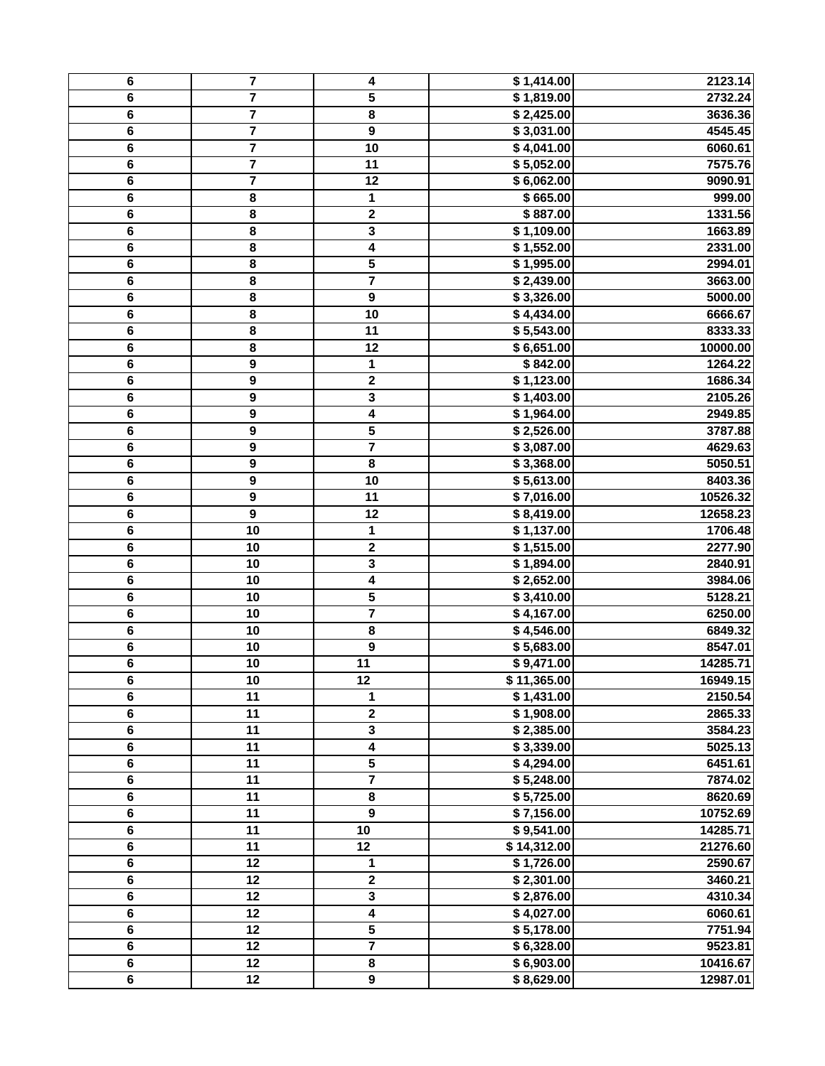| $\bf 6$                 | $\overline{\mathbf{7}}$ | 4                       | \$1,414.00        | 2123.14  |
|-------------------------|-------------------------|-------------------------|-------------------|----------|
| $\bf 6$                 | $\overline{\mathbf{7}}$ | $\overline{\mathbf{5}}$ | \$1,819.00        | 2732.24  |
| 6                       | $\overline{\mathbf{7}}$ | 8                       | \$2,425.00        | 3636.36  |
| $\overline{\mathbf{6}}$ | $\overline{\mathbf{7}}$ | 9                       | \$3,031.00        | 4545.45  |
| $\overline{\mathbf{6}}$ | $\overline{\mathbf{7}}$ | 10                      | \$4,041.00        | 6060.61  |
| $\overline{\mathbf{6}}$ | $\overline{\mathbf{7}}$ | $\overline{11}$         | \$5,052.00        | 7575.76  |
| $\bf 6$                 | $\overline{\mathbf{7}}$ | $\overline{12}$         | \$6,062.00        | 9090.91  |
| 6                       | $\overline{\mathbf{8}}$ | 1                       | \$665.00          | 999.00   |
| 6                       | $\overline{\mathbf{8}}$ | $\overline{\mathbf{2}}$ | \$887.00          | 1331.56  |
| 6                       | $\overline{\mathbf{8}}$ | 3                       | \$1,109.00        | 1663.89  |
| 6                       | 8                       | 4                       | \$1,552.00        | 2331.00  |
| 6                       | 8                       | 5                       | $\sqrt{1,995.00}$ | 2994.01  |
| 6                       | 8                       | $\overline{\mathbf{7}}$ | \$2,439.00        | 3663.00  |
| $\bf 6$                 | $\bf8$                  | $\boldsymbol{9}$        | \$3,326.00        | 5000.00  |
| $\bf 6$                 | $\overline{\mathbf{8}}$ | 10                      | \$4,434.00        | 6666.67  |
| 6                       | $\overline{\mathbf{8}}$ | 11                      | \$5,543.00        | 8333.33  |
| $\bf 6$                 | $\overline{\mathbf{8}}$ | 12                      | \$6,651.00        | 10000.00 |
| 6                       | 9                       | $\mathbf{1}$            | \$842.00          | 1264.22  |
| 6                       | $\overline{9}$          | $\overline{2}$          | \$1,123.00        | 1686.34  |
| 6                       | $\boldsymbol{9}$        | 3                       | \$1,403.00        | 2105.26  |
| 6                       | $\boldsymbol{9}$        | 4                       | \$1,964.00        | 2949.85  |
| $\bf 6$                 | $\overline{9}$          | $\overline{\mathbf{5}}$ | \$2,526.00        | 3787.88  |
| 6                       | $\overline{9}$          |                         | \$3,087.00        | 4629.63  |
| 6                       | 9                       | 8                       | \$3,368.00        | 5050.51  |
| 6                       | 9                       | 10                      | \$5,613.00        | 8403.36  |
| 6                       | 9                       | 11                      | \$7,016.00        | 10526.32 |
| $\bf 6$                 | $\overline{9}$          | $\overline{12}$         | \$8,419.00        | 12658.23 |
| 6                       | 10                      | 1                       | \$1,137.00        | 1706.48  |
| $\bf 6$                 | 10                      | $\overline{\mathbf{2}}$ | \$1,515.00        | 2277.90  |
| $\bf 6$                 | 10                      | 3                       | \$1,894.00        | 2840.91  |
| $\bf 6$                 | 10                      | $\overline{\mathbf{4}}$ | $\sqrt{2,652.00}$ | 3984.06  |
| 6                       | 10                      | 5                       | \$3,410.00        | 5128.21  |
| $\bf 6$                 | 10                      | $\overline{\mathbf{z}}$ | \$4,167.00        | 6250.00  |
| $\overline{\mathbf{6}}$ | 10                      | $\overline{\mathbf{8}}$ | \$4,546.00        | 6849.32  |
| $\overline{\mathbf{6}}$ | 10                      | $\overline{9}$          | \$5,683.00        | 8547.01  |
| $\overline{\mathbf{6}}$ | 10                      | $\overline{11}$         | \$9,471.00        | 14285.71 |
| 6                       | 10                      | 12                      | \$11,365.00       | 16949.15 |
| $\overline{6}$          | 11                      | 1                       | \$1,431.00        | 2150.54  |
| $\overline{\mathbf{6}}$ | $\overline{11}$         | $\overline{2}$          | \$1,908.00        | 2865.33  |
| $\overline{\mathbf{6}}$ | $\overline{11}$         | 3                       | \$2,385.00        | 3584.23  |
| 6                       | $\overline{11}$         | $\overline{\mathbf{4}}$ | \$3,339.00        | 5025.13  |
| 6                       | $\overline{11}$         | 5                       | \$4,294.00        | 6451.61  |
| 6                       | $\overline{11}$         | 7                       | \$5,248.00        | 7874.02  |
| $\bf 6$                 | $\overline{11}$         | $\overline{\mathbf{8}}$ | \$5,725.00        | 8620.69  |
| 6                       | $\overline{11}$         | 9                       | \$7,156.00        | 10752.69 |
| $\overline{\mathbf{6}}$ | $\overline{11}$         | 10                      | \$9,541.00        | 14285.71 |
| 6                       | 11                      | $\overline{12}$         | \$14,312.00       | 21276.60 |
| $\overline{\mathbf{6}}$ | $\overline{12}$         | 1                       | \$1,726.00        | 2590.67  |
| $\bf 6$                 | 12                      | $\overline{\mathbf{2}}$ | \$2,301.00        | 3460.21  |
| $\overline{\mathbf{6}}$ | 12                      | $\overline{\mathbf{3}}$ | \$2,876.00        | 4310.34  |
| $\bf 6$                 | 12                      | $\overline{\bf{4}}$     | \$4,027.00        | 6060.61  |
| 6                       | 12                      | $\overline{\mathbf{5}}$ | \$5,178.00        | 7751.94  |
| $\bf 6$                 | 12                      | $\overline{\mathbf{7}}$ | \$6,328.00        | 9523.81  |
| $\bf 6$                 | 12                      | $\overline{\mathbf{8}}$ | \$6,903.00        | 10416.67 |
| $\bf 6$                 | 12                      | $\overline{9}$          | \$8,629.00        | 12987.01 |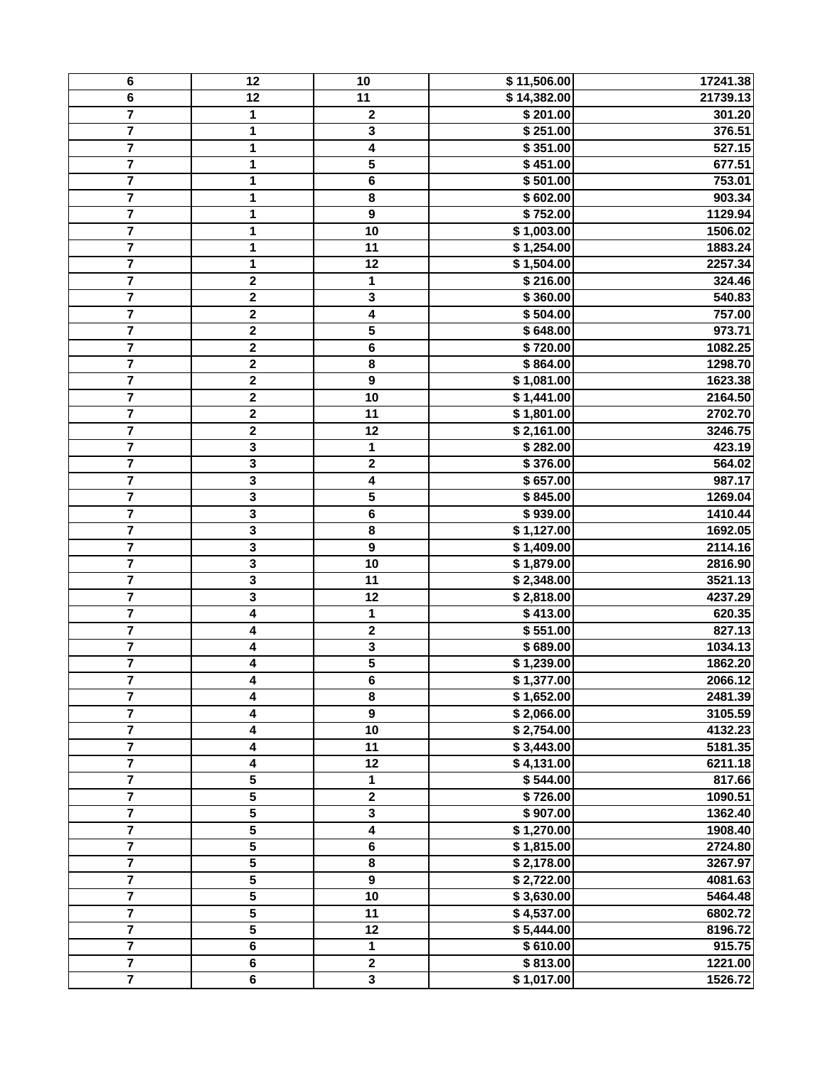| \$11,506.00<br>$\bf 6$<br>12<br>11<br>\$14,382.00<br>$\overline{\mathbf{7}}$<br>$\mathbf 2$<br>\$201.00<br>1<br>$\overline{\mathbf{7}}$<br>3<br>1<br>\$251.00<br>$\overline{\mathbf{7}}$<br>$\overline{\mathbf{1}}$<br>$\overline{\mathbf{4}}$<br>\$351.00<br>5<br>$\overline{\mathbf{7}}$<br>1<br>\$451.00<br>$\overline{\mathbf{7}}$<br>1<br>6<br>\$501.00<br>$\overline{\mathbf{7}}$<br>1<br>$\overline{\mathbf{8}}$<br>\$602.00<br>$\overline{\mathbf{7}}$<br>$\overline{\mathbf{1}}$<br>$\overline{9}$<br>\$752.00<br>$\overline{\mathbf{7}}$<br>1<br>$\overline{10}$<br>\$1,003.00<br>7<br>\$1,254.00<br>1<br>$\overline{11}$<br>\$1,504.00<br>$\overline{\mathbf{7}}$<br>1<br>$\overline{12}$<br>7<br>$\overline{\mathbf{2}}$<br>\$216.00<br>1<br>7<br>$\overline{\mathbf{2}}$<br>3<br>\$360.00<br>$\overline{\mathbf{2}}$<br>$\overline{\mathbf{7}}$<br>4<br>\$504.00 | 21739.13<br>301.20<br>376.51<br>527.15<br>677.51<br>753.01<br>903.34<br>1129.94<br>1506.02<br>1883.24<br>2257.34<br>324.46<br>540.83<br>757.00 |
|-------------------------------------------------------------------------------------------------------------------------------------------------------------------------------------------------------------------------------------------------------------------------------------------------------------------------------------------------------------------------------------------------------------------------------------------------------------------------------------------------------------------------------------------------------------------------------------------------------------------------------------------------------------------------------------------------------------------------------------------------------------------------------------------------------------------------------------------------------------------------------|------------------------------------------------------------------------------------------------------------------------------------------------|
|                                                                                                                                                                                                                                                                                                                                                                                                                                                                                                                                                                                                                                                                                                                                                                                                                                                                               |                                                                                                                                                |
|                                                                                                                                                                                                                                                                                                                                                                                                                                                                                                                                                                                                                                                                                                                                                                                                                                                                               |                                                                                                                                                |
|                                                                                                                                                                                                                                                                                                                                                                                                                                                                                                                                                                                                                                                                                                                                                                                                                                                                               |                                                                                                                                                |
|                                                                                                                                                                                                                                                                                                                                                                                                                                                                                                                                                                                                                                                                                                                                                                                                                                                                               |                                                                                                                                                |
|                                                                                                                                                                                                                                                                                                                                                                                                                                                                                                                                                                                                                                                                                                                                                                                                                                                                               |                                                                                                                                                |
|                                                                                                                                                                                                                                                                                                                                                                                                                                                                                                                                                                                                                                                                                                                                                                                                                                                                               |                                                                                                                                                |
|                                                                                                                                                                                                                                                                                                                                                                                                                                                                                                                                                                                                                                                                                                                                                                                                                                                                               |                                                                                                                                                |
|                                                                                                                                                                                                                                                                                                                                                                                                                                                                                                                                                                                                                                                                                                                                                                                                                                                                               |                                                                                                                                                |
|                                                                                                                                                                                                                                                                                                                                                                                                                                                                                                                                                                                                                                                                                                                                                                                                                                                                               |                                                                                                                                                |
|                                                                                                                                                                                                                                                                                                                                                                                                                                                                                                                                                                                                                                                                                                                                                                                                                                                                               |                                                                                                                                                |
|                                                                                                                                                                                                                                                                                                                                                                                                                                                                                                                                                                                                                                                                                                                                                                                                                                                                               |                                                                                                                                                |
|                                                                                                                                                                                                                                                                                                                                                                                                                                                                                                                                                                                                                                                                                                                                                                                                                                                                               |                                                                                                                                                |
|                                                                                                                                                                                                                                                                                                                                                                                                                                                                                                                                                                                                                                                                                                                                                                                                                                                                               |                                                                                                                                                |
|                                                                                                                                                                                                                                                                                                                                                                                                                                                                                                                                                                                                                                                                                                                                                                                                                                                                               |                                                                                                                                                |
| $\overline{\mathbf{2}}$<br>$\overline{\mathbf{7}}$<br>5<br>\$648.00                                                                                                                                                                                                                                                                                                                                                                                                                                                                                                                                                                                                                                                                                                                                                                                                           | 973.71                                                                                                                                         |
| $\overline{\mathbf{2}}$<br>$\overline{\mathbf{r}}$<br>6<br>\$720.00                                                                                                                                                                                                                                                                                                                                                                                                                                                                                                                                                                                                                                                                                                                                                                                                           | 1082.25                                                                                                                                        |
| $\overline{\mathbf{2}}$<br>$\overline{\mathbf{7}}$<br>$\overline{\mathbf{8}}$<br>\$864.00                                                                                                                                                                                                                                                                                                                                                                                                                                                                                                                                                                                                                                                                                                                                                                                     | 1298.70                                                                                                                                        |
| $\overline{\mathbf{2}}$<br>$\overline{\mathbf{7}}$<br>9<br>\$1,081.00                                                                                                                                                                                                                                                                                                                                                                                                                                                                                                                                                                                                                                                                                                                                                                                                         | 1623.38                                                                                                                                        |
| $\overline{\mathbf{2}}$<br>$\overline{\mathbf{7}}$<br>$\overline{10}$<br>\$1,441.00                                                                                                                                                                                                                                                                                                                                                                                                                                                                                                                                                                                                                                                                                                                                                                                           | 2164.50                                                                                                                                        |
| $\overline{2}$<br>$\bf 7$<br>11<br>\$1,801.00                                                                                                                                                                                                                                                                                                                                                                                                                                                                                                                                                                                                                                                                                                                                                                                                                                 | 2702.70                                                                                                                                        |
| $\overline{\mathbf{2}}$<br>$\overline{\mathbf{7}}$<br>$\overline{12}$<br>\$2,161.00                                                                                                                                                                                                                                                                                                                                                                                                                                                                                                                                                                                                                                                                                                                                                                                           | 3246.75                                                                                                                                        |
| $\overline{\mathbf{3}}$<br>$\overline{\mathbf{7}}$<br>1<br>\$282.00                                                                                                                                                                                                                                                                                                                                                                                                                                                                                                                                                                                                                                                                                                                                                                                                           | 423.19                                                                                                                                         |
| $\overline{\mathbf{3}}$<br>$\overline{\mathbf{7}}$<br>$\overline{\mathbf{2}}$<br>\$376.00                                                                                                                                                                                                                                                                                                                                                                                                                                                                                                                                                                                                                                                                                                                                                                                     | 564.02                                                                                                                                         |
| $\overline{\mathbf{3}}$<br>$\overline{\mathbf{7}}$<br>4<br>\$657.00                                                                                                                                                                                                                                                                                                                                                                                                                                                                                                                                                                                                                                                                                                                                                                                                           | 987.17                                                                                                                                         |
| $\overline{\mathbf{3}}$<br>5<br>$\overline{\mathbf{7}}$<br>\$845.00                                                                                                                                                                                                                                                                                                                                                                                                                                                                                                                                                                                                                                                                                                                                                                                                           | 1269.04                                                                                                                                        |
| $\overline{\mathbf{7}}$<br>$\overline{\mathbf{3}}$<br>6<br>\$939.00                                                                                                                                                                                                                                                                                                                                                                                                                                                                                                                                                                                                                                                                                                                                                                                                           | 1410.44                                                                                                                                        |
| $\overline{\mathbf{3}}$<br>$\overline{\mathbf{7}}$<br>8<br>\$1,127.00                                                                                                                                                                                                                                                                                                                                                                                                                                                                                                                                                                                                                                                                                                                                                                                                         | 1692.05                                                                                                                                        |
| 3<br>7<br>9<br>\$1,409.00                                                                                                                                                                                                                                                                                                                                                                                                                                                                                                                                                                                                                                                                                                                                                                                                                                                     | 2114.16                                                                                                                                        |
| $\overline{\mathbf{3}}$<br>10<br>$\overline{\mathbf{7}}$<br>\$1,879.00                                                                                                                                                                                                                                                                                                                                                                                                                                                                                                                                                                                                                                                                                                                                                                                                        | 2816.90                                                                                                                                        |
| $\overline{\mathbf{3}}$<br>$\overline{\mathbf{7}}$<br>$\overline{11}$<br>\$2,348.00                                                                                                                                                                                                                                                                                                                                                                                                                                                                                                                                                                                                                                                                                                                                                                                           | 3521.13                                                                                                                                        |
| $\overline{\mathbf{3}}$<br>$\overline{\mathbf{7}}$<br>12<br>\$2,818.00                                                                                                                                                                                                                                                                                                                                                                                                                                                                                                                                                                                                                                                                                                                                                                                                        | 4237.29                                                                                                                                        |
| 4<br>$\overline{\mathbf{7}}$<br>$\mathbf{1}$<br>\$413.00                                                                                                                                                                                                                                                                                                                                                                                                                                                                                                                                                                                                                                                                                                                                                                                                                      | 620.35                                                                                                                                         |
| 4<br>$\overline{\mathbf{7}}$<br>$\overline{2}$<br>\$551.00                                                                                                                                                                                                                                                                                                                                                                                                                                                                                                                                                                                                                                                                                                                                                                                                                    | 827.13                                                                                                                                         |
| $\overline{\mathbf{7}}$<br>4<br>$\overline{\mathbf{3}}$<br>\$689.00                                                                                                                                                                                                                                                                                                                                                                                                                                                                                                                                                                                                                                                                                                                                                                                                           | 1034.13                                                                                                                                        |
| 5<br>$\overline{\mathbf{7}}$<br>4<br>\$1,239.00                                                                                                                                                                                                                                                                                                                                                                                                                                                                                                                                                                                                                                                                                                                                                                                                                               | 1862.20                                                                                                                                        |
| 7<br>4<br>6<br>\$1,377.00                                                                                                                                                                                                                                                                                                                                                                                                                                                                                                                                                                                                                                                                                                                                                                                                                                                     | 2066.12                                                                                                                                        |
| $\overline{\mathbf{8}}$<br>4<br>$\overline{\mathbf{7}}$<br>\$1,652.00                                                                                                                                                                                                                                                                                                                                                                                                                                                                                                                                                                                                                                                                                                                                                                                                         | 2481.39                                                                                                                                        |
| $\overline{\mathbf{7}}$<br>$\overline{9}$<br>4<br>\$2,066.00                                                                                                                                                                                                                                                                                                                                                                                                                                                                                                                                                                                                                                                                                                                                                                                                                  | 3105.59                                                                                                                                        |
| $\overline{\mathbf{7}}$<br>10<br>4<br>\$2,754.00                                                                                                                                                                                                                                                                                                                                                                                                                                                                                                                                                                                                                                                                                                                                                                                                                              | 4132.23                                                                                                                                        |
| $\overline{\mathbf{7}}$<br>4<br>$\overline{11}$<br>\$3,443.00                                                                                                                                                                                                                                                                                                                                                                                                                                                                                                                                                                                                                                                                                                                                                                                                                 | 5181.35                                                                                                                                        |
| $\overline{\mathbf{7}}$<br>4<br>12<br>\$4,131.00                                                                                                                                                                                                                                                                                                                                                                                                                                                                                                                                                                                                                                                                                                                                                                                                                              | 6211.18                                                                                                                                        |
| 5<br>$\overline{\mathbf{7}}$<br>$\overline{\mathbf{1}}$<br>\$544.00                                                                                                                                                                                                                                                                                                                                                                                                                                                                                                                                                                                                                                                                                                                                                                                                           | 817.66                                                                                                                                         |
| $\overline{\mathbf{7}}$<br>$\overline{\mathbf{5}}$<br>$\overline{\mathbf{2}}$<br>\$726.00                                                                                                                                                                                                                                                                                                                                                                                                                                                                                                                                                                                                                                                                                                                                                                                     | 1090.51                                                                                                                                        |
| $\overline{\mathbf{5}}$<br>$\overline{7}$<br>3<br>\$907.00                                                                                                                                                                                                                                                                                                                                                                                                                                                                                                                                                                                                                                                                                                                                                                                                                    | 1362.40                                                                                                                                        |
| 5<br>$\overline{7}$<br>4<br>\$1,270.00                                                                                                                                                                                                                                                                                                                                                                                                                                                                                                                                                                                                                                                                                                                                                                                                                                        | 1908.40                                                                                                                                        |
| 5<br>$\overline{\mathbf{7}}$<br>$\overline{\mathbf{6}}$<br>\$1,815.00                                                                                                                                                                                                                                                                                                                                                                                                                                                                                                                                                                                                                                                                                                                                                                                                         | 2724.80                                                                                                                                        |
| 5<br>$\overline{\mathbf{7}}$<br>$\overline{\mathbf{8}}$<br>\$2,178.00                                                                                                                                                                                                                                                                                                                                                                                                                                                                                                                                                                                                                                                                                                                                                                                                         | 3267.97                                                                                                                                        |
| $\overline{\mathbf{5}}$<br>$\overline{9}$<br>$\overline{\mathbf{7}}$<br>\$2,722.00                                                                                                                                                                                                                                                                                                                                                                                                                                                                                                                                                                                                                                                                                                                                                                                            | 4081.63                                                                                                                                        |
| $\overline{\mathbf{7}}$<br>10<br>\$3,630.00                                                                                                                                                                                                                                                                                                                                                                                                                                                                                                                                                                                                                                                                                                                                                                                                                                   | 5464.48                                                                                                                                        |
| $\frac{5}{5}$<br>$\overline{\mathbf{7}}$<br>11<br>\$4,537.00                                                                                                                                                                                                                                                                                                                                                                                                                                                                                                                                                                                                                                                                                                                                                                                                                  | 6802.72                                                                                                                                        |
| 5<br>$\bf 7$<br>12<br>\$5,444.00                                                                                                                                                                                                                                                                                                                                                                                                                                                                                                                                                                                                                                                                                                                                                                                                                                              | 8196.72                                                                                                                                        |
| $\overline{\mathbf{6}}$<br>$\overline{\mathbf{7}}$<br>\$610.00<br>1                                                                                                                                                                                                                                                                                                                                                                                                                                                                                                                                                                                                                                                                                                                                                                                                           | 915.75                                                                                                                                         |
| $\overline{\mathbf{6}}$<br>$\overline{\mathbf{2}}$<br>$\overline{\mathbf{r}}$<br>\$813.00                                                                                                                                                                                                                                                                                                                                                                                                                                                                                                                                                                                                                                                                                                                                                                                     |                                                                                                                                                |
| $\overline{\mathbf{7}}$<br>$\overline{\mathbf{6}}$<br>$\overline{\mathbf{3}}$<br>\$1,017.00                                                                                                                                                                                                                                                                                                                                                                                                                                                                                                                                                                                                                                                                                                                                                                                   | 1221.00                                                                                                                                        |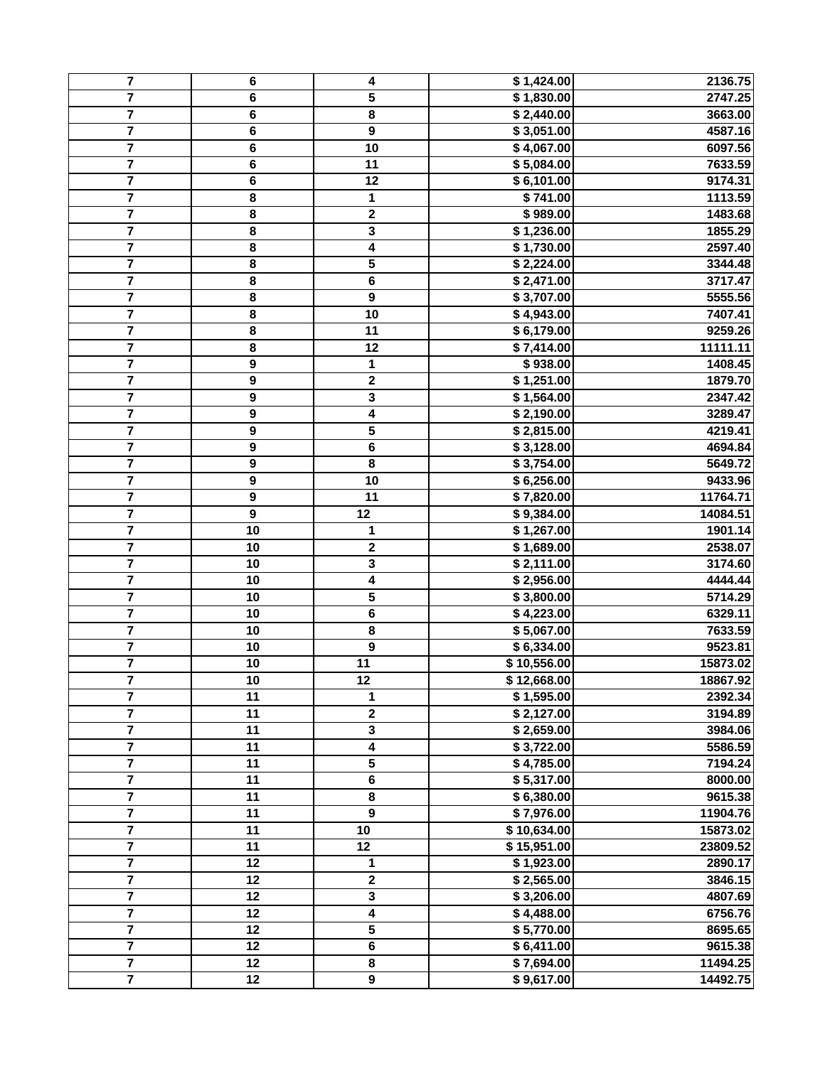| $\overline{\mathbf{7}}$ | $\bf 6$                 | $\overline{\mathbf{4}}$ | \$1,424.00  | 2136.75  |
|-------------------------|-------------------------|-------------------------|-------------|----------|
| $\overline{\mathbf{7}}$ | 6                       | 5                       | \$1,830.00  | 2747.25  |
| $\overline{\mathbf{7}}$ | 6                       | 8                       | \$2,440.00  | 3663.00  |
| $\overline{\mathbf{7}}$ | $\overline{\mathbf{6}}$ | $\overline{9}$          | \$3,051.00  | 4587.16  |
| $\overline{\mathbf{7}}$ | $\overline{\mathbf{6}}$ | 10                      | \$4,067.00  | 6097.56  |
| $\overline{\mathbf{7}}$ | 6                       | 11                      | \$5,084.00  | 7633.59  |
| $\overline{\mathbf{7}}$ | 6                       | $\overline{12}$         | \$6,101.00  | 9174.31  |
| $\overline{\mathbf{7}}$ | $\overline{\mathbf{8}}$ | 1                       | \$741.00    | 1113.59  |
| $\overline{\mathbf{7}}$ | $\overline{\mathbf{8}}$ | $\overline{2}$          | \$989.00    | 1483.68  |
| $\overline{\mathbf{7}}$ | 8                       | 3                       | \$1,236.00  | 1855.29  |
| $\overline{\mathbf{7}}$ | 8                       | 4                       | \$1,730.00  | 2597.40  |
| $\overline{\mathbf{7}}$ | $\overline{\mathbf{8}}$ | 5                       | \$2,224.00  | 3344.48  |
| $\overline{\mathbf{7}}$ | $\overline{\mathbf{8}}$ | $\overline{\mathbf{6}}$ | \$2,471.00  | 3717.47  |
| $\overline{\mathbf{7}}$ | $\overline{\mathbf{8}}$ | 9                       | \$3,707.00  | 5555.56  |
| $\overline{\mathbf{r}}$ | $\overline{\mathbf{8}}$ | 10                      | \$4,943.00  | 7407.41  |
| $\overline{\mathbf{r}}$ | $\overline{\mathbf{8}}$ | 11                      | \$6,179.00  | 9259.26  |
| $\overline{\mathbf{r}}$ | $\overline{\mathbf{8}}$ | 12                      | \$7,414.00  | 11111.11 |
| $\overline{\mathbf{7}}$ | $\overline{9}$          | 1                       | \$938.00    | 1408.45  |
| $\overline{\mathbf{7}}$ | $\boldsymbol{9}$        | $\overline{\mathbf{2}}$ | \$1,251.00  | 1879.70  |
| $\overline{\mathbf{7}}$ | $\boldsymbol{9}$        | 3                       | \$1,564.00  | 2347.42  |
| $\bf 7$                 | 9                       | 4                       | \$2,190.00  | 3289.47  |
| $\overline{\mathbf{7}}$ | $\overline{9}$          | 5                       | \$2,815.00  | 4219.41  |
| $\overline{\mathbf{7}}$ | 9                       | 6                       | \$3,128.00  | 4694.84  |
| $\overline{\mathbf{7}}$ | 9                       | 8                       | \$3,754.00  | 5649.72  |
| $\overline{\mathbf{7}}$ | 9                       | 10                      | \$6,256.00  | 9433.96  |
| $\overline{\mathbf{7}}$ | $\overline{9}$          | $\overline{11}$         | \$7,820.00  | 11764.71 |
| $\overline{\mathbf{z}}$ | 9                       | $\overline{12}$         | \$9,384.00  | 14084.51 |
| $\overline{\mathbf{7}}$ | $\overline{10}$         | 1                       | \$1,267.00  | 1901.14  |
| $\overline{\mathbf{7}}$ | 10                      | $\overline{\mathbf{2}}$ | \$1,689.00  | 2538.07  |
| $\overline{\mathbf{z}}$ | 10                      | $\overline{\mathbf{3}}$ | \$2,111.00  | 3174.60  |
| $\overline{\mathbf{z}}$ | 10                      | $\overline{\mathbf{4}}$ | \$2,956.00  | 4444.44  |
| $\overline{\mathbf{7}}$ | 10                      | 5                       | \$3,800.00  | 5714.29  |
| $\overline{\mathbf{7}}$ | 10                      | $\overline{\mathbf{6}}$ | \$4,223.00  | 6329.11  |
| $\overline{\mathbf{7}}$ | $\overline{10}$         | $\overline{\mathbf{8}}$ | \$5,067.00  | 7633.59  |
| $\overline{\mathbf{7}}$ | $\overline{10}$         | $\overline{9}$          | \$6,334.00  | 9523.81  |
| $\overline{\mathbf{7}}$ | $\overline{10}$         | $\overline{11}$         | \$10,556.00 | 15873.02 |
| 7                       | 10                      | 12                      | \$12,668.00 | 18867.92 |
| $\overline{\mathbf{7}}$ | $\overline{11}$         | $\overline{1}$          | \$1,595.00  | 2392.34  |
| $\overline{\mathbf{7}}$ | $\overline{11}$         | $\overline{2}$          | \$2,127.00  | 3194.89  |
| $\overline{\mathbf{7}}$ | $\overline{11}$         | $\overline{\mathbf{3}}$ | \$2,659.00  | 3984.06  |
| $\overline{\mathbf{7}}$ | $\overline{11}$         | $\overline{\mathbf{4}}$ | \$3,722.00  | 5586.59  |
| $\overline{\mathbf{7}}$ | $\overline{11}$         | 5                       | \$4,785.00  | 7194.24  |
| $\overline{\mathbf{7}}$ | $\overline{11}$         | $\overline{\mathbf{6}}$ | \$5,317.00  | 8000.00  |
| $\overline{\mathbf{7}}$ | $\overline{11}$         | $\overline{\mathbf{8}}$ | \$6,380.00  | 9615.38  |
| $\overline{\mathbf{7}}$ | $\overline{11}$         | $\overline{9}$          | \$7,976.00  | 11904.76 |
| $\overline{\mathbf{7}}$ | $\overline{11}$         | $\overline{10}$         | \$10,634.00 | 15873.02 |
| $\overline{\mathbf{7}}$ | $\overline{11}$         | $\overline{12}$         | \$15,951.00 | 23809.52 |
| $\overline{\mathbf{z}}$ | 12                      | 1                       | \$1,923.00  | 2890.17  |
| $\overline{\mathbf{7}}$ | 12                      | $\overline{\mathbf{2}}$ | \$2,565.00  | 3846.15  |
| $\overline{\mathbf{7}}$ | 12                      | $\overline{\mathbf{3}}$ | \$3,206.00  | 4807.69  |
| $\overline{\mathbf{7}}$ | 12                      | $\overline{4}$          | \$4,488.00  | 6756.76  |
| $\overline{\mathbf{7}}$ | 12                      | $\overline{\mathbf{5}}$ | \$5,770.00  | 8695.65  |
| $\overline{\mathbf{7}}$ | 12                      | $\overline{6}$          | \$6,411.00  | 9615.38  |
| $\overline{\mathbf{r}}$ | 12                      | 8                       | \$7,694.00  | 11494.25 |
| $\overline{\mathbf{7}}$ | 12                      | $\overline{9}$          | \$9,617.00  | 14492.75 |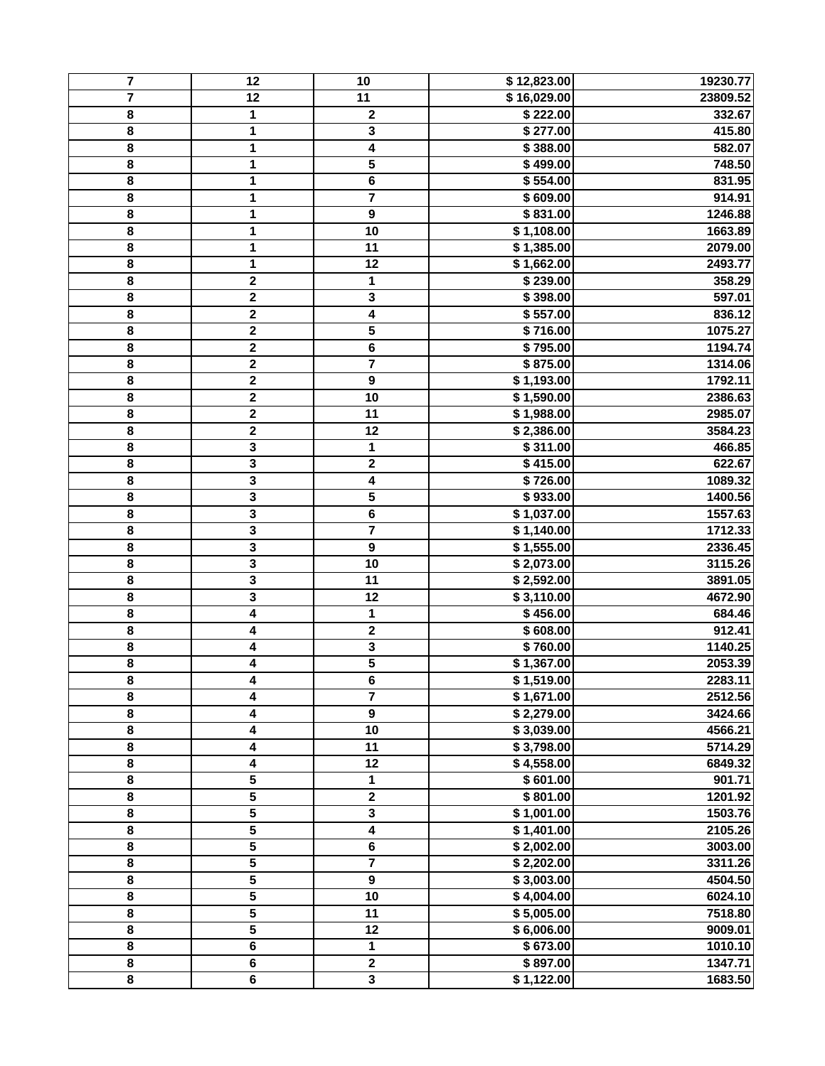| $\overline{7}$          | 12                      | 10                      | \$12,823.00 | 19230.77 |
|-------------------------|-------------------------|-------------------------|-------------|----------|
| $\overline{\mathbf{7}}$ | 12                      | 11                      | \$16,029.00 | 23809.52 |
| $\bf8$                  | 1                       | $\overline{\mathbf{2}}$ | \$222.00    | 332.67   |
| $\overline{\mathbf{8}}$ | 1                       | $\overline{\mathbf{3}}$ | \$277.00    | 415.80   |
| $\overline{\mathbf{8}}$ | 1                       | 4                       | \$388.00    | 582.07   |
| $\overline{\mathbf{8}}$ | $\overline{\mathbf{1}}$ | $\overline{\mathbf{5}}$ | \$499.00    | 748.50   |
| $\overline{\mathbf{8}}$ | $\overline{\mathbf{1}}$ | $\overline{\mathbf{6}}$ | \$554.00    | 831.95   |
| $\overline{\mathbf{8}}$ | 1                       | $\overline{\mathbf{7}}$ | \$609.00    | 914.91   |
| $\overline{\mathbf{8}}$ | 1                       | 9                       | \$831.00    | 1246.88  |
| 8                       | $\overline{\mathbf{1}}$ | 10                      | \$1,108.00  | 1663.89  |
| $\overline{\mathbf{8}}$ | $\overline{\mathbf{1}}$ | $\overline{11}$         | \$1,385.00  | 2079.00  |
| $\overline{\mathbf{8}}$ | 1                       | $\overline{12}$         | \$1,662.00  | 2493.77  |
| 8                       | $\overline{\mathbf{2}}$ | 1                       | \$239.00    | 358.29   |
| $\bf8$                  | 2                       | 3                       | \$398.00    | 597.01   |
| 8                       | $\overline{\mathbf{2}}$ | $\overline{\mathbf{4}}$ | \$557.00    | 836.12   |
| 8                       | $\overline{\mathbf{2}}$ | 5                       | \$716.00    | 1075.27  |
| 8                       | $\overline{\mathbf{2}}$ | 6                       | \$795.00    | 1194.74  |
| 8                       | $\overline{\mathbf{2}}$ | $\overline{\mathbf{r}}$ | \$875.00    | 1314.06  |
| 8                       | $\overline{\mathbf{2}}$ | $\overline{9}$          | \$1,193.00  | 1792.11  |
| 8                       | $\overline{\mathbf{2}}$ | 10                      | \$1,590.00  | 2386.63  |
| 8                       | $\overline{2}$          | 11                      | \$1,988.00  | 2985.07  |
| 8                       | $\overline{\mathbf{2}}$ | 12                      | \$2,386.00  | 3584.23  |
| 8                       | 3                       | 1                       | \$311.00    | 466.85   |
| $\bf8$                  | 3                       | $\overline{\mathbf{2}}$ | \$415.00    | 622.67   |
| $\overline{\mathbf{8}}$ | $\overline{\mathbf{3}}$ | 4                       | \$726.00    | 1089.32  |
| $\bf8$                  | 3                       | $\overline{\mathbf{5}}$ | \$933.00    | 1400.56  |
| $\overline{\mathbf{8}}$ | $\overline{\mathbf{3}}$ | $\overline{\mathbf{6}}$ | \$1,037.00  | 1557.63  |
| $\overline{\mathbf{8}}$ | 3                       | $\overline{\mathbf{7}}$ | \$1,140.00  | 1712.33  |
| $\overline{\mathbf{8}}$ | $\overline{\mathbf{3}}$ | $\overline{9}$          | \$1,555.00  | 2336.45  |
| $\bf8$                  | 3                       | $\overline{10}$         | \$2,073.00  | 3115.26  |
| $\overline{\mathbf{8}}$ | $\overline{\mathbf{3}}$ | $\overline{11}$         | \$2,592.00  | 3891.05  |
| $\bf8$                  | $\overline{\mathbf{3}}$ | $\overline{12}$         | \$3,110.00  | 4672.90  |
| $\overline{\mathbf{8}}$ | 4                       | $\mathbf{1}$            | \$456.00    | 684.46   |
| $\overline{\mathbf{8}}$ | 4                       | $\overline{2}$          | \$608.00    | 912.41   |
| $\overline{\mathbf{8}}$ | 4                       | $\overline{\mathbf{3}}$ | \$760.00    | 1140.25  |
| $\overline{\mathbf{8}}$ | 4                       | $\overline{\mathbf{5}}$ | \$1,367.00  | 2053.39  |
| 8                       | 4                       | 6                       | \$1,519.00  | 2283.11  |
| $\overline{\mathbf{8}}$ | 4                       |                         | \$1,671.00  | 2512.56  |
| $\overline{\mathbf{8}}$ | 4                       | $\overline{9}$          | \$2,279.00  | 3424.66  |
| $\overline{\mathbf{8}}$ | 4                       | 10                      | \$3,039.00  | 4566.21  |
| $\overline{\mathbf{8}}$ | 4                       | $\overline{11}$         | \$3,798.00  | 5714.29  |
| $\overline{\mathbf{8}}$ | 4                       | $\overline{12}$         | \$4,558.00  | 6849.32  |
| $\overline{\mathbf{8}}$ | 5                       | $\overline{\mathbf{1}}$ | \$601.00    | 901.71   |
| $\overline{\mathbf{8}}$ | 5                       | $\overline{2}$          | \$801.00    | 1201.92  |
| 8                       | 5                       | $\overline{\mathbf{3}}$ | \$1,001.00  | 1503.76  |
| $\overline{\mathbf{8}}$ | 5                       | 4                       | \$1,401.00  | 2105.26  |
| $\bf8$                  | 5                       | 6                       | \$2,002.00  | 3003.00  |
| $\overline{\mathbf{8}}$ | 5                       | $\overline{\mathbf{7}}$ | \$2,202.00  | 3311.26  |
| $\overline{\mathbf{8}}$ | 5                       | $\overline{9}$          | \$3,003.00  | 4504.50  |
| $\overline{\mathbf{8}}$ | 5                       | 10                      | \$4,004.00  | 6024.10  |
| $\bf8$                  | 5                       | 11                      | \$5,005.00  | 7518.80  |
| $\bf8$                  | 5                       | $\overline{12}$         | \$6,006.00  | 9009.01  |
| $\bf8$                  | $\overline{\mathbf{6}}$ | $\mathbf{1}$            | \$673.00    | 1010.10  |
| $\overline{\mathbf{8}}$ | $\overline{\mathbf{6}}$ | $\overline{2}$          | \$897.00    | 1347.71  |
| $\bf8$                  | $\overline{\mathbf{6}}$ | $\overline{\mathbf{3}}$ | \$1,122.00  | 1683.50  |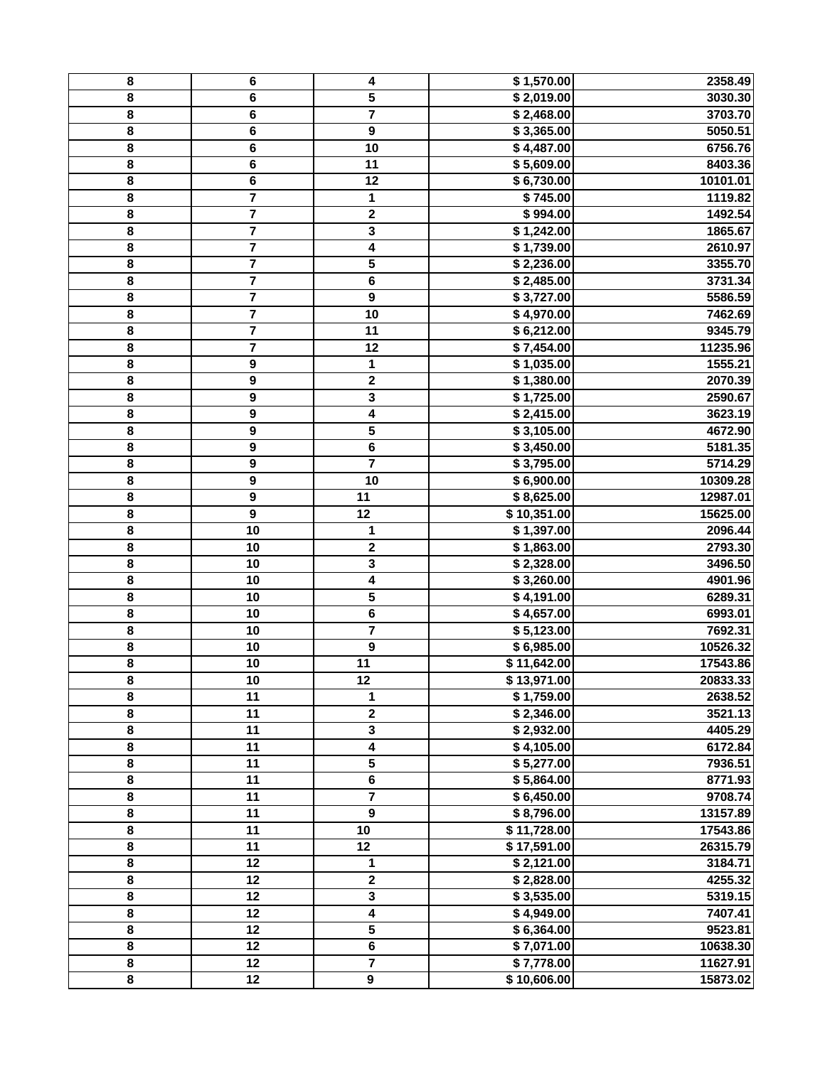| 8                       | $\bf 6$                 | $\overline{\mathbf{4}}$ | \$1,570.00            | 2358.49  |
|-------------------------|-------------------------|-------------------------|-----------------------|----------|
| 8                       | 6                       | $\overline{\mathbf{5}}$ | \$2,019.00            | 3030.30  |
| 8                       | 6                       | $\overline{\mathbf{z}}$ | \$2,468.00            | 3703.70  |
| 8                       | $\overline{\mathbf{6}}$ | 9                       | \$3,365.00            | 5050.51  |
| 8                       | $\overline{\mathbf{6}}$ | 10                      | \$4,487.00            | 6756.76  |
| 8                       | $\overline{\mathbf{6}}$ | 11                      | \$5,609.00            | 8403.36  |
| 8                       | 6                       | $\overline{12}$         | \$6,730.00            | 10101.01 |
| 8                       | $\overline{\mathbf{7}}$ | 1                       | \$745.00              | 1119.82  |
| 8                       | $\overline{\mathbf{7}}$ | $\overline{2}$          | \$994.00              | 1492.54  |
| 8                       | $\overline{\mathbf{7}}$ | 3                       | \$1,242.00            | 1865.67  |
| 8                       | $\overline{\mathbf{7}}$ | 4                       | \$1,739.00            | 2610.97  |
| 8                       | $\overline{\mathbf{7}}$ | 5                       | \$2,236.00            | 3355.70  |
| 8                       | 7                       | $\overline{\mathbf{6}}$ | \$2,485.00            | 3731.34  |
| 8                       | $\overline{\mathbf{7}}$ | $\overline{9}$          | \$3,727.00            | 5586.59  |
| 8                       | $\overline{\mathbf{7}}$ | 10                      | \$4,970.00            | 7462.69  |
| 8                       | $\overline{\mathbf{7}}$ | 11                      | \$6,212.00            | 9345.79  |
| 8                       | $\overline{\mathbf{7}}$ | 12                      | \$7,454.00            | 11235.96 |
| 8                       | $\overline{9}$          | 1                       | \$1,035.00            | 1555.21  |
| 8                       | $\boldsymbol{9}$        | $\overline{\mathbf{2}}$ | \$1,380.00            | 2070.39  |
| 8                       | $\boldsymbol{9}$        | 3                       | \$1,725.00            | 2590.67  |
| 8                       | $\overline{9}$          | 4                       | \$2,415.00            | 3623.19  |
| 8                       | $\overline{9}$          | 5                       | \$3,105.00            | 4672.90  |
| 8                       | 9                       | 6                       | \$3,450.00            | 5181.35  |
| 8                       | 9                       | $\overline{\mathbf{7}}$ | \$3,795.00            | 5714.29  |
| 8                       | 9                       | 10                      | \$6,900.00            | 10309.28 |
| 8                       | $\overline{9}$          | $\overline{11}$         | \$8,625.00            | 12987.01 |
| 8                       | 9                       | $\overline{12}$         | \$10,351.00           | 15625.00 |
| 8                       | $\overline{10}$         | 1                       | \$1,397.00            | 2096.44  |
| 8                       | 10                      | $\overline{2}$          | \$1,863.00            | 2793.30  |
| $\overline{\mathbf{8}}$ | $\overline{10}$         | $\overline{\mathbf{3}}$ | \$2,328.00            | 3496.50  |
| 8                       | 10                      | $\overline{\mathbf{4}}$ | \$3,260.00            | 4901.96  |
| 8                       | 10                      | $\overline{\mathbf{5}}$ | \$4,191.00            | 6289.31  |
| 8                       | 10                      | $\overline{\mathbf{6}}$ | \$4,657.00            | 6993.01  |
| $\overline{\mathbf{8}}$ | $\overline{10}$         | $\overline{\mathbf{7}}$ | \$5,123.00            | 7692.31  |
| $\overline{\mathbf{8}}$ | $\overline{10}$         | $\overline{9}$          | \$6,985.00            | 10526.32 |
| $\overline{\mathbf{8}}$ | $\overline{10}$         | $\overline{11}$         | \$11,642.00           | 17543.86 |
| 8                       | 10                      | 12                      | \$13,971.00           | 20833.33 |
| $\overline{\mathbf{8}}$ | $\overline{11}$         | $\overline{1}$          | \$1,759.00            | 2638.52  |
| $\overline{\mathbf{8}}$ | $\overline{11}$         | $\overline{\mathbf{2}}$ | \$2,346.00            | 3521.13  |
| $\overline{\mathbf{8}}$ | $\overline{11}$         | $\overline{\mathbf{3}}$ | \$2,932.00            | 4405.29  |
| $\overline{\mathbf{8}}$ | $\overline{11}$         | $\overline{\mathbf{4}}$ | \$4,105.00            | 6172.84  |
| $\overline{\mathbf{8}}$ | $\overline{11}$         | 5                       | \$5,277.00            | 7936.51  |
| $\overline{\mathbf{8}}$ | $\overline{11}$         | $\overline{\mathbf{6}}$ | \$5,864.00            | 8771.93  |
| 8                       | $\overline{11}$         | 7                       | \$6,450.00            | 9708.74  |
| $\overline{\mathbf{8}}$ | $\overline{11}$         | $\overline{9}$          | \$8,796.00            | 13157.89 |
| 8                       | $\overline{11}$         | $\overline{10}$         | \$11,728.00           | 17543.86 |
| $\overline{\mathbf{8}}$ | $\overline{11}$         | $\overline{12}$         | \$17,591.00           | 26315.79 |
| $\overline{\mathbf{8}}$ | 12                      | 1                       | \$2,121.00            | 3184.71  |
| $\overline{\mathbf{8}}$ | 12                      | $\mathbf 2$             | \$2,828.00            | 4255.32  |
| 8                       | 12                      | $\overline{\mathbf{3}}$ | \$3,535.00            | 5319.15  |
| 8                       | 12                      | $\overline{4}$          | \$4,949.00            | 7407.41  |
| $\overline{\mathbf{8}}$ | 12                      | $\overline{\mathbf{5}}$ | \$6,364.00            | 9523.81  |
| $\overline{\mathbf{8}}$ | 12                      | $\overline{6}$          | $\sqrt{$7,071.00}$    | 10638.30 |
| 8                       | 12                      | $\overline{\mathbf{r}}$ | $\frac{1}{$7,778.00}$ | 11627.91 |
| $\overline{\mathbf{8}}$ | $\overline{12}$         | $\overline{9}$          | \$10,606.00           | 15873.02 |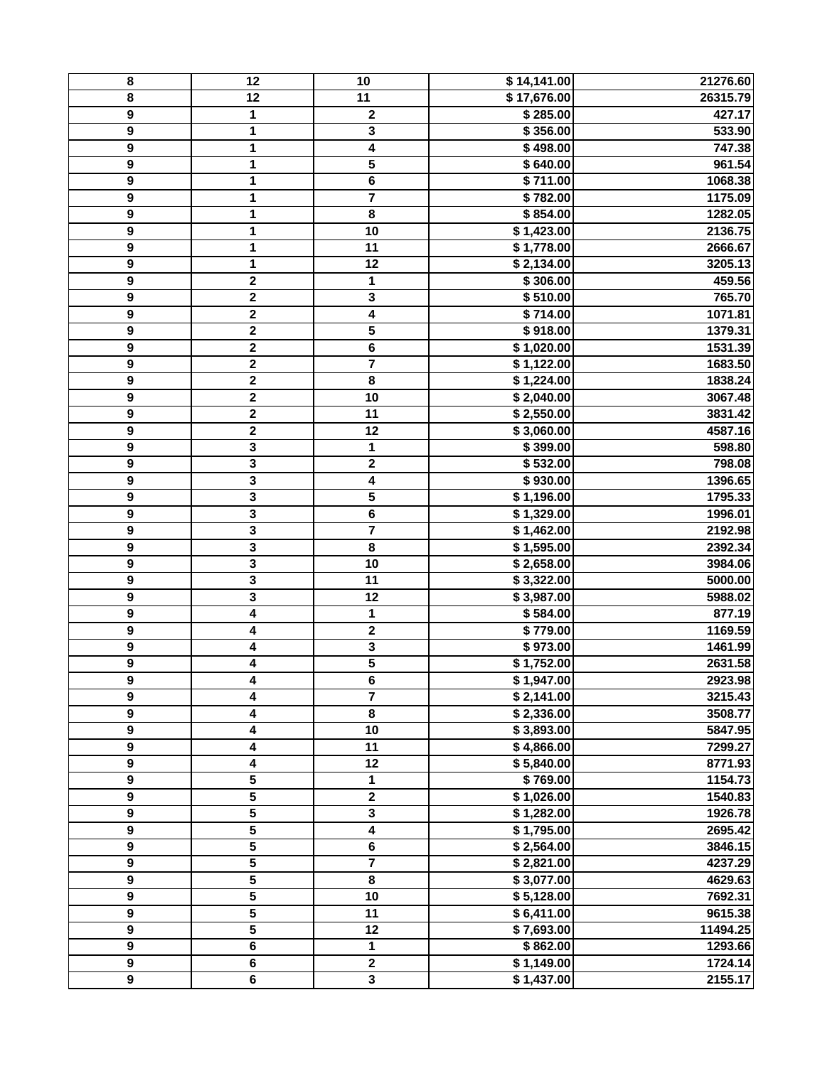| 8                | 12                      | 10                      | \$14,141.00 | 21276.60 |
|------------------|-------------------------|-------------------------|-------------|----------|
| 8                | 12                      | 11                      | \$17,676.00 | 26315.79 |
| $\boldsymbol{9}$ | 1                       | $\mathbf 2$             | \$285.00    | 427.17   |
| $\overline{9}$   | 1                       | 3                       | \$356.00    | 533.90   |
| 9                | $\overline{\mathbf{1}}$ | 4                       | \$498.00    | 747.38   |
| 9                | 1                       | $\overline{\mathbf{5}}$ | \$640.00    | 961.54   |
| 9                | 1                       | $\overline{6}$          | \$711.00    | 1068.38  |
| $\overline{9}$   | $\overline{1}$          | $\overline{\mathbf{7}}$ | \$782.00    | 1175.09  |
| $\overline{9}$   | $\overline{\mathbf{1}}$ | $\overline{\mathbf{8}}$ | \$854.00    | 1282.05  |
| $\overline{9}$   | $\overline{\mathbf{1}}$ | 10                      | \$1,423.00  | 2136.75  |
| 9                | 1                       | $\overline{11}$         | \$1,778.00  | 2666.67  |
| 9                | 1                       | $\overline{12}$         | \$2,134.00  | 3205.13  |
| 9                | $\overline{\mathbf{2}}$ | $\overline{1}$          | \$306.00    | 459.56   |
| 9                | $\overline{\mathbf{2}}$ | 3                       | \$510.00    | 765.70   |
| $\boldsymbol{9}$ | $\overline{\mathbf{2}}$ | $\overline{\mathbf{4}}$ | \$714.00    | 1071.81  |
| $\boldsymbol{9}$ | $\overline{\mathbf{2}}$ | 5                       | \$918.00    | 1379.31  |
| $\boldsymbol{9}$ | $\overline{\mathbf{2}}$ | $\overline{\mathbf{6}}$ | \$1,020.00  | 1531.39  |
| $\overline{9}$   | $\overline{\mathbf{2}}$ | $\overline{\mathbf{7}}$ | \$1,122.00  | 1683.50  |
| 9                | $\overline{\mathbf{2}}$ | $\overline{\mathbf{8}}$ | \$1,224.00  | 1838.24  |
| $\overline{9}$   | $\overline{2}$          | $\overline{10}$         | \$2,040.00  | 3067.48  |
| 9                | $\overline{\mathbf{2}}$ | 11                      | \$2,550.00  | 3831.42  |
| 9                | 2                       | $\overline{12}$         | \$3,060.00  | 4587.16  |
| $\boldsymbol{9}$ | 3                       | 1                       | \$399.00    | 598.80   |
| $\overline{9}$   | $\overline{\mathbf{3}}$ | $\mathbf 2$             | \$532.00    | 798.08   |
| 9                | 3                       | 4                       | \$930.00    | 1396.65  |
| 9                | $\overline{\mathbf{3}}$ | $\overline{\mathbf{5}}$ | \$1,196.00  | 1795.33  |
| 9                | 3                       | 6                       | \$1,329.00  | 1996.01  |
| 9                | $\overline{\mathbf{3}}$ | $\overline{\mathbf{7}}$ | \$1,462.00  | 2192.98  |
| 9                | 3                       | $\overline{\mathbf{8}}$ | \$1,595.00  | 2392.34  |
| $\overline{9}$   | $\overline{\mathbf{3}}$ | 10                      | \$2,658.00  | 3984.06  |
| $\boldsymbol{9}$ | $\overline{\mathbf{3}}$ | 11                      | \$3,322.00  | 5000.00  |
| $\overline{9}$   | $\overline{\mathbf{3}}$ | 12                      | \$3,987.00  | 5988.02  |
| $\boldsymbol{9}$ | 4                       | $\mathbf{1}$            | \$584.00    | 877.19   |
| $\overline{9}$   | 4                       | $\overline{2}$          | \$779.00    | 1169.59  |
| $\overline{9}$   | 4                       | $\overline{\mathbf{3}}$ | \$973.00    | 1461.99  |
| $\overline{9}$   | 4                       | 5                       | \$1,752.00  | 2631.58  |
| 9                | 4                       | 6                       | \$1,947.00  | 2923.98  |
| $\overline{9}$   | 4                       |                         | \$2,141.00  | 3215.43  |
| 9                | 4                       | $\overline{\mathbf{8}}$ | \$2,336.00  | 3508.77  |
| $\overline{9}$   | 4                       | 10                      | \$3,893.00  | 5847.95  |
| $\overline{9}$   | 4                       | 11                      | \$4,866.00  | 7299.27  |
| $\overline{9}$   | 4                       | 12                      | \$5,840.00  | 8771.93  |
| 9                | 5                       | $\overline{\mathbf{1}}$ | \$769.00    | 1154.73  |
| 9                | 5                       | $\overline{2}$          | \$1,026.00  | 1540.83  |
| $\overline{9}$   | 5                       | $\overline{\mathbf{3}}$ | \$1,282.00  | 1926.78  |
| 9                | 5                       | 4                       | \$1,795.00  | 2695.42  |
| $\overline{9}$   | 5                       | $\overline{\mathbf{6}}$ | \$2,564.00  | 3846.15  |
| $\overline{9}$   | 5                       | $\overline{\mathbf{7}}$ | \$2,821.00  | 4237.29  |
| $\overline{9}$   | 5                       | $\overline{\mathbf{8}}$ | \$3,077.00  | 4629.63  |
| $\boldsymbol{9}$ | $\frac{5}{5}$           | 10                      | \$5,128.00  | 7692.31  |
| $\overline{9}$   |                         | 11                      | \$6,411.00  | 9615.38  |
| $\boldsymbol{9}$ | $\overline{\mathbf{5}}$ | $\overline{12}$         | \$7,693.00  | 11494.25 |
| $\boldsymbol{9}$ | $\overline{\mathbf{6}}$ | 1                       | \$862.00    | 1293.66  |
| $\boldsymbol{9}$ | $\overline{\mathbf{6}}$ | $\overline{\mathbf{2}}$ | \$1,149.00  | 1724.14  |
| $\overline{9}$   | $\overline{\mathbf{6}}$ | $\overline{\mathbf{3}}$ | \$1,437.00  | 2155.17  |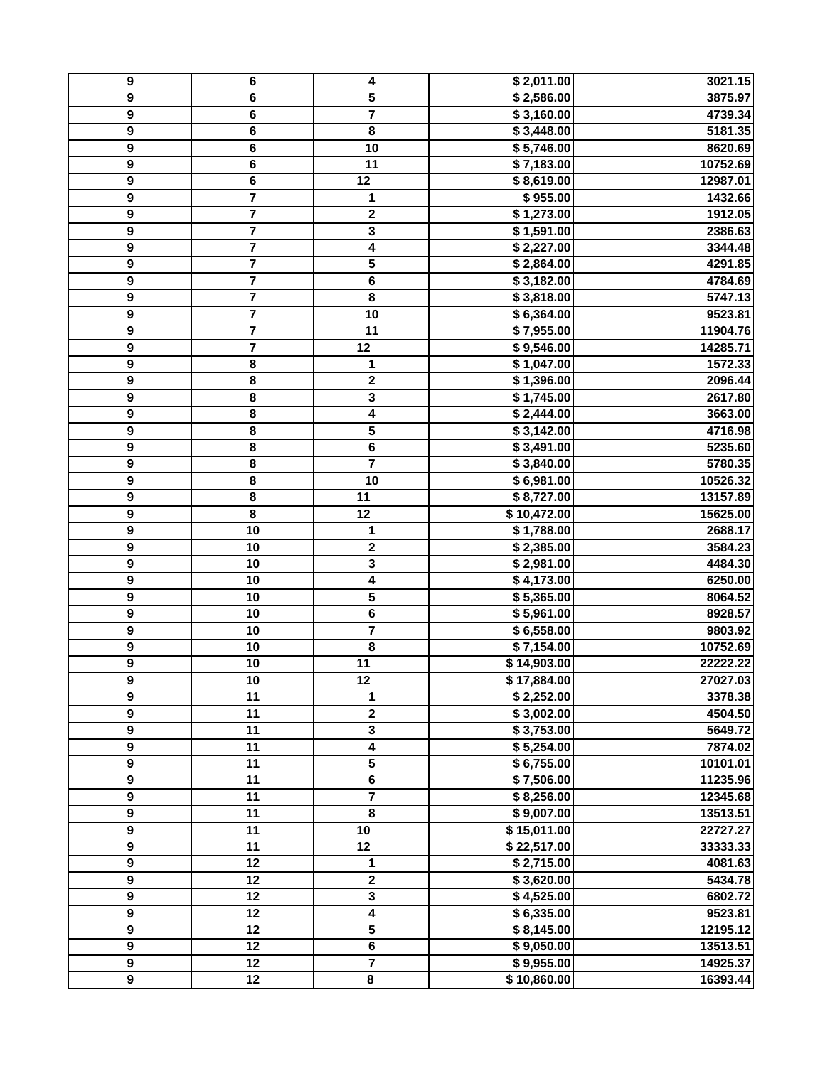| $\boldsymbol{9}$ | $\bf 6$                 | $\overline{\mathbf{4}}$ | \$2,011.00             | 3021.15  |
|------------------|-------------------------|-------------------------|------------------------|----------|
| 9                | 6                       | $\overline{\mathbf{5}}$ | $\sqrt{$}$ 2,586.00    | 3875.97  |
| 9                | 6                       | $\overline{\mathbf{z}}$ | $\frac{1}{2}$ 3,160.00 | 4739.34  |
| 9                | $\overline{\mathbf{6}}$ | $\overline{\mathbf{8}}$ | \$3,448.00             | 5181.35  |
| 9                | $\overline{\mathbf{6}}$ | 10                      | \$5,746.00             | 8620.69  |
| $\overline{9}$   | $\overline{\mathbf{6}}$ | $\overline{11}$         | \$7,183.00             | 10752.69 |
| 9                | $\overline{\mathbf{6}}$ | $\overline{12}$         | \$8,619.00             | 12987.01 |
| 9                | $\overline{\mathbf{7}}$ | 1                       | \$955.00               | 1432.66  |
| $\overline{9}$   | $\overline{\mathbf{7}}$ | $\overline{2}$          | \$1,273.00             | 1912.05  |
| 9                | $\overline{\mathbf{7}}$ | 3                       | \$1,591.00             | 2386.63  |
| 9                | $\overline{\mathbf{7}}$ | 4                       | \$2,227.00             | 3344.48  |
| 9                | $\overline{\mathbf{7}}$ | 5                       | \$2,864.00             | 4291.85  |
| 9                | $\overline{\mathbf{7}}$ | $\overline{\mathbf{6}}$ | \$3,182.00             | 4784.69  |
| 9                | $\overline{\mathbf{7}}$ | $\overline{\mathbf{8}}$ | \$3,818.00             | 5747.13  |
| 9                | $\overline{\mathbf{7}}$ | 10                      | \$6,364.00             | 9523.81  |
| 9                | $\overline{\mathbf{7}}$ | 11                      | \$7,955.00             | 11904.76 |
| 9                | $\overline{\mathbf{7}}$ | 12                      | \$9,546.00             | 14285.71 |
| 9                | $\overline{\mathbf{8}}$ | 1                       | \$1,047.00             | 1572.33  |
| 9                | $\overline{\mathbf{8}}$ | $\overline{\mathbf{2}}$ | \$1,396.00             | 2096.44  |
| 9                | 8                       | 3                       | \$1,745.00             | 2617.80  |
| 9                | $\overline{\mathbf{8}}$ | 4                       | \$2,444.00             | 3663.00  |
| 9                | $\overline{\mathbf{8}}$ | $\overline{\mathbf{5}}$ | \$3,142.00             | 4716.98  |
| $\boldsymbol{9}$ | $\overline{\mathbf{8}}$ | 6                       | \$3,491.00             | 5235.60  |
| $\boldsymbol{9}$ | 8                       |                         | \$3,840.00             | 5780.35  |
| 9                | $\bf8$                  | 10                      | \$6,981.00             | 10526.32 |
| $\boldsymbol{9}$ | 8                       | $\overline{11}$         | \$8,727.00             | 13157.89 |
| $\boldsymbol{9}$ | $\overline{\mathbf{8}}$ | $\overline{12}$         | \$10,472.00            | 15625.00 |
| 9                | $\overline{10}$         | 1                       | \$1,788.00             | 2688.17  |
| $\boldsymbol{9}$ | 10                      | $\overline{2}$          | \$2,385.00             | 3584.23  |
| $\boldsymbol{9}$ | $\overline{10}$         | $\overline{\mathbf{3}}$ | \$2,981.00             | 4484.30  |
| $\overline{9}$   | 10                      | $\overline{\mathbf{4}}$ | \$4,173.00             | 6250.00  |
| $\overline{9}$   | 10                      | $\overline{\mathbf{5}}$ | \$5,365.00             | 8064.52  |
| $\overline{9}$   | 10                      | $\overline{\mathbf{6}}$ | \$5,961.00             | 8928.57  |
| $\overline{9}$   | $\overline{10}$         | $\overline{\mathbf{7}}$ | \$6,558.00             | 9803.92  |
| $\overline{9}$   | $\overline{10}$         | $\overline{\mathbf{8}}$ | \$7,154.00             | 10752.69 |
| $\overline{9}$   | $\overline{10}$         | $\overline{11}$         | \$14,903.00            | 22222.22 |
| 9                | 10                      | 12                      | \$17,884.00            | 27027.03 |
| $\overline{9}$   | $\overline{11}$         | $\overline{1}$          | \$2,252.00             | 3378.38  |
| $\overline{9}$   | $\overline{11}$         | $\overline{\mathbf{2}}$ | \$3,002.00             | 4504.50  |
| $\overline{9}$   | $\overline{11}$         | $\overline{\mathbf{3}}$ | \$3,753.00             | 5649.72  |
| $\overline{9}$   | $\overline{11}$         | $\overline{\mathbf{4}}$ | \$5,254.00             | 7874.02  |
| $\overline{9}$   | $\overline{11}$         | 5                       | \$6,755.00             | 10101.01 |
| $\overline{9}$   | $\overline{11}$         | $\overline{\mathbf{6}}$ | \$7,506.00             | 11235.96 |
| $\overline{9}$   | $\overline{11}$         | 7                       | \$8,256.00             | 12345.68 |
| $\overline{9}$   | $\overline{11}$         | $\overline{\mathbf{8}}$ | \$9,007.00             | 13513.51 |
| $\boldsymbol{9}$ | $\overline{11}$         | 10                      | \$15,011.00            | 22727.27 |
| $\overline{9}$   | $\overline{11}$         | $\overline{12}$         | \$22,517.00            | 33333.33 |
| $\overline{9}$   | 12                      | 1                       | \$2,715.00             | 4081.63  |
| $\overline{9}$   | 12                      | $\mathbf 2$             | \$3,620.00             | 5434.78  |
| $\overline{9}$   | 12                      | $\overline{\mathbf{3}}$ | \$4,525.00             | 6802.72  |
| $\overline{9}$   | 12                      | $\overline{4}$          | \$6,335.00             | 9523.81  |
| $\overline{9}$   | 12                      | $\overline{\mathbf{5}}$ | \$8,145.00             | 12195.12 |
| $\overline{9}$   | 12                      | $\overline{6}$          | \$9,050.00             | 13513.51 |
| $\boldsymbol{9}$ | 12                      | $\overline{\mathbf{7}}$ | \$9,955.00             | 14925.37 |
| $\overline{9}$   | 12                      | $\overline{\mathbf{8}}$ | \$10,860.00            | 16393.44 |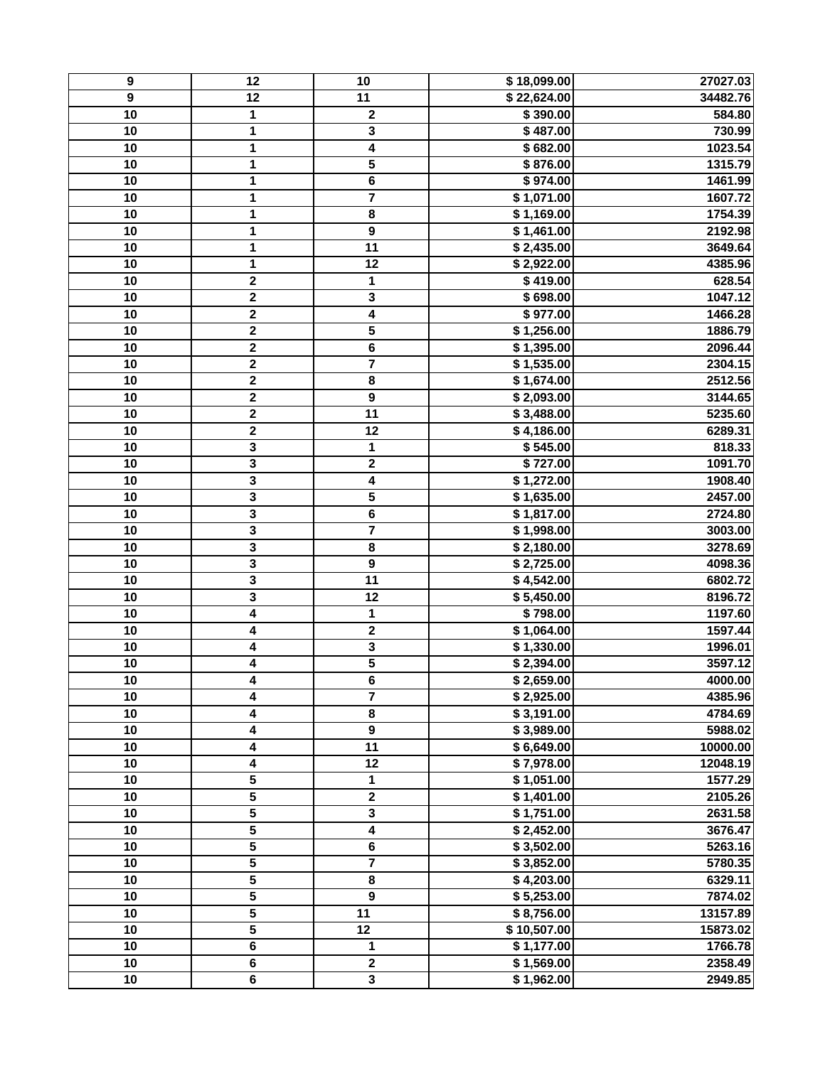| $\boldsymbol{9}$ | 12                      | 10                      | \$18,099.00 | 27027.03 |
|------------------|-------------------------|-------------------------|-------------|----------|
| $\overline{9}$   | 12                      | 11                      | \$22,624.00 | 34482.76 |
| 10               | 1                       | $\mathbf 2$             | \$390.00    | 584.80   |
| 10               | 1                       | $\overline{\mathbf{3}}$ | \$487.00    | 730.99   |
| 10               | 1                       | 4                       | \$682.00    | 1023.54  |
| $\overline{10}$  | 1                       | $\overline{\mathbf{5}}$ | \$876.00    | 1315.79  |
| 10               | 1                       | $\overline{\mathbf{6}}$ | \$974.00    | 1461.99  |
| 10               | 1                       | $\overline{7}$          | \$1,071.00  | 1607.72  |
| 10               | 1                       | $\overline{\mathbf{8}}$ | \$1,169.00  | 1754.39  |
| 10               | $\overline{\mathbf{1}}$ | $\overline{9}$          | \$1,461.00  | 2192.98  |
| $\overline{10}$  | $\overline{\mathbf{1}}$ | $\overline{11}$         | \$2,435.00  | 3649.64  |
| 10               | 1                       | $\overline{12}$         | \$2,922.00  | 4385.96  |
| $\overline{10}$  | $\overline{\mathbf{2}}$ | 1                       | \$419.00    | 628.54   |
| 10               | 2                       | 3                       | \$698.00    | 1047.12  |
| 10               | $\overline{\mathbf{2}}$ | $\overline{\mathbf{4}}$ | \$977.00    | 1466.28  |
| 10               | $\overline{\mathbf{2}}$ | $\overline{5}$          | \$1,256.00  | 1886.79  |
| 10               | $\overline{\mathbf{2}}$ | $\overline{6}$          | \$1,395.00  | 2096.44  |
| 10               | $\overline{\mathbf{2}}$ | $\overline{\mathbf{r}}$ | \$1,535.00  | 2304.15  |
| 10               | $\overline{2}$          | $\overline{\mathbf{8}}$ | \$1,674.00  | 2512.56  |
| 10               | $\overline{\mathbf{2}}$ | $\overline{9}$          | \$2,093.00  | 3144.65  |
| 10               | $\overline{2}$          | $\overline{11}$         | \$3,488.00  | 5235.60  |
| 10               | $\overline{\mathbf{2}}$ | 12                      | \$4,186.00  | 6289.31  |
| 10               | $\overline{\mathbf{3}}$ | 1                       | \$545.00    | 818.33   |
| 10               | 3                       | $\overline{\mathbf{2}}$ | \$727.00    | 1091.70  |
| 10               | $\overline{\mathbf{3}}$ | $\overline{\mathbf{4}}$ | \$1,272.00  | 1908.40  |
| 10               | 3                       | 5                       | \$1,635.00  | 2457.00  |
| 10               | $\overline{\mathbf{3}}$ | $\overline{6}$          | \$1,817.00  | 2724.80  |
| 10               | 3                       | $\overline{\mathbf{7}}$ | \$1,998.00  | 3003.00  |
| 10               | $\overline{\mathbf{3}}$ | $\overline{\mathbf{8}}$ | \$2,180.00  | 3278.69  |
| 10               | 3                       | 9                       | \$2,725.00  | 4098.36  |
| $\overline{10}$  | $\overline{\mathbf{3}}$ | $\overline{11}$         | \$4,542.00  | 6802.72  |
| 10               | 3                       | $\overline{12}$         | \$5,450.00  | 8196.72  |
| 10               | 4                       | $\mathbf{1}$            | \$798.00    | 1197.60  |
| $\overline{10}$  | 4                       | $\overline{\mathbf{2}}$ | \$1,064.00  | 1597.44  |
| $\overline{10}$  | 4                       | $\overline{\mathbf{3}}$ | \$1,330.00  | 1996.01  |
| $\overline{10}$  | 4                       | 5                       | \$2,394.00  | 3597.12  |
| 10               | 4                       | 6                       | \$2,659.00  | 4000.00  |
| $\overline{10}$  | 4                       |                         | \$2,925.00  | 4385.96  |
| 10               | 4                       | $\overline{\mathbf{8}}$ | \$3,191.00  | 4784.69  |
| 10               | 4                       | $\overline{9}$          | \$3,989.00  | 5988.02  |
| 10               | 4                       | $\overline{11}$         | \$6,649.00  | 10000.00 |
| 10               | 4                       | 12                      | \$7,978.00  | 12048.19 |
| $\overline{10}$  | 5                       | $\overline{\mathbf{1}}$ | \$1,051.00  | 1577.29  |
| $\overline{10}$  | 5                       | $\overline{2}$          | \$1,401.00  | 2105.26  |
| 10               | 5                       | $\overline{\mathbf{3}}$ | \$1,751.00  | 2631.58  |
| $\overline{10}$  | 5                       | 4                       | \$2,452.00  | 3676.47  |
| 10               | 5                       | 6                       | \$3,502.00  | 5263.16  |
| $\overline{10}$  | 5                       |                         | \$3,852.00  | 5780.35  |
| 10               | 5                       | $\overline{\mathbf{8}}$ | \$4,203.00  | 6329.11  |
| 10               | 5                       | $\overline{9}$          | \$5,253.00  | 7874.02  |
| 10               | 5                       | 11                      | \$8,756.00  | 13157.89 |
| 10               | $\overline{5}$          | $\overline{12}$         | \$10,507.00 | 15873.02 |
| 10               | $\overline{\mathbf{6}}$ | $\mathbf{1}$            | \$1,177.00  | 1766.78  |
| 10               | $\overline{\mathbf{6}}$ | $\overline{2}$          | \$1,569.00  | 2358.49  |
| 10               | $\overline{\mathbf{6}}$ | $\overline{\mathbf{3}}$ | \$1,962.00  | 2949.85  |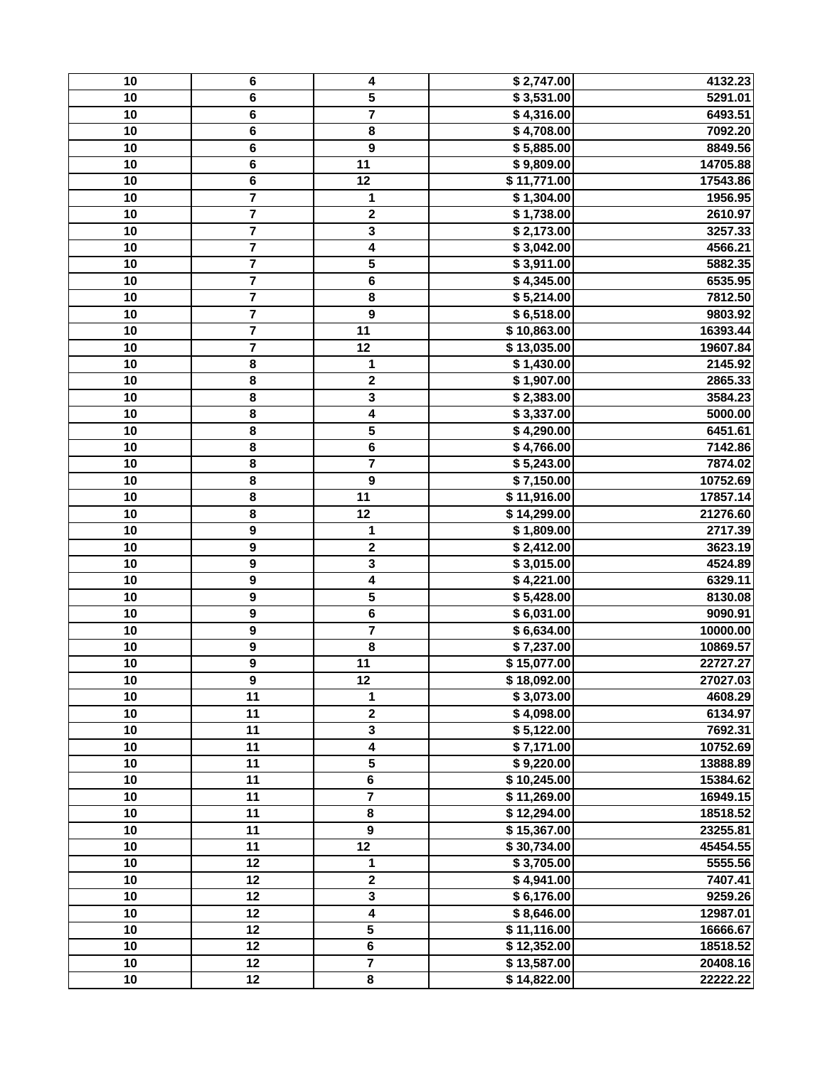| 10<br>6<br>$\overline{\mathbf{4}}$<br>\$2,747.00<br>4132.23<br>$\overline{\mathbf{5}}$<br>10<br>6<br>\$3,531.00<br>5291.01<br>$\overline{\mathbf{7}}$<br>6<br>6493.51<br>10<br>\$4,316.00<br>$\overline{\mathbf{6}}$<br>$\overline{\mathbf{8}}$<br>7092.20<br>$\overline{10}$<br>\$4,708.00<br>$\overline{\mathbf{6}}$<br>$\overline{9}$<br>8849.56<br>$\overline{10}$<br>\$5,885.00<br>14705.88<br>$\overline{10}$<br>6<br>$\overline{11}$<br>\$9,809.00<br>17543.86<br>$\overline{10}$<br>6<br>$\overline{12}$<br>\$11,771.00<br>$\overline{\mathbf{7}}$<br>1956.95<br>$\overline{10}$<br>1<br>\$1,304.00<br>7<br>$\overline{2}$<br>\$1,738.00<br>2610.97<br>$\overline{10}$<br>$\overline{\mathbf{7}}$<br>3<br>3257.33<br>$\overline{10}$<br>\$2,173.00<br>7<br>$\overline{10}$<br>4<br>\$3,042.00<br>4566.21<br>7<br>5<br>5882.35<br>$\overline{10}$<br>\$3,911.00<br>7<br>$\overline{\mathbf{6}}$<br>\$4,345.00<br>6535.95<br>$\overline{10}$<br>$\overline{\mathbf{7}}$<br>$\overline{\mathbf{8}}$<br>7812.50<br>10<br>\$5,214.00<br>$\overline{\mathbf{7}}$<br>$\overline{9}$<br>10<br>\$6,518.00<br>9803.92<br>$\overline{\mathbf{7}}$<br>10<br>11<br>\$10,863.00<br>16393.44<br>7<br>10<br>12<br>\$13,035.00<br>19607.84<br>$\overline{\mathbf{8}}$<br>10<br>1<br>\$1,430.00<br>2145.92<br>8<br>$\mathbf 2$<br>10<br>2865.33<br>\$1,907.00<br>8<br>3<br>3584.23<br>10<br>\$2,383.00<br>8<br>5000.00<br>10<br>4<br>\$3,337.00<br>$\overline{5}$<br>$\overline{\mathbf{8}}$<br>6451.61<br>$\overline{10}$<br>\$4,290.00<br>8<br>6<br>7142.86<br>10<br>\$4,766.00<br>$\overline{\mathbf{z}}$<br>8<br>7874.02<br>10<br>\$5,243.00<br>8<br>9<br>\$7,150.00<br>10752.69<br>10<br>$\overline{\mathbf{8}}$<br>$\overline{10}$<br>$\overline{11}$<br>\$11,916.00<br>17857.14<br>8<br>$\overline{12}$<br>21276.60<br>10<br>\$14,299.00<br>$\overline{10}$<br>9<br>1<br>2717.39<br>\$1,809.00<br>$\mathbf 2$<br>\$2,412.00<br>3623.19<br>10<br>9<br>$\overline{9}$<br>10<br>$\overline{\mathbf{3}}$<br>\$3,015.00<br>4524.89<br>$\overline{9}$<br>$\overline{\mathbf{4}}$<br>10<br>6329.11<br>\$4,221.00<br>$\overline{9}$<br>$\overline{\mathbf{5}}$<br>10<br>8130.08<br>\$5,428.00<br>$\overline{9}$<br>$\overline{6}$<br>10<br>\$6,031.00<br>9090.91<br>$\overline{9}$<br>$\overline{\mathbf{7}}$<br>10<br>10000.00<br>\$6,634.00<br>$\overline{9}$<br>10<br>$\overline{\mathbf{8}}$<br>10869.57<br>\$7,237.00<br>$\overline{9}$<br>22727.27<br>$\overline{10}$<br>$\overline{11}$<br>\$15,077.00<br>10<br>9<br>12<br>\$18,092.00<br>27027.03<br>$\overline{11}$<br>10<br>$\overline{\mathbf{1}}$<br>\$3,073.00<br>4608.29<br>$\overline{\mathbf{2}}$<br>10<br>6134.97<br>$\overline{11}$<br>\$4,098.00<br>$\overline{\mathbf{3}}$<br>7692.31<br>$\overline{10}$<br>$\overline{11}$<br>\$5,122.00<br>4<br>$\overline{10}$<br>$\overline{11}$<br>\$7,171.00<br>10752.69<br>$\overline{5}$<br>$\overline{11}$<br>$\overline{10}$<br>\$9,220.00<br>13888.89<br>10<br>$\overline{11}$<br>$\overline{\mathbf{6}}$<br>\$10,245.00<br>15384.62<br>7<br>$\overline{11}$<br>10<br>\$11,269.00<br>$\overline{11}$<br>8<br>18518.52<br>10<br>\$12,294.00<br>10<br>9<br>\$15,367.00<br>23255.81<br>11<br>10<br>12<br>$\overline{11}$<br>\$30,734.00<br>45454.55<br>10<br>$\overline{12}$<br>1<br>5555.56<br>\$3,705.00<br>$\overline{2}$<br>10<br>$\overline{12}$<br>\$4,941.00<br>7407.41<br>$\overline{\mathbf{3}}$<br>10<br>12<br>\$6,176.00<br>9259.26<br>$\overline{4}$<br>10<br>12<br>\$8,646.00<br>12987.01<br>5<br>10<br>12<br>\$11,116.00 |
|-----------------------------------------------------------------------------------------------------------------------------------------------------------------------------------------------------------------------------------------------------------------------------------------------------------------------------------------------------------------------------------------------------------------------------------------------------------------------------------------------------------------------------------------------------------------------------------------------------------------------------------------------------------------------------------------------------------------------------------------------------------------------------------------------------------------------------------------------------------------------------------------------------------------------------------------------------------------------------------------------------------------------------------------------------------------------------------------------------------------------------------------------------------------------------------------------------------------------------------------------------------------------------------------------------------------------------------------------------------------------------------------------------------------------------------------------------------------------------------------------------------------------------------------------------------------------------------------------------------------------------------------------------------------------------------------------------------------------------------------------------------------------------------------------------------------------------------------------------------------------------------------------------------------------------------------------------------------------------------------------------------------------------------------------------------------------------------------------------------------------------------------------------------------------------------------------------------------------------------------------------------------------------------------------------------------------------------------------------------------------------------------------------------------------------------------------------------------------------------------------------------------------------------------------------------------------------------------------------------------------------------------------------------------------------------------------------------------------------------------------------------------------------------------------------------------------------------------------------------------------------------------------------------------------------------------------------------------------------------------------------------------------------------------------------------------------------------------------------------------------------------------------------------------------------------------------------------------------------------------------------------------------------------------------------------------------------------------------------------------------------------------------------------------------------------------------------------------------------------------------------------------------------------------|
|                                                                                                                                                                                                                                                                                                                                                                                                                                                                                                                                                                                                                                                                                                                                                                                                                                                                                                                                                                                                                                                                                                                                                                                                                                                                                                                                                                                                                                                                                                                                                                                                                                                                                                                                                                                                                                                                                                                                                                                                                                                                                                                                                                                                                                                                                                                                                                                                                                                                                                                                                                                                                                                                                                                                                                                                                                                                                                                                                                                                                                                                                                                                                                                                                                                                                                                                                                                                                                                                                                                                         |
| 16949.15<br>16666.67                                                                                                                                                                                                                                                                                                                                                                                                                                                                                                                                                                                                                                                                                                                                                                                                                                                                                                                                                                                                                                                                                                                                                                                                                                                                                                                                                                                                                                                                                                                                                                                                                                                                                                                                                                                                                                                                                                                                                                                                                                                                                                                                                                                                                                                                                                                                                                                                                                                                                                                                                                                                                                                                                                                                                                                                                                                                                                                                                                                                                                                                                                                                                                                                                                                                                                                                                                                                                                                                                                                    |
|                                                                                                                                                                                                                                                                                                                                                                                                                                                                                                                                                                                                                                                                                                                                                                                                                                                                                                                                                                                                                                                                                                                                                                                                                                                                                                                                                                                                                                                                                                                                                                                                                                                                                                                                                                                                                                                                                                                                                                                                                                                                                                                                                                                                                                                                                                                                                                                                                                                                                                                                                                                                                                                                                                                                                                                                                                                                                                                                                                                                                                                                                                                                                                                                                                                                                                                                                                                                                                                                                                                                         |
|                                                                                                                                                                                                                                                                                                                                                                                                                                                                                                                                                                                                                                                                                                                                                                                                                                                                                                                                                                                                                                                                                                                                                                                                                                                                                                                                                                                                                                                                                                                                                                                                                                                                                                                                                                                                                                                                                                                                                                                                                                                                                                                                                                                                                                                                                                                                                                                                                                                                                                                                                                                                                                                                                                                                                                                                                                                                                                                                                                                                                                                                                                                                                                                                                                                                                                                                                                                                                                                                                                                                         |
|                                                                                                                                                                                                                                                                                                                                                                                                                                                                                                                                                                                                                                                                                                                                                                                                                                                                                                                                                                                                                                                                                                                                                                                                                                                                                                                                                                                                                                                                                                                                                                                                                                                                                                                                                                                                                                                                                                                                                                                                                                                                                                                                                                                                                                                                                                                                                                                                                                                                                                                                                                                                                                                                                                                                                                                                                                                                                                                                                                                                                                                                                                                                                                                                                                                                                                                                                                                                                                                                                                                                         |
|                                                                                                                                                                                                                                                                                                                                                                                                                                                                                                                                                                                                                                                                                                                                                                                                                                                                                                                                                                                                                                                                                                                                                                                                                                                                                                                                                                                                                                                                                                                                                                                                                                                                                                                                                                                                                                                                                                                                                                                                                                                                                                                                                                                                                                                                                                                                                                                                                                                                                                                                                                                                                                                                                                                                                                                                                                                                                                                                                                                                                                                                                                                                                                                                                                                                                                                                                                                                                                                                                                                                         |
|                                                                                                                                                                                                                                                                                                                                                                                                                                                                                                                                                                                                                                                                                                                                                                                                                                                                                                                                                                                                                                                                                                                                                                                                                                                                                                                                                                                                                                                                                                                                                                                                                                                                                                                                                                                                                                                                                                                                                                                                                                                                                                                                                                                                                                                                                                                                                                                                                                                                                                                                                                                                                                                                                                                                                                                                                                                                                                                                                                                                                                                                                                                                                                                                                                                                                                                                                                                                                                                                                                                                         |
|                                                                                                                                                                                                                                                                                                                                                                                                                                                                                                                                                                                                                                                                                                                                                                                                                                                                                                                                                                                                                                                                                                                                                                                                                                                                                                                                                                                                                                                                                                                                                                                                                                                                                                                                                                                                                                                                                                                                                                                                                                                                                                                                                                                                                                                                                                                                                                                                                                                                                                                                                                                                                                                                                                                                                                                                                                                                                                                                                                                                                                                                                                                                                                                                                                                                                                                                                                                                                                                                                                                                         |
|                                                                                                                                                                                                                                                                                                                                                                                                                                                                                                                                                                                                                                                                                                                                                                                                                                                                                                                                                                                                                                                                                                                                                                                                                                                                                                                                                                                                                                                                                                                                                                                                                                                                                                                                                                                                                                                                                                                                                                                                                                                                                                                                                                                                                                                                                                                                                                                                                                                                                                                                                                                                                                                                                                                                                                                                                                                                                                                                                                                                                                                                                                                                                                                                                                                                                                                                                                                                                                                                                                                                         |
|                                                                                                                                                                                                                                                                                                                                                                                                                                                                                                                                                                                                                                                                                                                                                                                                                                                                                                                                                                                                                                                                                                                                                                                                                                                                                                                                                                                                                                                                                                                                                                                                                                                                                                                                                                                                                                                                                                                                                                                                                                                                                                                                                                                                                                                                                                                                                                                                                                                                                                                                                                                                                                                                                                                                                                                                                                                                                                                                                                                                                                                                                                                                                                                                                                                                                                                                                                                                                                                                                                                                         |
|                                                                                                                                                                                                                                                                                                                                                                                                                                                                                                                                                                                                                                                                                                                                                                                                                                                                                                                                                                                                                                                                                                                                                                                                                                                                                                                                                                                                                                                                                                                                                                                                                                                                                                                                                                                                                                                                                                                                                                                                                                                                                                                                                                                                                                                                                                                                                                                                                                                                                                                                                                                                                                                                                                                                                                                                                                                                                                                                                                                                                                                                                                                                                                                                                                                                                                                                                                                                                                                                                                                                         |
|                                                                                                                                                                                                                                                                                                                                                                                                                                                                                                                                                                                                                                                                                                                                                                                                                                                                                                                                                                                                                                                                                                                                                                                                                                                                                                                                                                                                                                                                                                                                                                                                                                                                                                                                                                                                                                                                                                                                                                                                                                                                                                                                                                                                                                                                                                                                                                                                                                                                                                                                                                                                                                                                                                                                                                                                                                                                                                                                                                                                                                                                                                                                                                                                                                                                                                                                                                                                                                                                                                                                         |
|                                                                                                                                                                                                                                                                                                                                                                                                                                                                                                                                                                                                                                                                                                                                                                                                                                                                                                                                                                                                                                                                                                                                                                                                                                                                                                                                                                                                                                                                                                                                                                                                                                                                                                                                                                                                                                                                                                                                                                                                                                                                                                                                                                                                                                                                                                                                                                                                                                                                                                                                                                                                                                                                                                                                                                                                                                                                                                                                                                                                                                                                                                                                                                                                                                                                                                                                                                                                                                                                                                                                         |
|                                                                                                                                                                                                                                                                                                                                                                                                                                                                                                                                                                                                                                                                                                                                                                                                                                                                                                                                                                                                                                                                                                                                                                                                                                                                                                                                                                                                                                                                                                                                                                                                                                                                                                                                                                                                                                                                                                                                                                                                                                                                                                                                                                                                                                                                                                                                                                                                                                                                                                                                                                                                                                                                                                                                                                                                                                                                                                                                                                                                                                                                                                                                                                                                                                                                                                                                                                                                                                                                                                                                         |
|                                                                                                                                                                                                                                                                                                                                                                                                                                                                                                                                                                                                                                                                                                                                                                                                                                                                                                                                                                                                                                                                                                                                                                                                                                                                                                                                                                                                                                                                                                                                                                                                                                                                                                                                                                                                                                                                                                                                                                                                                                                                                                                                                                                                                                                                                                                                                                                                                                                                                                                                                                                                                                                                                                                                                                                                                                                                                                                                                                                                                                                                                                                                                                                                                                                                                                                                                                                                                                                                                                                                         |
|                                                                                                                                                                                                                                                                                                                                                                                                                                                                                                                                                                                                                                                                                                                                                                                                                                                                                                                                                                                                                                                                                                                                                                                                                                                                                                                                                                                                                                                                                                                                                                                                                                                                                                                                                                                                                                                                                                                                                                                                                                                                                                                                                                                                                                                                                                                                                                                                                                                                                                                                                                                                                                                                                                                                                                                                                                                                                                                                                                                                                                                                                                                                                                                                                                                                                                                                                                                                                                                                                                                                         |
|                                                                                                                                                                                                                                                                                                                                                                                                                                                                                                                                                                                                                                                                                                                                                                                                                                                                                                                                                                                                                                                                                                                                                                                                                                                                                                                                                                                                                                                                                                                                                                                                                                                                                                                                                                                                                                                                                                                                                                                                                                                                                                                                                                                                                                                                                                                                                                                                                                                                                                                                                                                                                                                                                                                                                                                                                                                                                                                                                                                                                                                                                                                                                                                                                                                                                                                                                                                                                                                                                                                                         |
|                                                                                                                                                                                                                                                                                                                                                                                                                                                                                                                                                                                                                                                                                                                                                                                                                                                                                                                                                                                                                                                                                                                                                                                                                                                                                                                                                                                                                                                                                                                                                                                                                                                                                                                                                                                                                                                                                                                                                                                                                                                                                                                                                                                                                                                                                                                                                                                                                                                                                                                                                                                                                                                                                                                                                                                                                                                                                                                                                                                                                                                                                                                                                                                                                                                                                                                                                                                                                                                                                                                                         |
|                                                                                                                                                                                                                                                                                                                                                                                                                                                                                                                                                                                                                                                                                                                                                                                                                                                                                                                                                                                                                                                                                                                                                                                                                                                                                                                                                                                                                                                                                                                                                                                                                                                                                                                                                                                                                                                                                                                                                                                                                                                                                                                                                                                                                                                                                                                                                                                                                                                                                                                                                                                                                                                                                                                                                                                                                                                                                                                                                                                                                                                                                                                                                                                                                                                                                                                                                                                                                                                                                                                                         |
|                                                                                                                                                                                                                                                                                                                                                                                                                                                                                                                                                                                                                                                                                                                                                                                                                                                                                                                                                                                                                                                                                                                                                                                                                                                                                                                                                                                                                                                                                                                                                                                                                                                                                                                                                                                                                                                                                                                                                                                                                                                                                                                                                                                                                                                                                                                                                                                                                                                                                                                                                                                                                                                                                                                                                                                                                                                                                                                                                                                                                                                                                                                                                                                                                                                                                                                                                                                                                                                                                                                                         |
|                                                                                                                                                                                                                                                                                                                                                                                                                                                                                                                                                                                                                                                                                                                                                                                                                                                                                                                                                                                                                                                                                                                                                                                                                                                                                                                                                                                                                                                                                                                                                                                                                                                                                                                                                                                                                                                                                                                                                                                                                                                                                                                                                                                                                                                                                                                                                                                                                                                                                                                                                                                                                                                                                                                                                                                                                                                                                                                                                                                                                                                                                                                                                                                                                                                                                                                                                                                                                                                                                                                                         |
|                                                                                                                                                                                                                                                                                                                                                                                                                                                                                                                                                                                                                                                                                                                                                                                                                                                                                                                                                                                                                                                                                                                                                                                                                                                                                                                                                                                                                                                                                                                                                                                                                                                                                                                                                                                                                                                                                                                                                                                                                                                                                                                                                                                                                                                                                                                                                                                                                                                                                                                                                                                                                                                                                                                                                                                                                                                                                                                                                                                                                                                                                                                                                                                                                                                                                                                                                                                                                                                                                                                                         |
|                                                                                                                                                                                                                                                                                                                                                                                                                                                                                                                                                                                                                                                                                                                                                                                                                                                                                                                                                                                                                                                                                                                                                                                                                                                                                                                                                                                                                                                                                                                                                                                                                                                                                                                                                                                                                                                                                                                                                                                                                                                                                                                                                                                                                                                                                                                                                                                                                                                                                                                                                                                                                                                                                                                                                                                                                                                                                                                                                                                                                                                                                                                                                                                                                                                                                                                                                                                                                                                                                                                                         |
|                                                                                                                                                                                                                                                                                                                                                                                                                                                                                                                                                                                                                                                                                                                                                                                                                                                                                                                                                                                                                                                                                                                                                                                                                                                                                                                                                                                                                                                                                                                                                                                                                                                                                                                                                                                                                                                                                                                                                                                                                                                                                                                                                                                                                                                                                                                                                                                                                                                                                                                                                                                                                                                                                                                                                                                                                                                                                                                                                                                                                                                                                                                                                                                                                                                                                                                                                                                                                                                                                                                                         |
|                                                                                                                                                                                                                                                                                                                                                                                                                                                                                                                                                                                                                                                                                                                                                                                                                                                                                                                                                                                                                                                                                                                                                                                                                                                                                                                                                                                                                                                                                                                                                                                                                                                                                                                                                                                                                                                                                                                                                                                                                                                                                                                                                                                                                                                                                                                                                                                                                                                                                                                                                                                                                                                                                                                                                                                                                                                                                                                                                                                                                                                                                                                                                                                                                                                                                                                                                                                                                                                                                                                                         |
|                                                                                                                                                                                                                                                                                                                                                                                                                                                                                                                                                                                                                                                                                                                                                                                                                                                                                                                                                                                                                                                                                                                                                                                                                                                                                                                                                                                                                                                                                                                                                                                                                                                                                                                                                                                                                                                                                                                                                                                                                                                                                                                                                                                                                                                                                                                                                                                                                                                                                                                                                                                                                                                                                                                                                                                                                                                                                                                                                                                                                                                                                                                                                                                                                                                                                                                                                                                                                                                                                                                                         |
|                                                                                                                                                                                                                                                                                                                                                                                                                                                                                                                                                                                                                                                                                                                                                                                                                                                                                                                                                                                                                                                                                                                                                                                                                                                                                                                                                                                                                                                                                                                                                                                                                                                                                                                                                                                                                                                                                                                                                                                                                                                                                                                                                                                                                                                                                                                                                                                                                                                                                                                                                                                                                                                                                                                                                                                                                                                                                                                                                                                                                                                                                                                                                                                                                                                                                                                                                                                                                                                                                                                                         |
|                                                                                                                                                                                                                                                                                                                                                                                                                                                                                                                                                                                                                                                                                                                                                                                                                                                                                                                                                                                                                                                                                                                                                                                                                                                                                                                                                                                                                                                                                                                                                                                                                                                                                                                                                                                                                                                                                                                                                                                                                                                                                                                                                                                                                                                                                                                                                                                                                                                                                                                                                                                                                                                                                                                                                                                                                                                                                                                                                                                                                                                                                                                                                                                                                                                                                                                                                                                                                                                                                                                                         |
|                                                                                                                                                                                                                                                                                                                                                                                                                                                                                                                                                                                                                                                                                                                                                                                                                                                                                                                                                                                                                                                                                                                                                                                                                                                                                                                                                                                                                                                                                                                                                                                                                                                                                                                                                                                                                                                                                                                                                                                                                                                                                                                                                                                                                                                                                                                                                                                                                                                                                                                                                                                                                                                                                                                                                                                                                                                                                                                                                                                                                                                                                                                                                                                                                                                                                                                                                                                                                                                                                                                                         |
|                                                                                                                                                                                                                                                                                                                                                                                                                                                                                                                                                                                                                                                                                                                                                                                                                                                                                                                                                                                                                                                                                                                                                                                                                                                                                                                                                                                                                                                                                                                                                                                                                                                                                                                                                                                                                                                                                                                                                                                                                                                                                                                                                                                                                                                                                                                                                                                                                                                                                                                                                                                                                                                                                                                                                                                                                                                                                                                                                                                                                                                                                                                                                                                                                                                                                                                                                                                                                                                                                                                                         |
|                                                                                                                                                                                                                                                                                                                                                                                                                                                                                                                                                                                                                                                                                                                                                                                                                                                                                                                                                                                                                                                                                                                                                                                                                                                                                                                                                                                                                                                                                                                                                                                                                                                                                                                                                                                                                                                                                                                                                                                                                                                                                                                                                                                                                                                                                                                                                                                                                                                                                                                                                                                                                                                                                                                                                                                                                                                                                                                                                                                                                                                                                                                                                                                                                                                                                                                                                                                                                                                                                                                                         |
|                                                                                                                                                                                                                                                                                                                                                                                                                                                                                                                                                                                                                                                                                                                                                                                                                                                                                                                                                                                                                                                                                                                                                                                                                                                                                                                                                                                                                                                                                                                                                                                                                                                                                                                                                                                                                                                                                                                                                                                                                                                                                                                                                                                                                                                                                                                                                                                                                                                                                                                                                                                                                                                                                                                                                                                                                                                                                                                                                                                                                                                                                                                                                                                                                                                                                                                                                                                                                                                                                                                                         |
|                                                                                                                                                                                                                                                                                                                                                                                                                                                                                                                                                                                                                                                                                                                                                                                                                                                                                                                                                                                                                                                                                                                                                                                                                                                                                                                                                                                                                                                                                                                                                                                                                                                                                                                                                                                                                                                                                                                                                                                                                                                                                                                                                                                                                                                                                                                                                                                                                                                                                                                                                                                                                                                                                                                                                                                                                                                                                                                                                                                                                                                                                                                                                                                                                                                                                                                                                                                                                                                                                                                                         |
|                                                                                                                                                                                                                                                                                                                                                                                                                                                                                                                                                                                                                                                                                                                                                                                                                                                                                                                                                                                                                                                                                                                                                                                                                                                                                                                                                                                                                                                                                                                                                                                                                                                                                                                                                                                                                                                                                                                                                                                                                                                                                                                                                                                                                                                                                                                                                                                                                                                                                                                                                                                                                                                                                                                                                                                                                                                                                                                                                                                                                                                                                                                                                                                                                                                                                                                                                                                                                                                                                                                                         |
|                                                                                                                                                                                                                                                                                                                                                                                                                                                                                                                                                                                                                                                                                                                                                                                                                                                                                                                                                                                                                                                                                                                                                                                                                                                                                                                                                                                                                                                                                                                                                                                                                                                                                                                                                                                                                                                                                                                                                                                                                                                                                                                                                                                                                                                                                                                                                                                                                                                                                                                                                                                                                                                                                                                                                                                                                                                                                                                                                                                                                                                                                                                                                                                                                                                                                                                                                                                                                                                                                                                                         |
|                                                                                                                                                                                                                                                                                                                                                                                                                                                                                                                                                                                                                                                                                                                                                                                                                                                                                                                                                                                                                                                                                                                                                                                                                                                                                                                                                                                                                                                                                                                                                                                                                                                                                                                                                                                                                                                                                                                                                                                                                                                                                                                                                                                                                                                                                                                                                                                                                                                                                                                                                                                                                                                                                                                                                                                                                                                                                                                                                                                                                                                                                                                                                                                                                                                                                                                                                                                                                                                                                                                                         |
|                                                                                                                                                                                                                                                                                                                                                                                                                                                                                                                                                                                                                                                                                                                                                                                                                                                                                                                                                                                                                                                                                                                                                                                                                                                                                                                                                                                                                                                                                                                                                                                                                                                                                                                                                                                                                                                                                                                                                                                                                                                                                                                                                                                                                                                                                                                                                                                                                                                                                                                                                                                                                                                                                                                                                                                                                                                                                                                                                                                                                                                                                                                                                                                                                                                                                                                                                                                                                                                                                                                                         |
|                                                                                                                                                                                                                                                                                                                                                                                                                                                                                                                                                                                                                                                                                                                                                                                                                                                                                                                                                                                                                                                                                                                                                                                                                                                                                                                                                                                                                                                                                                                                                                                                                                                                                                                                                                                                                                                                                                                                                                                                                                                                                                                                                                                                                                                                                                                                                                                                                                                                                                                                                                                                                                                                                                                                                                                                                                                                                                                                                                                                                                                                                                                                                                                                                                                                                                                                                                                                                                                                                                                                         |
|                                                                                                                                                                                                                                                                                                                                                                                                                                                                                                                                                                                                                                                                                                                                                                                                                                                                                                                                                                                                                                                                                                                                                                                                                                                                                                                                                                                                                                                                                                                                                                                                                                                                                                                                                                                                                                                                                                                                                                                                                                                                                                                                                                                                                                                                                                                                                                                                                                                                                                                                                                                                                                                                                                                                                                                                                                                                                                                                                                                                                                                                                                                                                                                                                                                                                                                                                                                                                                                                                                                                         |
|                                                                                                                                                                                                                                                                                                                                                                                                                                                                                                                                                                                                                                                                                                                                                                                                                                                                                                                                                                                                                                                                                                                                                                                                                                                                                                                                                                                                                                                                                                                                                                                                                                                                                                                                                                                                                                                                                                                                                                                                                                                                                                                                                                                                                                                                                                                                                                                                                                                                                                                                                                                                                                                                                                                                                                                                                                                                                                                                                                                                                                                                                                                                                                                                                                                                                                                                                                                                                                                                                                                                         |
|                                                                                                                                                                                                                                                                                                                                                                                                                                                                                                                                                                                                                                                                                                                                                                                                                                                                                                                                                                                                                                                                                                                                                                                                                                                                                                                                                                                                                                                                                                                                                                                                                                                                                                                                                                                                                                                                                                                                                                                                                                                                                                                                                                                                                                                                                                                                                                                                                                                                                                                                                                                                                                                                                                                                                                                                                                                                                                                                                                                                                                                                                                                                                                                                                                                                                                                                                                                                                                                                                                                                         |
|                                                                                                                                                                                                                                                                                                                                                                                                                                                                                                                                                                                                                                                                                                                                                                                                                                                                                                                                                                                                                                                                                                                                                                                                                                                                                                                                                                                                                                                                                                                                                                                                                                                                                                                                                                                                                                                                                                                                                                                                                                                                                                                                                                                                                                                                                                                                                                                                                                                                                                                                                                                                                                                                                                                                                                                                                                                                                                                                                                                                                                                                                                                                                                                                                                                                                                                                                                                                                                                                                                                                         |
|                                                                                                                                                                                                                                                                                                                                                                                                                                                                                                                                                                                                                                                                                                                                                                                                                                                                                                                                                                                                                                                                                                                                                                                                                                                                                                                                                                                                                                                                                                                                                                                                                                                                                                                                                                                                                                                                                                                                                                                                                                                                                                                                                                                                                                                                                                                                                                                                                                                                                                                                                                                                                                                                                                                                                                                                                                                                                                                                                                                                                                                                                                                                                                                                                                                                                                                                                                                                                                                                                                                                         |
|                                                                                                                                                                                                                                                                                                                                                                                                                                                                                                                                                                                                                                                                                                                                                                                                                                                                                                                                                                                                                                                                                                                                                                                                                                                                                                                                                                                                                                                                                                                                                                                                                                                                                                                                                                                                                                                                                                                                                                                                                                                                                                                                                                                                                                                                                                                                                                                                                                                                                                                                                                                                                                                                                                                                                                                                                                                                                                                                                                                                                                                                                                                                                                                                                                                                                                                                                                                                                                                                                                                                         |
|                                                                                                                                                                                                                                                                                                                                                                                                                                                                                                                                                                                                                                                                                                                                                                                                                                                                                                                                                                                                                                                                                                                                                                                                                                                                                                                                                                                                                                                                                                                                                                                                                                                                                                                                                                                                                                                                                                                                                                                                                                                                                                                                                                                                                                                                                                                                                                                                                                                                                                                                                                                                                                                                                                                                                                                                                                                                                                                                                                                                                                                                                                                                                                                                                                                                                                                                                                                                                                                                                                                                         |
|                                                                                                                                                                                                                                                                                                                                                                                                                                                                                                                                                                                                                                                                                                                                                                                                                                                                                                                                                                                                                                                                                                                                                                                                                                                                                                                                                                                                                                                                                                                                                                                                                                                                                                                                                                                                                                                                                                                                                                                                                                                                                                                                                                                                                                                                                                                                                                                                                                                                                                                                                                                                                                                                                                                                                                                                                                                                                                                                                                                                                                                                                                                                                                                                                                                                                                                                                                                                                                                                                                                                         |
|                                                                                                                                                                                                                                                                                                                                                                                                                                                                                                                                                                                                                                                                                                                                                                                                                                                                                                                                                                                                                                                                                                                                                                                                                                                                                                                                                                                                                                                                                                                                                                                                                                                                                                                                                                                                                                                                                                                                                                                                                                                                                                                                                                                                                                                                                                                                                                                                                                                                                                                                                                                                                                                                                                                                                                                                                                                                                                                                                                                                                                                                                                                                                                                                                                                                                                                                                                                                                                                                                                                                         |
|                                                                                                                                                                                                                                                                                                                                                                                                                                                                                                                                                                                                                                                                                                                                                                                                                                                                                                                                                                                                                                                                                                                                                                                                                                                                                                                                                                                                                                                                                                                                                                                                                                                                                                                                                                                                                                                                                                                                                                                                                                                                                                                                                                                                                                                                                                                                                                                                                                                                                                                                                                                                                                                                                                                                                                                                                                                                                                                                                                                                                                                                                                                                                                                                                                                                                                                                                                                                                                                                                                                                         |
|                                                                                                                                                                                                                                                                                                                                                                                                                                                                                                                                                                                                                                                                                                                                                                                                                                                                                                                                                                                                                                                                                                                                                                                                                                                                                                                                                                                                                                                                                                                                                                                                                                                                                                                                                                                                                                                                                                                                                                                                                                                                                                                                                                                                                                                                                                                                                                                                                                                                                                                                                                                                                                                                                                                                                                                                                                                                                                                                                                                                                                                                                                                                                                                                                                                                                                                                                                                                                                                                                                                                         |
|                                                                                                                                                                                                                                                                                                                                                                                                                                                                                                                                                                                                                                                                                                                                                                                                                                                                                                                                                                                                                                                                                                                                                                                                                                                                                                                                                                                                                                                                                                                                                                                                                                                                                                                                                                                                                                                                                                                                                                                                                                                                                                                                                                                                                                                                                                                                                                                                                                                                                                                                                                                                                                                                                                                                                                                                                                                                                                                                                                                                                                                                                                                                                                                                                                                                                                                                                                                                                                                                                                                                         |
|                                                                                                                                                                                                                                                                                                                                                                                                                                                                                                                                                                                                                                                                                                                                                                                                                                                                                                                                                                                                                                                                                                                                                                                                                                                                                                                                                                                                                                                                                                                                                                                                                                                                                                                                                                                                                                                                                                                                                                                                                                                                                                                                                                                                                                                                                                                                                                                                                                                                                                                                                                                                                                                                                                                                                                                                                                                                                                                                                                                                                                                                                                                                                                                                                                                                                                                                                                                                                                                                                                                                         |
| 6<br>10<br>12<br>\$12,352.00<br>18518.52                                                                                                                                                                                                                                                                                                                                                                                                                                                                                                                                                                                                                                                                                                                                                                                                                                                                                                                                                                                                                                                                                                                                                                                                                                                                                                                                                                                                                                                                                                                                                                                                                                                                                                                                                                                                                                                                                                                                                                                                                                                                                                                                                                                                                                                                                                                                                                                                                                                                                                                                                                                                                                                                                                                                                                                                                                                                                                                                                                                                                                                                                                                                                                                                                                                                                                                                                                                                                                                                                                |
| 12<br>$\overline{\mathbf{r}}$<br>\$13,587.00<br>20408.16<br>10                                                                                                                                                                                                                                                                                                                                                                                                                                                                                                                                                                                                                                                                                                                                                                                                                                                                                                                                                                                                                                                                                                                                                                                                                                                                                                                                                                                                                                                                                                                                                                                                                                                                                                                                                                                                                                                                                                                                                                                                                                                                                                                                                                                                                                                                                                                                                                                                                                                                                                                                                                                                                                                                                                                                                                                                                                                                                                                                                                                                                                                                                                                                                                                                                                                                                                                                                                                                                                                                          |
| $\overline{10}$<br>$\overline{12}$<br>$\overline{\mathbf{8}}$<br>22222.22<br>\$14,822.00                                                                                                                                                                                                                                                                                                                                                                                                                                                                                                                                                                                                                                                                                                                                                                                                                                                                                                                                                                                                                                                                                                                                                                                                                                                                                                                                                                                                                                                                                                                                                                                                                                                                                                                                                                                                                                                                                                                                                                                                                                                                                                                                                                                                                                                                                                                                                                                                                                                                                                                                                                                                                                                                                                                                                                                                                                                                                                                                                                                                                                                                                                                                                                                                                                                                                                                                                                                                                                                |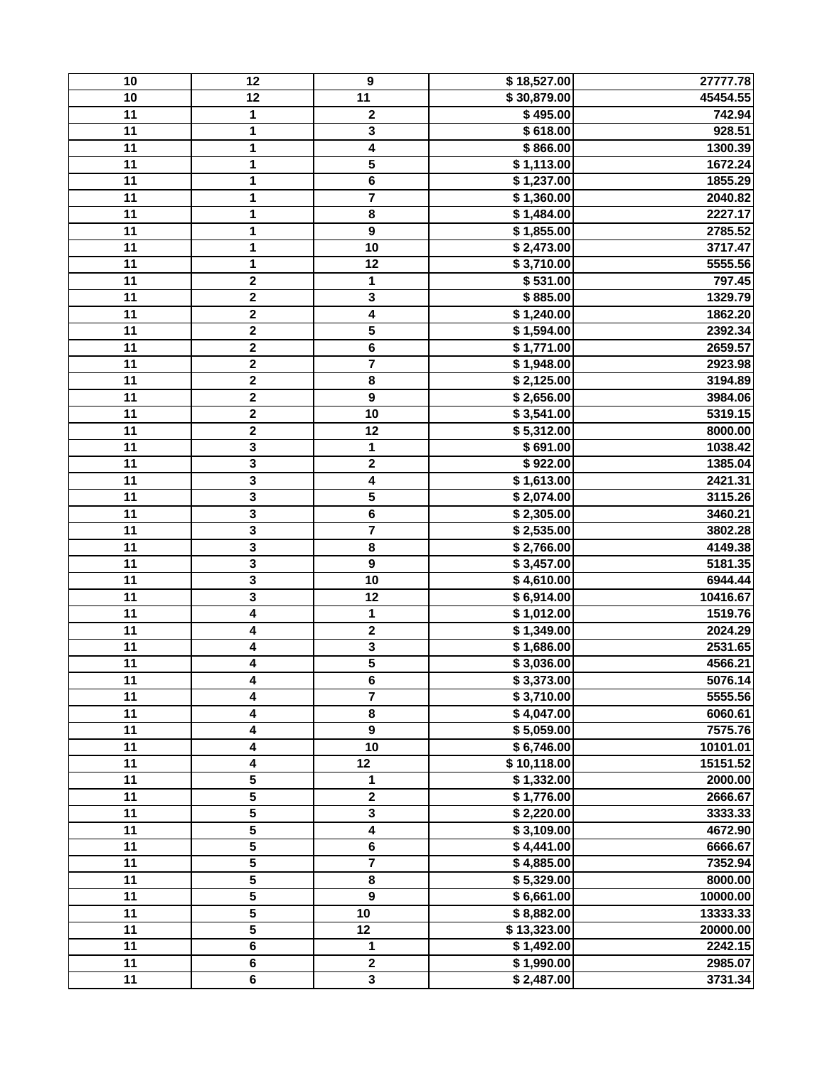| 10              | 12                      | $\boldsymbol{9}$                 | \$18,527.00              | 27777.78           |
|-----------------|-------------------------|----------------------------------|--------------------------|--------------------|
| 10              | 12                      | 11                               | \$30,879.00              | 45454.55           |
| 11              | 1                       | $\mathbf 2$                      | \$495.00                 | 742.94             |
| $\overline{11}$ | $\overline{\mathbf{1}}$ | 3                                | \$618.00                 | 928.51             |
| 11              | $\overline{\mathbf{1}}$ | $\overline{\mathbf{4}}$          | \$866.00                 | 1300.39            |
| $\overline{11}$ | 1                       | 5                                | \$1,113.00               | 1672.24            |
| $\overline{11}$ | 1                       | 6                                | \$1,237.00               | 1855.29            |
| 11              | 1                       | $\overline{\mathbf{7}}$          | \$1,360.00               | 2040.82            |
| $\overline{11}$ | $\overline{\mathbf{1}}$ | 8                                | \$1,484.00               | 2227.17            |
| $\overline{11}$ | 1                       | 9                                | \$1,855.00               | 2785.52            |
| $\overline{11}$ | 1                       | $\overline{10}$                  | \$2,473.00               | 3717.47            |
| $\overline{11}$ | 1                       | $\overline{12}$                  | \$3,710.00               | 5555.56            |
| $\overline{11}$ | $\overline{\mathbf{2}}$ | $\overline{1}$                   | \$531.00                 | 797.45             |
| $\overline{11}$ | $\overline{\mathbf{2}}$ | 3                                | \$885.00                 | 1329.79            |
| $\overline{11}$ | $\overline{\mathbf{2}}$ | 4                                | \$1,240.00               | 1862.20            |
| $\overline{11}$ | $\overline{\mathbf{2}}$ | 5                                | \$1,594.00               | 2392.34            |
| 11              | $\overline{\mathbf{2}}$ | 6                                | \$1,771.00               | 2659.57            |
| $\overline{11}$ | $\overline{\mathbf{2}}$ | $\overline{\mathbf{7}}$          | \$1,948.00               | 2923.98            |
| 11              | $\overline{\mathbf{2}}$ | 8                                | \$2,125.00               | 3194.89            |
| 11              | $\overline{2}$          | 9                                | \$2,656.00               | 3984.06            |
| 11              | $\overline{\mathbf{2}}$ | 10                               | \$3,541.00               | 5319.15            |
| $\overline{11}$ | $\overline{\mathbf{2}}$ | $\overline{12}$                  | \$5,312.00               | 8000.00            |
| 11              | 3                       | 1                                | \$691.00                 | 1038.42            |
| 11              | $\overline{\mathbf{3}}$ | $\overline{\mathbf{2}}$          | \$922.00                 | 1385.04            |
| 11              | $\overline{\mathbf{3}}$ | 4                                | \$1,613.00               | 2421.31            |
| 11              | $\overline{\mathbf{3}}$ | 5                                | \$2,074.00               | 3115.26            |
| 11              | 3                       | 6                                | \$2,305.00               | 3460.21            |
| $\overline{11}$ | $\overline{\mathbf{3}}$ |                                  | \$2,535.00               | 3802.28            |
| $\overline{11}$ | $\overline{\mathbf{3}}$ | 8                                | \$2,766.00               | 4149.38            |
| $\overline{11}$ | $\overline{\mathbf{3}}$ | $\overline{9}$                   | \$3,457.00               | 5181.35            |
| $\overline{11}$ | $\overline{\mathbf{3}}$ | 10                               | \$4,610.00               | 6944.44            |
| $\overline{11}$ | $\overline{\mathbf{3}}$ | 12                               | \$6,914.00               | 10416.67           |
| 11<br>11        | 4<br>$\overline{4}$     | $\overline{1}$<br>$\overline{2}$ | \$1,012.00               | 1519.76            |
| 11              | 4                       | $\overline{\mathbf{3}}$          | $\sqrt{$1,349.00}$       | 2024.29            |
| $\overline{11}$ | 4                       | $\overline{\mathbf{5}}$          | \$1,686.00<br>\$3,036.00 | 2531.65<br>4566.21 |
| 11              | 4                       | 6                                |                          | 5076.14            |
| 11              | 4                       | 7                                | \$3,373.00<br>\$3,710.00 | 5555.56            |
| 11              | 4                       | $\overline{\mathbf{8}}$          | \$4,047.00               | 6060.61            |
| $\overline{11}$ | 4                       | $\overline{9}$                   | \$5,059.00               | 7575.76            |
| $\overline{11}$ | 4                       | 10                               | \$6,746.00               | 10101.01           |
| 11              | 4                       | 12                               | \$10,118.00              | 15151.52           |
| 11              | 5                       | $\overline{\mathbf{1}}$          | \$1,332.00               | 2000.00            |
| $\overline{11}$ | 5                       | $\overline{\mathbf{2}}$          | \$1,776.00               | 2666.67            |
| $\overline{11}$ | 5                       | $\overline{\mathbf{3}}$          | \$2,220.00               | 3333.33            |
| $\overline{11}$ | 5                       | 4                                | \$3,109.00               | 4672.90            |
| 11              | 5                       | $\overline{\mathbf{6}}$          | \$4,441.00               | 6666.67            |
| 11              | 5                       | 7                                | \$4,885.00               | 7352.94            |
| $\overline{11}$ | 5                       | $\overline{\mathbf{8}}$          | \$5,329.00               | 8000.00            |
| $\overline{11}$ | 5                       | $\overline{9}$                   | \$6,661.00               | 10000.00           |
| $\overline{11}$ | 5                       | 10                               | \$8,882.00               | 13333.33           |
| $\overline{11}$ | 5                       | $\overline{12}$                  | \$13,323.00              | 20000.00           |
| $\overline{11}$ | $\overline{\mathbf{6}}$ | 1                                | \$1,492.00               | 2242.15            |
| 11              | 6                       | $\overline{\mathbf{2}}$          | \$1,990.00               | 2985.07            |
| 11              | $\overline{\mathbf{6}}$ | $\overline{\mathbf{3}}$          | \$2,487.00               | 3731.34            |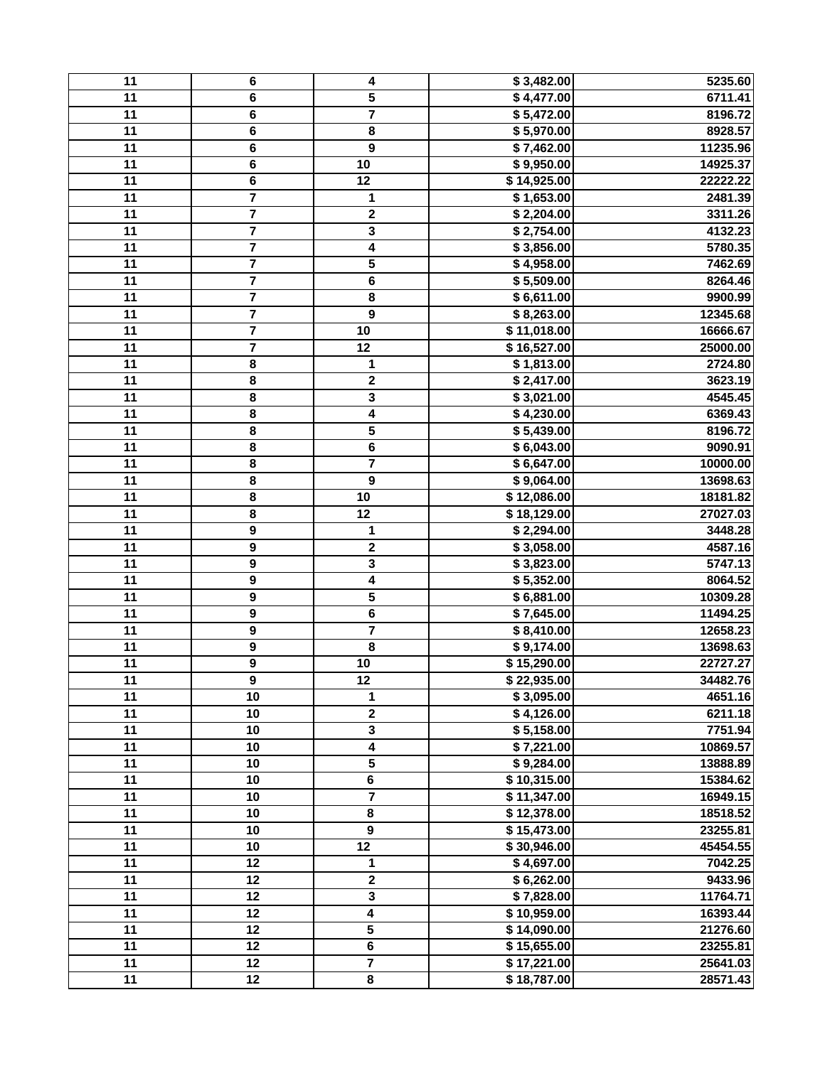| 11              | $\bf 6$                 | $\overline{\mathbf{4}}$ | \$3,482.00            | 5235.60  |
|-----------------|-------------------------|-------------------------|-----------------------|----------|
| 11              | 6                       | $\overline{\mathbf{5}}$ | \$4,477.00            | 6711.41  |
| 11              | 6                       | $\overline{\mathbf{7}}$ | \$5,472.00            | 8196.72  |
| $\overline{11}$ | $\overline{\mathbf{6}}$ | 8                       | \$5,970.00            | 8928.57  |
| 11              | $\overline{\mathbf{6}}$ | $\overline{\mathbf{g}}$ | \$7,462.00            | 11235.96 |
| $\overline{11}$ | $\overline{\mathbf{6}}$ | 10                      | \$9,950.00            | 14925.37 |
| $\overline{11}$ | $\overline{\mathbf{6}}$ | $\overline{12}$         | \$14,925.00           | 22222.22 |
| 11              | $\overline{\mathbf{7}}$ | 1                       | \$1,653.00            | 2481.39  |
| $\overline{11}$ | $\overline{\mathbf{7}}$ | $\overline{2}$          | \$2,204.00            | 3311.26  |
| $\overline{11}$ | $\overline{\mathbf{7}}$ | $\overline{\mathbf{3}}$ | \$2,754.00            | 4132.23  |
| $\overline{11}$ | 7                       | 4                       | \$3,856.00            | 5780.35  |
| $\overline{11}$ | $\overline{\mathbf{7}}$ | $\overline{\mathbf{5}}$ | \$4,958.00            | 7462.69  |
| $\overline{11}$ | 7                       | $\overline{\mathbf{6}}$ | \$5,509.00            | 8264.46  |
| $\overline{11}$ | 7                       | $\overline{\mathbf{8}}$ | \$6,611.00            | 9900.99  |
| $\overline{11}$ | 7                       | $\overline{\mathbf{g}}$ | \$8,263.00            | 12345.68 |
| $\overline{11}$ | $\overline{\mathbf{7}}$ | 10                      | \$11,018.00           | 16666.67 |
| 11              | $\overline{\mathbf{7}}$ | 12                      | \$16,527.00           | 25000.00 |
| $\overline{11}$ | $\overline{\mathbf{8}}$ | $\mathbf{1}$            | \$1,813.00            | 2724.80  |
| 11              | $\overline{\mathbf{8}}$ | $\overline{\mathbf{2}}$ | \$2,417.00            | 3623.19  |
| $\overline{11}$ | $\overline{\mathbf{8}}$ | $\overline{\mathbf{3}}$ | \$3,021.00            | 4545.45  |
| 11              | 8                       | $\overline{\mathbf{4}}$ | \$4,230.00            | 6369.43  |
| $\overline{11}$ | $\overline{\mathbf{8}}$ | $\overline{5}$          | \$5,439.00            | 8196.72  |
| 11              | 8                       | 6                       | \$6,043.00            | 9090.91  |
| 11              | 8                       | $\overline{\mathbf{7}}$ | \$6,647.00            | 10000.00 |
| 11              | 8                       | 9                       | \$9,064.00            | 13698.63 |
| $\overline{11}$ | 8                       | $\overline{10}$         | \$12,086.00           | 18181.82 |
| $\overline{11}$ | 8                       | $\overline{12}$         | \$18,129.00           | 27027.03 |
| $\overline{11}$ | $\overline{9}$          | 1                       | \$2,294.00            | 3448.28  |
| $\overline{11}$ | 9                       | $\overline{2}$          | \$3,058.00            | 4587.16  |
| $\overline{11}$ | $\overline{9}$          | $\overline{\mathbf{3}}$ | \$3,823.00            | 5747.13  |
| $\overline{11}$ | $\overline{9}$          | $\overline{4}$          | \$5,352.00            | 8064.52  |
| $\overline{11}$ | $\overline{9}$          | 5                       | \$6,881.00            | 10309.28 |
| 11              | $\overline{9}$          | $\overline{\mathbf{6}}$ | $\frac{1}{$7,645.00}$ | 11494.25 |
| $\overline{11}$ | $\overline{9}$          | $\overline{\mathbf{7}}$ | \$8,410.00            | 12658.23 |
| 11              | $\overline{9}$          | $\overline{\mathbf{8}}$ | \$9,174.00            | 13698.63 |
| 11              | $\overline{9}$          | $\overline{10}$         | \$15,290.00           | 22727.27 |
| 11              | 9                       | 12                      | \$22,935.00           | 34482.76 |
| $\overline{11}$ | $\overline{10}$         | 1                       | \$3,095.00            | 4651.16  |
| $\overline{11}$ | $\overline{10}$         | $\overline{2}$          | \$4,126.00            | 6211.18  |
| $\overline{11}$ | $\overline{10}$         | $\overline{\mathbf{3}}$ | \$5,158.00            | 7751.94  |
| $\overline{11}$ | $\overline{10}$         | 4                       | \$7,221.00            | 10869.57 |
| $\overline{11}$ | $\overline{10}$         | $\overline{5}$          | \$9,284.00            | 13888.89 |
| 11              | 10                      | 6                       | \$10,315.00           | 15384.62 |
| 11              | 10                      | $\overline{\mathbf{7}}$ | \$11,347.00           | 16949.15 |
| 11              | 10                      | $\overline{\mathbf{8}}$ | \$12,378.00           | 18518.52 |
| $\overline{11}$ | 10                      | $\boldsymbol{9}$        | \$15,473.00           | 23255.81 |
| $\overline{11}$ | 10                      | 12                      | \$30,946.00           | 45454.55 |
| $\overline{11}$ | 12                      | 1                       | \$4,697.00            | 7042.25  |
| $\overline{11}$ | 12                      | $\overline{\mathbf{2}}$ | \$6,262.00            | 9433.96  |
| 11              | 12                      | $\overline{\mathbf{3}}$ | \$7,828.00            | 11764.71 |
| 11              | 12                      | $\overline{\mathbf{4}}$ | \$10,959.00           | 16393.44 |
| 11              | 12                      | 5                       | \$14,090.00           | 21276.60 |
| 11              | 12                      | $\bf 6$                 | \$15,655.00           | 23255.81 |
| 11              | 12                      | $\overline{\mathbf{7}}$ | \$17,221.00           | 25641.03 |
| $\overline{11}$ | $\overline{12}$         | 8                       | \$18,787.00           | 28571.43 |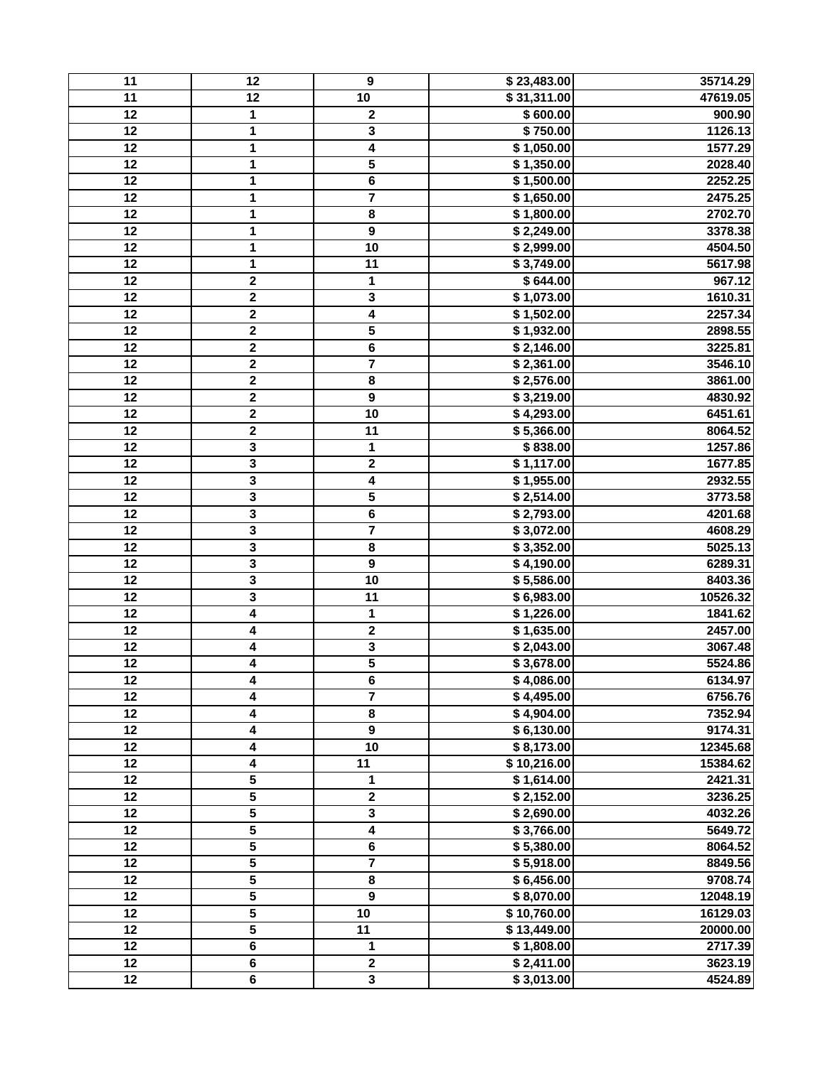| 11                    | 12                                                 | $\boldsymbol{9}$        | \$23,483.00              | 35714.29           |
|-----------------------|----------------------------------------------------|-------------------------|--------------------------|--------------------|
| 11                    | 12                                                 | 10                      | \$31,311.00              | 47619.05           |
| 12                    | 1                                                  | $\mathbf 2$             | \$600.00                 | 900.90             |
| $\overline{12}$       | $\overline{\mathbf{1}}$                            | 3                       | \$750.00                 | 1126.13            |
| 12                    | $\overline{\mathbf{1}}$                            | $\overline{\mathbf{4}}$ | \$1,050.00               | 1577.29            |
| $\overline{12}$       | 1                                                  | 5                       | \$1,350.00               | 2028.40            |
| $\overline{12}$       | 1                                                  | 6                       | \$1,500.00               | 2252.25            |
| 12                    | $\mathbf 1$                                        | $\overline{\mathbf{7}}$ | \$1,650.00               | 2475.25            |
| $\overline{12}$       | $\overline{\mathbf{1}}$                            | 8                       | \$1,800.00               | 2702.70            |
| $\overline{12}$       | 1                                                  | 9                       | \$2,249.00               | 3378.38            |
| $\overline{12}$       | 1                                                  | $\overline{10}$         | \$2,999.00               | 4504.50            |
| $\overline{12}$       | 1                                                  | 11                      | \$3,749.00               | 5617.98            |
| 12                    | $\overline{\mathbf{2}}$                            | $\overline{1}$          | \$644.00                 | 967.12             |
| $\overline{12}$       | $\overline{\mathbf{2}}$                            | 3                       | \$1,073.00               | 1610.31            |
| $\overline{12}$       | $\overline{\mathbf{2}}$                            | 4                       | \$1,502.00               | 2257.34            |
| 12                    | $\overline{\mathbf{2}}$                            | 5                       | \$1,932.00               | 2898.55            |
| 12                    | $\overline{\mathbf{2}}$                            | 6                       | \$2,146.00               | 3225.81            |
| 12                    | $\overline{\mathbf{2}}$                            | $\overline{\mathbf{7}}$ | \$2,361.00               | 3546.10            |
| 12                    | $\overline{\mathbf{2}}$                            | 8                       | \$2,576.00               | 3861.00            |
| 12                    | $\overline{2}$                                     | 9                       | \$3,219.00               | 4830.92            |
| 12                    | $\overline{\mathbf{2}}$                            | 10                      | \$4,293.00               | 6451.61            |
| $\overline{12}$       | $\overline{\mathbf{2}}$                            | $\overline{11}$         | \$5,366.00               | 8064.52            |
| 12                    | 3                                                  | 1                       | \$838.00                 | 1257.86            |
| 12                    | $\overline{\mathbf{3}}$                            | $\overline{\mathbf{2}}$ | \$1,117.00               | 1677.85            |
| 12                    | $\overline{\mathbf{3}}$<br>$\overline{\mathbf{3}}$ | 4                       | \$1,955.00               | 2932.55            |
| 12<br>$\overline{12}$ |                                                    | 5                       | \$2,514.00               | 3773.58            |
| $\overline{12}$       | $\overline{\mathbf{3}}$<br>$\overline{\mathbf{3}}$ | 6                       | \$2,793.00<br>\$3,072.00 | 4201.68<br>4608.29 |
| $\overline{12}$       | $\overline{\mathbf{3}}$                            | 8                       | \$3,352.00               | 5025.13            |
| 12                    | $\overline{\mathbf{3}}$                            | $\overline{9}$          | \$4,190.00               | 6289.31            |
| $\overline{12}$       | $\overline{\mathbf{3}}$                            | 10                      | \$5,586.00               | 8403.36            |
| $\overline{12}$       | $\overline{\mathbf{3}}$                            | 11                      | \$6,983.00               | 10526.32           |
| 12                    | $\overline{\bf{4}}$                                | $\overline{1}$          | \$1,226.00               | 1841.62            |
| 12                    | $\overline{\mathbf{4}}$                            | $\overline{2}$          | \$1,635.00               | 2457.00            |
| 12                    | 4                                                  | $\overline{\mathbf{3}}$ | \$2,043.00               | 3067.48            |
| $\overline{12}$       | 4                                                  | $\overline{\mathbf{5}}$ | \$3,678.00               | 5524.86            |
| 12                    | 4                                                  | 6                       | \$4,086.00               | 6134.97            |
| $\overline{12}$       | 4                                                  | 7                       | \$4,495.00               | 6756.76            |
| $\overline{12}$       | 4                                                  | $\overline{\mathbf{8}}$ | \$4,904.00               | 7352.94            |
| $\overline{12}$       | 4                                                  | $\overline{9}$          | \$6,130.00               | 9174.31            |
| $\overline{12}$       | 4                                                  | 10                      | \$8,173.00               | 12345.68           |
| $\overline{12}$       | 4                                                  | 11                      | \$10,216.00              | 15384.62           |
| 12                    | 5                                                  | $\overline{\mathbf{1}}$ | \$1,614.00               | 2421.31            |
| $\overline{12}$       | 5                                                  | $\overline{\mathbf{2}}$ | \$2,152.00               | 3236.25            |
| $\overline{12}$       | 5                                                  | $\overline{\mathbf{3}}$ | \$2,690.00               | 4032.26            |
| $\overline{12}$       | 5                                                  | 4                       | \$3,766.00               | 5649.72            |
| $\overline{12}$       | 5                                                  | $\overline{\mathbf{6}}$ | \$5,380.00               | 8064.52            |
| $\overline{12}$       | 5                                                  | 7                       | \$5,918.00               | 8849.56            |
| $\overline{12}$       | 5                                                  | $\overline{\mathbf{8}}$ | \$6,456.00               | 9708.74            |
| 12                    | 5                                                  | $\overline{9}$          | \$8,070.00               | 12048.19           |
| $\overline{12}$       | 5                                                  | 10                      | \$10,760.00              | 16129.03           |
| 12                    | 5                                                  | $\overline{11}$         | \$13,449.00              | 20000.00           |
| $\overline{12}$       | $\overline{\mathbf{6}}$                            | 1                       | \$1,808.00               | 2717.39            |
| 12                    | 6                                                  | $\overline{\mathbf{2}}$ | \$2,411.00               | 3623.19            |
| $\overline{12}$       | $\overline{\mathbf{6}}$                            | $\overline{\mathbf{3}}$ | \$3,013.00               | 4524.89            |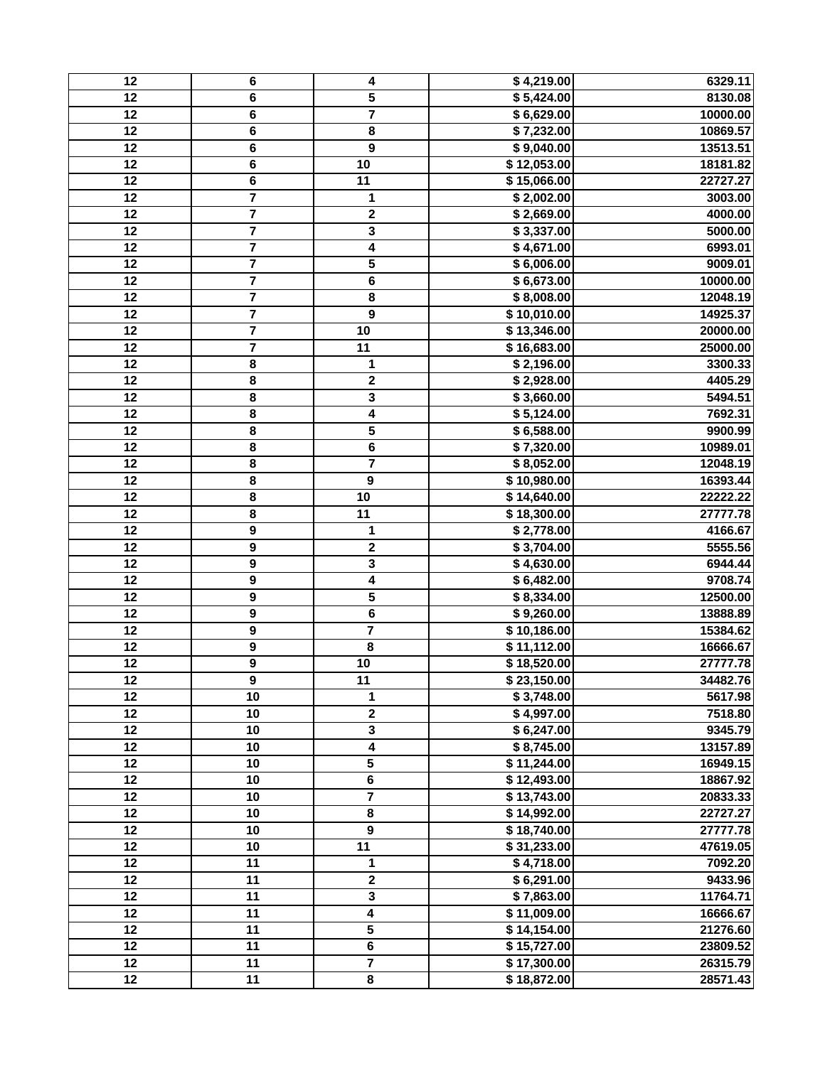| 12              | $\bf 6$                 | $\overline{\mathbf{4}}$ | \$4,219.00  | 6329.11  |
|-----------------|-------------------------|-------------------------|-------------|----------|
| 12              | 6                       | 5                       | \$5,424.00  | 8130.08  |
| $\overline{12}$ | 6                       | $\overline{\mathbf{z}}$ | \$6,629.00  | 10000.00 |
| $\overline{12}$ | $\overline{\mathbf{6}}$ | $\overline{\mathbf{8}}$ | \$7,232.00  | 10869.57 |
| 12              | $\overline{\mathbf{6}}$ | $\overline{9}$          | \$9,040.00  | 13513.51 |
| $\overline{12}$ | $\overline{\mathbf{6}}$ | 10                      | \$12,053.00 | 18181.82 |
| $\overline{12}$ | $\overline{\mathbf{6}}$ | $\overline{11}$         | \$15,066.00 | 22727.27 |
| 12              | $\overline{\mathbf{7}}$ | 1                       | \$2,002.00  | 3003.00  |
| $\overline{12}$ | $\overline{\mathbf{7}}$ | $\overline{2}$          | \$2,669.00  | 4000.00  |
| $\overline{12}$ | $\overline{\mathbf{7}}$ | 3                       | \$3,337.00  | 5000.00  |
| $\overline{12}$ | $\overline{\mathbf{7}}$ | 4                       | \$4,671.00  | 6993.01  |
| $\overline{12}$ | $\overline{\mathbf{7}}$ | $\overline{\mathbf{5}}$ | \$6,006.00  | 9009.01  |
| 12              | $\overline{\mathbf{7}}$ | $\overline{\mathbf{6}}$ | \$6,673.00  | 10000.00 |
| $\overline{12}$ | $\overline{\mathbf{7}}$ | $\overline{\mathbf{8}}$ | \$8,008.00  | 12048.19 |
| $\overline{12}$ | $\overline{\mathbf{7}}$ | 9                       | \$10,010.00 | 14925.37 |
| $\overline{12}$ | $\overline{\mathbf{7}}$ | 10                      | \$13,346.00 | 20000.00 |
| 12              | $\overline{\mathbf{7}}$ | 11                      | \$16,683.00 | 25000.00 |
| 12              | $\overline{\mathbf{8}}$ | 1                       | \$2,196.00  | 3300.33  |
| 12              | $\overline{\mathbf{8}}$ | $\overline{\mathbf{2}}$ | \$2,928.00  | 4405.29  |
| 12              | $\overline{\mathbf{8}}$ | 3                       | \$3,660.00  | 5494.51  |
| 12              | $\overline{\mathbf{8}}$ | 4                       | \$5,124.00  | 7692.31  |
| $\overline{12}$ | $\overline{\mathbf{8}}$ | 5                       | \$6,588.00  | 9900.99  |
| 12              | $\overline{\mathbf{8}}$ | 6                       | \$7,320.00  | 10989.01 |
| 12              | $\overline{\mathbf{8}}$ | 7                       | \$8,052.00  | 12048.19 |
| 12              | $\bf8$                  | 9                       | \$10,980.00 | 16393.44 |
| $\overline{12}$ | $\overline{\mathbf{8}}$ | $\overline{10}$         | \$14,640.00 | 22222.22 |
| $\overline{12}$ | $\overline{\mathbf{8}}$ | $\overline{11}$         | \$18,300.00 | 27777.78 |
| $\overline{12}$ | 9                       | 1                       | \$2,778.00  | 4166.67  |
| $\overline{12}$ | $\overline{9}$          | $\overline{2}$          | \$3,704.00  | 5555.56  |
| 12              | $\overline{9}$          | $\overline{\mathbf{3}}$ | \$4,630.00  | 6944.44  |
| $\overline{12}$ | $\overline{9}$          | $\overline{\mathbf{4}}$ | \$6,482.00  | 9708.74  |
| $\overline{12}$ | $\overline{9}$          | $\overline{\mathbf{5}}$ | \$8,334.00  | 12500.00 |
| 12              | $\overline{9}$          | $\overline{\mathbf{6}}$ | \$9,260.00  | 13888.89 |
| 12              | $\overline{9}$          | $\overline{\mathbf{7}}$ | \$10,186.00 | 15384.62 |
| 12              | $\overline{9}$          | $\overline{\mathbf{8}}$ | \$11,112.00 | 16666.67 |
| $\overline{12}$ | $\overline{9}$          | $\overline{10}$         | \$18,520.00 | 27777.78 |
| 12              | 9                       | 11                      | \$23,150.00 | 34482.76 |
| $\overline{12}$ | 10                      | $\overline{1}$          | \$3,748.00  | 5617.98  |
| $\overline{12}$ | $\overline{10}$         | $\overline{2}$          | \$4,997.00  | 7518.80  |
| $\overline{12}$ | $\overline{10}$         | $\overline{\mathbf{3}}$ | \$6,247.00  | 9345.79  |
| $\overline{12}$ | 10                      | $\overline{\mathbf{4}}$ | \$8,745.00  | 13157.89 |
| 12              | 10                      | 5                       | \$11,244.00 | 16949.15 |
| 12              | 10                      | $\overline{\mathbf{6}}$ | \$12,493.00 | 18867.92 |
| $\overline{12}$ | 10                      | 7                       | \$13,743.00 | 20833.33 |
| $\overline{12}$ | 10                      | $\overline{\mathbf{8}}$ | \$14,992.00 | 22727.27 |
| $\overline{12}$ | 10                      | 9                       | \$18,740.00 | 27777.78 |
| $\overline{12}$ | $\overline{10}$         | $\overline{11}$         | \$31,233.00 | 47619.05 |
| $\overline{12}$ | 11                      | 1                       | \$4,718.00  | 7092.20  |
| $\overline{12}$ | 11                      | $\mathbf 2$             | \$6,291.00  | 9433.96  |
| 12              | 11                      | $\overline{\mathbf{3}}$ | \$7,863.00  | 11764.71 |
| $\overline{12}$ | 11                      | $\overline{4}$          | \$11,009.00 | 16666.67 |
| $\overline{12}$ | 11                      | 5                       | \$14,154.00 | 21276.60 |
| $\overline{12}$ | 11                      | $\overline{\mathbf{6}}$ | \$15,727.00 | 23809.52 |
| 12              | 11                      | $\overline{7}$          | \$17,300.00 | 26315.79 |
| $\overline{12}$ | $\overline{11}$         | $\overline{\mathbf{8}}$ | \$18,872.00 | 28571.43 |